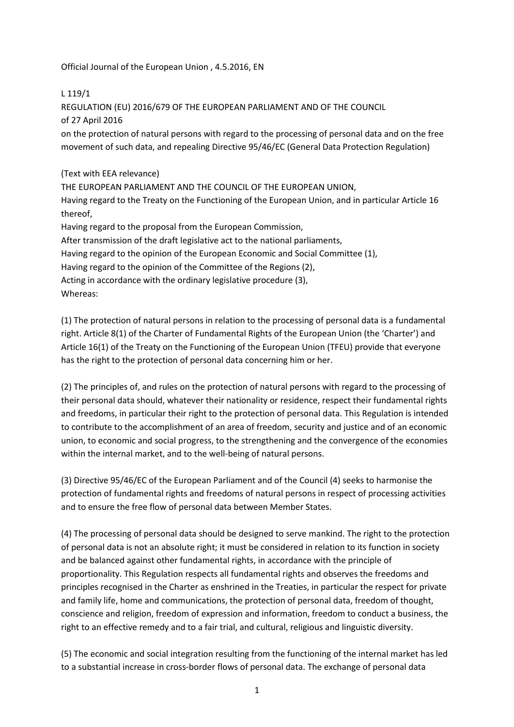Official Journal of the European Union , 4.5.2016, EN

L 119/1

REGULATION (EU) 2016/679 OF THE EUROPEAN PARLIAMENT AND OF THE COUNCIL of 27 April 2016 on the protection of natural persons with regard to the processing of personal data and on the free movement of such data, and repealing Directive 95/46/EC (General Data Protection Regulation)

(Text with EEA relevance)

THE EUROPEAN PARLIAMENT AND THE COUNCIL OF THE EUROPEAN UNION, Having regard to the Treaty on the Functioning of the European Union, and in particular Article 16 thereof, Having regard to the proposal from the European Commission,

After transmission of the draft legislative act to the national parliaments,

Having regard to the opinion of the European Economic and Social Committee (1),

Having regard to the opinion of the Committee of the Regions (2),

Acting in accordance with the ordinary legislative procedure (3),

Whereas:

(1) The protection of natural persons in relation to the processing of personal data is a fundamental right. Article 8(1) of the Charter of Fundamental Rights of the European Union (the 'Charter') and Article 16(1) of the Treaty on the Functioning of the European Union (TFEU) provide that everyone has the right to the protection of personal data concerning him or her.

(2) The principles of, and rules on the protection of natural persons with regard to the processing of their personal data should, whatever their nationality or residence, respect their fundamental rights and freedoms, in particular their right to the protection of personal data. This Regulation is intended to contribute to the accomplishment of an area of freedom, security and justice and of an economic union, to economic and social progress, to the strengthening and the convergence of the economies within the internal market, and to the well-being of natural persons.

(3) Directive 95/46/EC of the European Parliament and of the Council (4) seeks to harmonise the protection of fundamental rights and freedoms of natural persons in respect of processing activities and to ensure the free flow of personal data between Member States.

(4) The processing of personal data should be designed to serve mankind. The right to the protection of personal data is not an absolute right; it must be considered in relation to its function in society and be balanced against other fundamental rights, in accordance with the principle of proportionality. This Regulation respects all fundamental rights and observes the freedoms and principles recognised in the Charter as enshrined in the Treaties, in particular the respect for private and family life, home and communications, the protection of personal data, freedom of thought, conscience and religion, freedom of expression and information, freedom to conduct a business, the right to an effective remedy and to a fair trial, and cultural, religious and linguistic diversity.

(5) The economic and social integration resulting from the functioning of the internal market has led to a substantial increase in cross-border flows of personal data. The exchange of personal data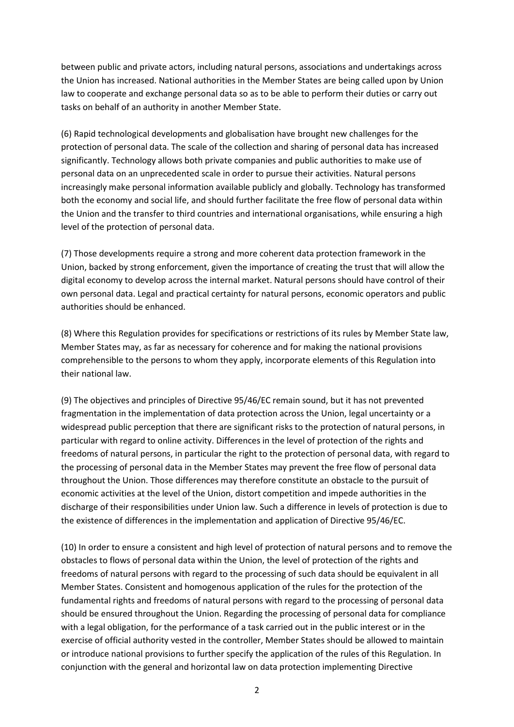between public and private actors, including natural persons, associations and undertakings across the Union has increased. National authorities in the Member States are being called upon by Union law to cooperate and exchange personal data so as to be able to perform their duties or carry out tasks on behalf of an authority in another Member State.

(6) Rapid technological developments and globalisation have brought new challenges for the protection of personal data. The scale of the collection and sharing of personal data has increased significantly. Technology allows both private companies and public authorities to make use of personal data on an unprecedented scale in order to pursue their activities. Natural persons increasingly make personal information available publicly and globally. Technology has transformed both the economy and social life, and should further facilitate the free flow of personal data within the Union and the transfer to third countries and international organisations, while ensuring a high level of the protection of personal data.

(7) Those developments require a strong and more coherent data protection framework in the Union, backed by strong enforcement, given the importance of creating the trust that will allow the digital economy to develop across the internal market. Natural persons should have control of their own personal data. Legal and practical certainty for natural persons, economic operators and public authorities should be enhanced.

(8) Where this Regulation provides for specifications or restrictions of its rules by Member State law, Member States may, as far as necessary for coherence and for making the national provisions comprehensible to the persons to whom they apply, incorporate elements of this Regulation into their national law.

(9) The objectives and principles of Directive 95/46/EC remain sound, but it has not prevented fragmentation in the implementation of data protection across the Union, legal uncertainty or a widespread public perception that there are significant risks to the protection of natural persons, in particular with regard to online activity. Differences in the level of protection of the rights and freedoms of natural persons, in particular the right to the protection of personal data, with regard to the processing of personal data in the Member States may prevent the free flow of personal data throughout the Union. Those differences may therefore constitute an obstacle to the pursuit of economic activities at the level of the Union, distort competition and impede authorities in the discharge of their responsibilities under Union law. Such a difference in levels of protection is due to the existence of differences in the implementation and application of Directive 95/46/EC.

(10) In order to ensure a consistent and high level of protection of natural persons and to remove the obstacles to flows of personal data within the Union, the level of protection of the rights and freedoms of natural persons with regard to the processing of such data should be equivalent in all Member States. Consistent and homogenous application of the rules for the protection of the fundamental rights and freedoms of natural persons with regard to the processing of personal data should be ensured throughout the Union. Regarding the processing of personal data for compliance with a legal obligation, for the performance of a task carried out in the public interest or in the exercise of official authority vested in the controller, Member States should be allowed to maintain or introduce national provisions to further specify the application of the rules of this Regulation. In conjunction with the general and horizontal law on data protection implementing Directive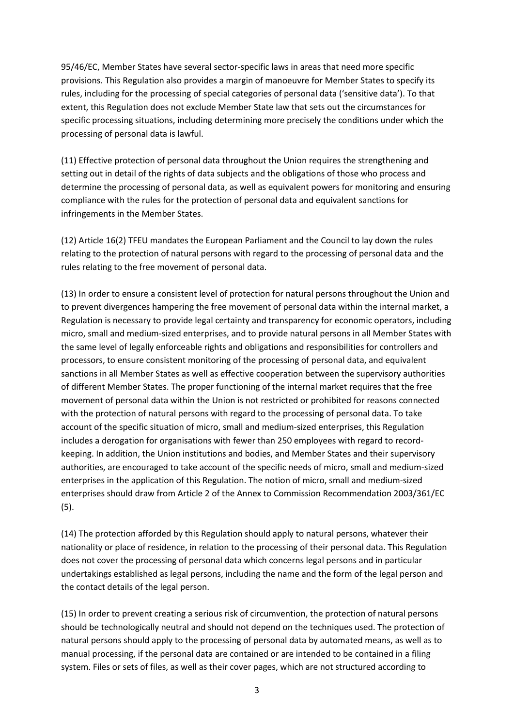95/46/EC, Member States have several sector-specific laws in areas that need more specific provisions. This Regulation also provides a margin of manoeuvre for Member States to specify its rules, including for the processing of special categories of personal data ('sensitive data'). To that extent, this Regulation does not exclude Member State law that sets out the circumstances for specific processing situations, including determining more precisely the conditions under which the processing of personal data is lawful.

(11) Effective protection of personal data throughout the Union requires the strengthening and setting out in detail of the rights of data subjects and the obligations of those who process and determine the processing of personal data, as well as equivalent powers for monitoring and ensuring compliance with the rules for the protection of personal data and equivalent sanctions for infringements in the Member States.

(12) Article 16(2) TFEU mandates the European Parliament and the Council to lay down the rules relating to the protection of natural persons with regard to the processing of personal data and the rules relating to the free movement of personal data.

(13) In order to ensure a consistent level of protection for natural persons throughout the Union and to prevent divergences hampering the free movement of personal data within the internal market, a Regulation is necessary to provide legal certainty and transparency for economic operators, including micro, small and medium-sized enterprises, and to provide natural persons in all Member States with the same level of legally enforceable rights and obligations and responsibilities for controllers and processors, to ensure consistent monitoring of the processing of personal data, and equivalent sanctions in all Member States as well as effective cooperation between the supervisory authorities of different Member States. The proper functioning of the internal market requires that the free movement of personal data within the Union is not restricted or prohibited for reasons connected with the protection of natural persons with regard to the processing of personal data. To take account of the specific situation of micro, small and medium-sized enterprises, this Regulation includes a derogation for organisations with fewer than 250 employees with regard to recordkeeping. In addition, the Union institutions and bodies, and Member States and their supervisory authorities, are encouraged to take account of the specific needs of micro, small and medium-sized enterprises in the application of this Regulation. The notion of micro, small and medium-sized enterprises should draw from Article 2 of the Annex to Commission Recommendation 2003/361/EC (5).

(14) The protection afforded by this Regulation should apply to natural persons, whatever their nationality or place of residence, in relation to the processing of their personal data. This Regulation does not cover the processing of personal data which concerns legal persons and in particular undertakings established as legal persons, including the name and the form of the legal person and the contact details of the legal person.

(15) In order to prevent creating a serious risk of circumvention, the protection of natural persons should be technologically neutral and should not depend on the techniques used. The protection of natural persons should apply to the processing of personal data by automated means, as well as to manual processing, if the personal data are contained or are intended to be contained in a filing system. Files or sets of files, as well as their cover pages, which are not structured according to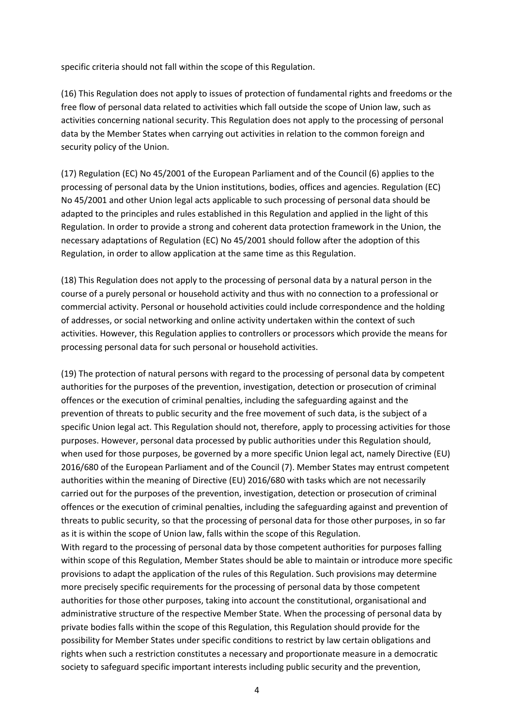specific criteria should not fall within the scope of this Regulation.

(16) This Regulation does not apply to issues of protection of fundamental rights and freedoms or the free flow of personal data related to activities which fall outside the scope of Union law, such as activities concerning national security. This Regulation does not apply to the processing of personal data by the Member States when carrying out activities in relation to the common foreign and security policy of the Union.

(17) Regulation (EC) No 45/2001 of the European Parliament and of the Council (6) applies to the processing of personal data by the Union institutions, bodies, offices and agencies. Regulation (EC) No 45/2001 and other Union legal acts applicable to such processing of personal data should be adapted to the principles and rules established in this Regulation and applied in the light of this Regulation. In order to provide a strong and coherent data protection framework in the Union, the necessary adaptations of Regulation (EC) No 45/2001 should follow after the adoption of this Regulation, in order to allow application at the same time as this Regulation.

(18) This Regulation does not apply to the processing of personal data by a natural person in the course of a purely personal or household activity and thus with no connection to a professional or commercial activity. Personal or household activities could include correspondence and the holding of addresses, or social networking and online activity undertaken within the context of such activities. However, this Regulation applies to controllers or processors which provide the means for processing personal data for such personal or household activities.

(19) The protection of natural persons with regard to the processing of personal data by competent authorities for the purposes of the prevention, investigation, detection or prosecution of criminal offences or the execution of criminal penalties, including the safeguarding against and the prevention of threats to public security and the free movement of such data, is the subject of a specific Union legal act. This Regulation should not, therefore, apply to processing activities for those purposes. However, personal data processed by public authorities under this Regulation should, when used for those purposes, be governed by a more specific Union legal act, namely Directive (EU) 2016/680 of the European Parliament and of the Council (7). Member States may entrust competent authorities within the meaning of Directive (EU) 2016/680 with tasks which are not necessarily carried out for the purposes of the prevention, investigation, detection or prosecution of criminal offences or the execution of criminal penalties, including the safeguarding against and prevention of threats to public security, so that the processing of personal data for those other purposes, in so far as it is within the scope of Union law, falls within the scope of this Regulation. With regard to the processing of personal data by those competent authorities for purposes falling within scope of this Regulation, Member States should be able to maintain or introduce more specific provisions to adapt the application of the rules of this Regulation. Such provisions may determine more precisely specific requirements for the processing of personal data by those competent

authorities for those other purposes, taking into account the constitutional, organisational and administrative structure of the respective Member State. When the processing of personal data by private bodies falls within the scope of this Regulation, this Regulation should provide for the possibility for Member States under specific conditions to restrict by law certain obligations and rights when such a restriction constitutes a necessary and proportionate measure in a democratic society to safeguard specific important interests including public security and the prevention,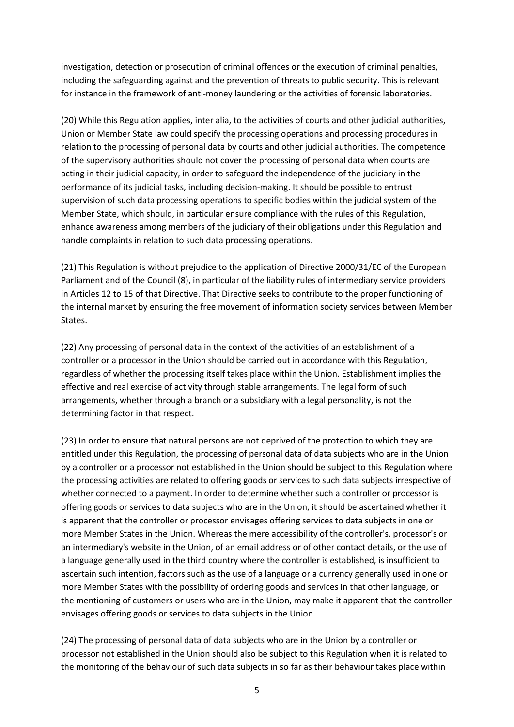investigation, detection or prosecution of criminal offences or the execution of criminal penalties, including the safeguarding against and the prevention of threats to public security. This is relevant for instance in the framework of anti-money laundering or the activities of forensic laboratories.

(20) While this Regulation applies, inter alia, to the activities of courts and other judicial authorities, Union or Member State law could specify the processing operations and processing procedures in relation to the processing of personal data by courts and other judicial authorities. The competence of the supervisory authorities should not cover the processing of personal data when courts are acting in their judicial capacity, in order to safeguard the independence of the judiciary in the performance of its judicial tasks, including decision-making. It should be possible to entrust supervision of such data processing operations to specific bodies within the judicial system of the Member State, which should, in particular ensure compliance with the rules of this Regulation, enhance awareness among members of the judiciary of their obligations under this Regulation and handle complaints in relation to such data processing operations.

(21) This Regulation is without prejudice to the application of Directive 2000/31/EC of the European Parliament and of the Council (8), in particular of the liability rules of intermediary service providers in Articles 12 to 15 of that Directive. That Directive seeks to contribute to the proper functioning of the internal market by ensuring the free movement of information society services between Member States.

(22) Any processing of personal data in the context of the activities of an establishment of a controller or a processor in the Union should be carried out in accordance with this Regulation, regardless of whether the processing itself takes place within the Union. Establishment implies the effective and real exercise of activity through stable arrangements. The legal form of such arrangements, whether through a branch or a subsidiary with a legal personality, is not the determining factor in that respect.

(23) In order to ensure that natural persons are not deprived of the protection to which they are entitled under this Regulation, the processing of personal data of data subjects who are in the Union by a controller or a processor not established in the Union should be subject to this Regulation where the processing activities are related to offering goods or services to such data subjects irrespective of whether connected to a payment. In order to determine whether such a controller or processor is offering goods or services to data subjects who are in the Union, it should be ascertained whether it is apparent that the controller or processor envisages offering services to data subjects in one or more Member States in the Union. Whereas the mere accessibility of the controller's, processor's or an intermediary's website in the Union, of an email address or of other contact details, or the use of a language generally used in the third country where the controller is established, is insufficient to ascertain such intention, factors such as the use of a language or a currency generally used in one or more Member States with the possibility of ordering goods and services in that other language, or the mentioning of customers or users who are in the Union, may make it apparent that the controller envisages offering goods or services to data subjects in the Union.

(24) The processing of personal data of data subjects who are in the Union by a controller or processor not established in the Union should also be subject to this Regulation when it is related to the monitoring of the behaviour of such data subjects in so far as their behaviour takes place within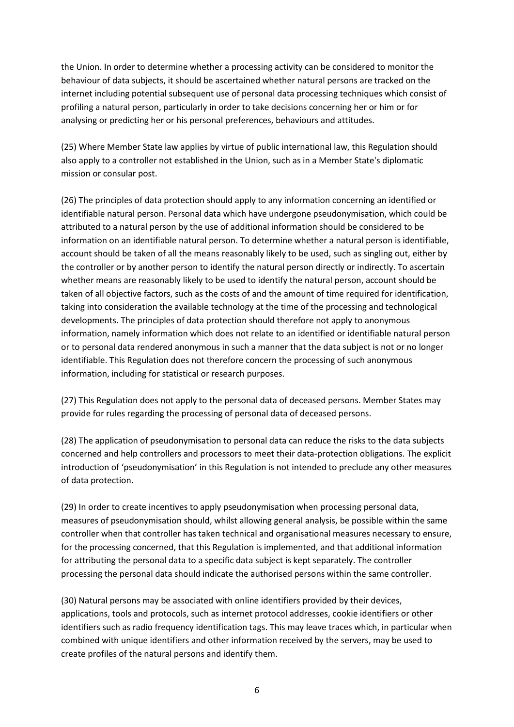the Union. In order to determine whether a processing activity can be considered to monitor the behaviour of data subjects, it should be ascertained whether natural persons are tracked on the internet including potential subsequent use of personal data processing techniques which consist of profiling a natural person, particularly in order to take decisions concerning her or him or for analysing or predicting her or his personal preferences, behaviours and attitudes.

(25) Where Member State law applies by virtue of public international law, this Regulation should also apply to a controller not established in the Union, such as in a Member State's diplomatic mission or consular post.

(26) The principles of data protection should apply to any information concerning an identified or identifiable natural person. Personal data which have undergone pseudonymisation, which could be attributed to a natural person by the use of additional information should be considered to be information on an identifiable natural person. To determine whether a natural person is identifiable, account should be taken of all the means reasonably likely to be used, such as singling out, either by the controller or by another person to identify the natural person directly or indirectly. To ascertain whether means are reasonably likely to be used to identify the natural person, account should be taken of all objective factors, such as the costs of and the amount of time required for identification, taking into consideration the available technology at the time of the processing and technological developments. The principles of data protection should therefore not apply to anonymous information, namely information which does not relate to an identified or identifiable natural person or to personal data rendered anonymous in such a manner that the data subject is not or no longer identifiable. This Regulation does not therefore concern the processing of such anonymous information, including for statistical or research purposes.

(27) This Regulation does not apply to the personal data of deceased persons. Member States may provide for rules regarding the processing of personal data of deceased persons.

(28) The application of pseudonymisation to personal data can reduce the risks to the data subjects concerned and help controllers and processors to meet their data-protection obligations. The explicit introduction of 'pseudonymisation' in this Regulation is not intended to preclude any other measures of data protection.

(29) In order to create incentives to apply pseudonymisation when processing personal data, measures of pseudonymisation should, whilst allowing general analysis, be possible within the same controller when that controller has taken technical and organisational measures necessary to ensure, for the processing concerned, that this Regulation is implemented, and that additional information for attributing the personal data to a specific data subject is kept separately. The controller processing the personal data should indicate the authorised persons within the same controller.

(30) Natural persons may be associated with online identifiers provided by their devices, applications, tools and protocols, such as internet protocol addresses, cookie identifiers or other identifiers such as radio frequency identification tags. This may leave traces which, in particular when combined with unique identifiers and other information received by the servers, may be used to create profiles of the natural persons and identify them.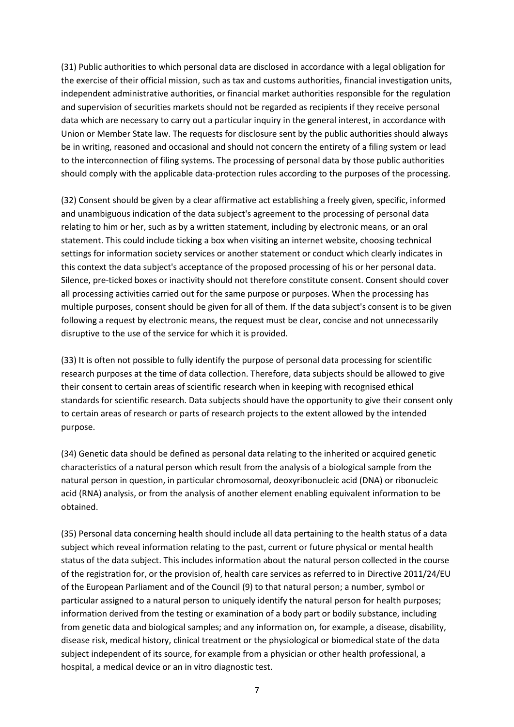(31) Public authorities to which personal data are disclosed in accordance with a legal obligation for the exercise of their official mission, such as tax and customs authorities, financial investigation units, independent administrative authorities, or financial market authorities responsible for the regulation and supervision of securities markets should not be regarded as recipients if they receive personal data which are necessary to carry out a particular inquiry in the general interest, in accordance with Union or Member State law. The requests for disclosure sent by the public authorities should always be in writing, reasoned and occasional and should not concern the entirety of a filing system or lead to the interconnection of filing systems. The processing of personal data by those public authorities should comply with the applicable data-protection rules according to the purposes of the processing.

(32) Consent should be given by a clear affirmative act establishing a freely given, specific, informed and unambiguous indication of the data subject's agreement to the processing of personal data relating to him or her, such as by a written statement, including by electronic means, or an oral statement. This could include ticking a box when visiting an internet website, choosing technical settings for information society services or another statement or conduct which clearly indicates in this context the data subject's acceptance of the proposed processing of his or her personal data. Silence, pre-ticked boxes or inactivity should not therefore constitute consent. Consent should cover all processing activities carried out for the same purpose or purposes. When the processing has multiple purposes, consent should be given for all of them. If the data subject's consent is to be given following a request by electronic means, the request must be clear, concise and not unnecessarily disruptive to the use of the service for which it is provided.

(33) It is often not possible to fully identify the purpose of personal data processing for scientific research purposes at the time of data collection. Therefore, data subjects should be allowed to give their consent to certain areas of scientific research when in keeping with recognised ethical standards for scientific research. Data subjects should have the opportunity to give their consent only to certain areas of research or parts of research projects to the extent allowed by the intended purpose.

(34) Genetic data should be defined as personal data relating to the inherited or acquired genetic characteristics of a natural person which result from the analysis of a biological sample from the natural person in question, in particular chromosomal, deoxyribonucleic acid (DNA) or ribonucleic acid (RNA) analysis, or from the analysis of another element enabling equivalent information to be obtained.

(35) Personal data concerning health should include all data pertaining to the health status of a data subject which reveal information relating to the past, current or future physical or mental health status of the data subject. This includes information about the natural person collected in the course of the registration for, or the provision of, health care services as referred to in Directive 2011/24/EU of the European Parliament and of the Council (9) to that natural person; a number, symbol or particular assigned to a natural person to uniquely identify the natural person for health purposes; information derived from the testing or examination of a body part or bodily substance, including from genetic data and biological samples; and any information on, for example, a disease, disability, disease risk, medical history, clinical treatment or the physiological or biomedical state of the data subject independent of its source, for example from a physician or other health professional, a hospital, a medical device or an in vitro diagnostic test.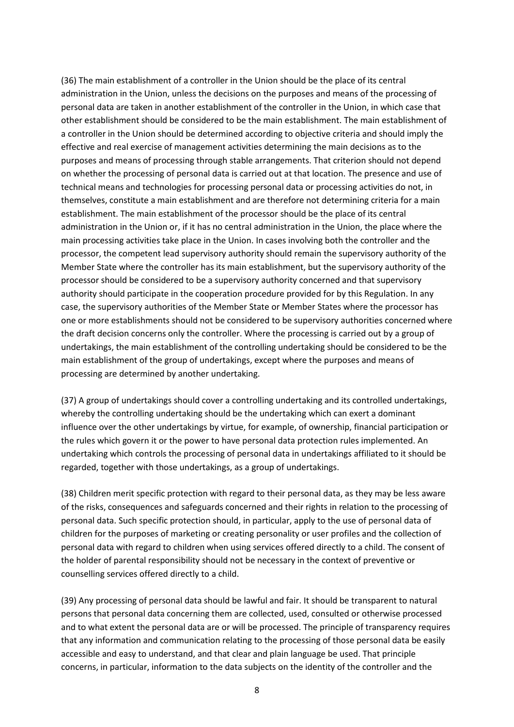(36) The main establishment of a controller in the Union should be the place of its central administration in the Union, unless the decisions on the purposes and means of the processing of personal data are taken in another establishment of the controller in the Union, in which case that other establishment should be considered to be the main establishment. The main establishment of a controller in the Union should be determined according to objective criteria and should imply the effective and real exercise of management activities determining the main decisions as to the purposes and means of processing through stable arrangements. That criterion should not depend on whether the processing of personal data is carried out at that location. The presence and use of technical means and technologies for processing personal data or processing activities do not, in themselves, constitute a main establishment and are therefore not determining criteria for a main establishment. The main establishment of the processor should be the place of its central administration in the Union or, if it has no central administration in the Union, the place where the main processing activities take place in the Union. In cases involving both the controller and the processor, the competent lead supervisory authority should remain the supervisory authority of the Member State where the controller has its main establishment, but the supervisory authority of the processor should be considered to be a supervisory authority concerned and that supervisory authority should participate in the cooperation procedure provided for by this Regulation. In any case, the supervisory authorities of the Member State or Member States where the processor has one or more establishments should not be considered to be supervisory authorities concerned where the draft decision concerns only the controller. Where the processing is carried out by a group of undertakings, the main establishment of the controlling undertaking should be considered to be the main establishment of the group of undertakings, except where the purposes and means of processing are determined by another undertaking.

(37) A group of undertakings should cover a controlling undertaking and its controlled undertakings, whereby the controlling undertaking should be the undertaking which can exert a dominant influence over the other undertakings by virtue, for example, of ownership, financial participation or the rules which govern it or the power to have personal data protection rules implemented. An undertaking which controls the processing of personal data in undertakings affiliated to it should be regarded, together with those undertakings, as a group of undertakings.

(38) Children merit specific protection with regard to their personal data, as they may be less aware of the risks, consequences and safeguards concerned and their rights in relation to the processing of personal data. Such specific protection should, in particular, apply to the use of personal data of children for the purposes of marketing or creating personality or user profiles and the collection of personal data with regard to children when using services offered directly to a child. The consent of the holder of parental responsibility should not be necessary in the context of preventive or counselling services offered directly to a child.

(39) Any processing of personal data should be lawful and fair. It should be transparent to natural persons that personal data concerning them are collected, used, consulted or otherwise processed and to what extent the personal data are or will be processed. The principle of transparency requires that any information and communication relating to the processing of those personal data be easily accessible and easy to understand, and that clear and plain language be used. That principle concerns, in particular, information to the data subjects on the identity of the controller and the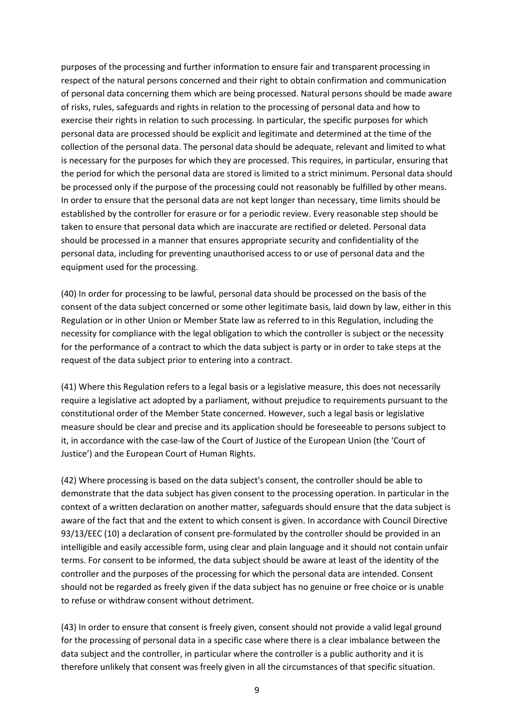purposes of the processing and further information to ensure fair and transparent processing in respect of the natural persons concerned and their right to obtain confirmation and communication of personal data concerning them which are being processed. Natural persons should be made aware of risks, rules, safeguards and rights in relation to the processing of personal data and how to exercise their rights in relation to such processing. In particular, the specific purposes for which personal data are processed should be explicit and legitimate and determined at the time of the collection of the personal data. The personal data should be adequate, relevant and limited to what is necessary for the purposes for which they are processed. This requires, in particular, ensuring that the period for which the personal data are stored is limited to a strict minimum. Personal data should be processed only if the purpose of the processing could not reasonably be fulfilled by other means. In order to ensure that the personal data are not kept longer than necessary, time limits should be established by the controller for erasure or for a periodic review. Every reasonable step should be taken to ensure that personal data which are inaccurate are rectified or deleted. Personal data should be processed in a manner that ensures appropriate security and confidentiality of the personal data, including for preventing unauthorised access to or use of personal data and the equipment used for the processing.

(40) In order for processing to be lawful, personal data should be processed on the basis of the consent of the data subject concerned or some other legitimate basis, laid down by law, either in this Regulation or in other Union or Member State law as referred to in this Regulation, including the necessity for compliance with the legal obligation to which the controller is subject or the necessity for the performance of a contract to which the data subject is party or in order to take steps at the request of the data subject prior to entering into a contract.

(41) Where this Regulation refers to a legal basis or a legislative measure, this does not necessarily require a legislative act adopted by a parliament, without prejudice to requirements pursuant to the constitutional order of the Member State concerned. However, such a legal basis or legislative measure should be clear and precise and its application should be foreseeable to persons subject to it, in accordance with the case-law of the Court of Justice of the European Union (the 'Court of Justice') and the European Court of Human Rights.

(42) Where processing is based on the data subject's consent, the controller should be able to demonstrate that the data subject has given consent to the processing operation. In particular in the context of a written declaration on another matter, safeguards should ensure that the data subject is aware of the fact that and the extent to which consent is given. In accordance with Council Directive 93/13/EEC (10) a declaration of consent pre-formulated by the controller should be provided in an intelligible and easily accessible form, using clear and plain language and it should not contain unfair terms. For consent to be informed, the data subject should be aware at least of the identity of the controller and the purposes of the processing for which the personal data are intended. Consent should not be regarded as freely given if the data subject has no genuine or free choice or is unable to refuse or withdraw consent without detriment.

(43) In order to ensure that consent is freely given, consent should not provide a valid legal ground for the processing of personal data in a specific case where there is a clear imbalance between the data subject and the controller, in particular where the controller is a public authority and it is therefore unlikely that consent was freely given in all the circumstances of that specific situation.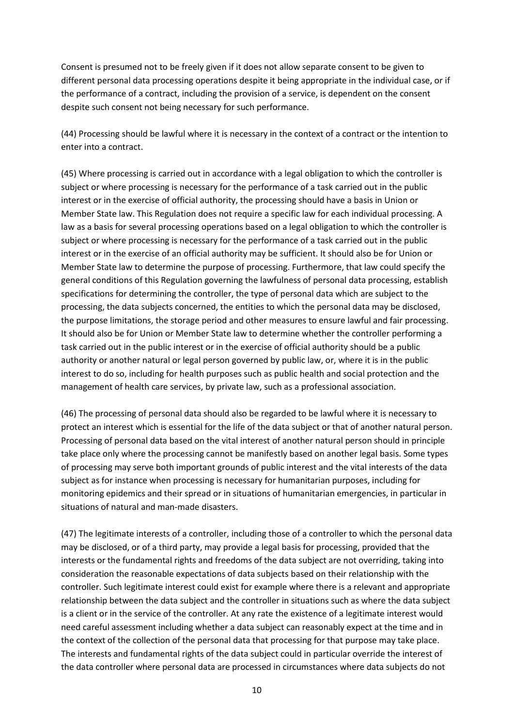Consent is presumed not to be freely given if it does not allow separate consent to be given to different personal data processing operations despite it being appropriate in the individual case, or if the performance of a contract, including the provision of a service, is dependent on the consent despite such consent not being necessary for such performance.

(44) Processing should be lawful where it is necessary in the context of a contract or the intention to enter into a contract.

(45) Where processing is carried out in accordance with a legal obligation to which the controller is subject or where processing is necessary for the performance of a task carried out in the public interest or in the exercise of official authority, the processing should have a basis in Union or Member State law. This Regulation does not require a specific law for each individual processing. A law as a basis for several processing operations based on a legal obligation to which the controller is subject or where processing is necessary for the performance of a task carried out in the public interest or in the exercise of an official authority may be sufficient. It should also be for Union or Member State law to determine the purpose of processing. Furthermore, that law could specify the general conditions of this Regulation governing the lawfulness of personal data processing, establish specifications for determining the controller, the type of personal data which are subject to the processing, the data subjects concerned, the entities to which the personal data may be disclosed, the purpose limitations, the storage period and other measures to ensure lawful and fair processing. It should also be for Union or Member State law to determine whether the controller performing a task carried out in the public interest or in the exercise of official authority should be a public authority or another natural or legal person governed by public law, or, where it is in the public interest to do so, including for health purposes such as public health and social protection and the management of health care services, by private law, such as a professional association.

(46) The processing of personal data should also be regarded to be lawful where it is necessary to protect an interest which is essential for the life of the data subject or that of another natural person. Processing of personal data based on the vital interest of another natural person should in principle take place only where the processing cannot be manifestly based on another legal basis. Some types of processing may serve both important grounds of public interest and the vital interests of the data subject as for instance when processing is necessary for humanitarian purposes, including for monitoring epidemics and their spread or in situations of humanitarian emergencies, in particular in situations of natural and man-made disasters.

(47) The legitimate interests of a controller, including those of a controller to which the personal data may be disclosed, or of a third party, may provide a legal basis for processing, provided that the interests or the fundamental rights and freedoms of the data subject are not overriding, taking into consideration the reasonable expectations of data subjects based on their relationship with the controller. Such legitimate interest could exist for example where there is a relevant and appropriate relationship between the data subject and the controller in situations such as where the data subject is a client or in the service of the controller. At any rate the existence of a legitimate interest would need careful assessment including whether a data subject can reasonably expect at the time and in the context of the collection of the personal data that processing for that purpose may take place. The interests and fundamental rights of the data subject could in particular override the interest of the data controller where personal data are processed in circumstances where data subjects do not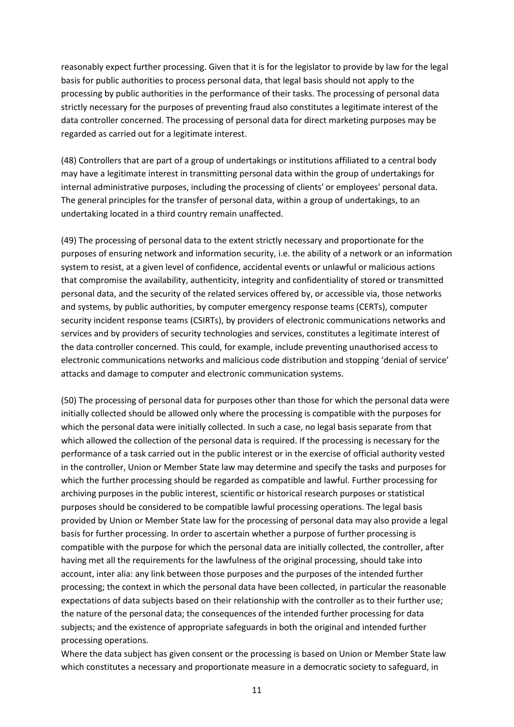reasonably expect further processing. Given that it is for the legislator to provide by law for the legal basis for public authorities to process personal data, that legal basis should not apply to the processing by public authorities in the performance of their tasks. The processing of personal data strictly necessary for the purposes of preventing fraud also constitutes a legitimate interest of the data controller concerned. The processing of personal data for direct marketing purposes may be regarded as carried out for a legitimate interest.

(48) Controllers that are part of a group of undertakings or institutions affiliated to a central body may have a legitimate interest in transmitting personal data within the group of undertakings for internal administrative purposes, including the processing of clients' or employees' personal data. The general principles for the transfer of personal data, within a group of undertakings, to an undertaking located in a third country remain unaffected.

(49) The processing of personal data to the extent strictly necessary and proportionate for the purposes of ensuring network and information security, i.e. the ability of a network or an information system to resist, at a given level of confidence, accidental events or unlawful or malicious actions that compromise the availability, authenticity, integrity and confidentiality of stored or transmitted personal data, and the security of the related services offered by, or accessible via, those networks and systems, by public authorities, by computer emergency response teams (CERTs), computer security incident response teams (CSIRTs), by providers of electronic communications networks and services and by providers of security technologies and services, constitutes a legitimate interest of the data controller concerned. This could, for example, include preventing unauthorised access to electronic communications networks and malicious code distribution and stopping 'denial of service' attacks and damage to computer and electronic communication systems.

(50) The processing of personal data for purposes other than those for which the personal data were initially collected should be allowed only where the processing is compatible with the purposes for which the personal data were initially collected. In such a case, no legal basis separate from that which allowed the collection of the personal data is required. If the processing is necessary for the performance of a task carried out in the public interest or in the exercise of official authority vested in the controller, Union or Member State law may determine and specify the tasks and purposes for which the further processing should be regarded as compatible and lawful. Further processing for archiving purposes in the public interest, scientific or historical research purposes or statistical purposes should be considered to be compatible lawful processing operations. The legal basis provided by Union or Member State law for the processing of personal data may also provide a legal basis for further processing. In order to ascertain whether a purpose of further processing is compatible with the purpose for which the personal data are initially collected, the controller, after having met all the requirements for the lawfulness of the original processing, should take into account, inter alia: any link between those purposes and the purposes of the intended further processing; the context in which the personal data have been collected, in particular the reasonable expectations of data subjects based on their relationship with the controller as to their further use; the nature of the personal data; the consequences of the intended further processing for data subjects; and the existence of appropriate safeguards in both the original and intended further processing operations.

Where the data subject has given consent or the processing is based on Union or Member State law which constitutes a necessary and proportionate measure in a democratic society to safeguard, in

11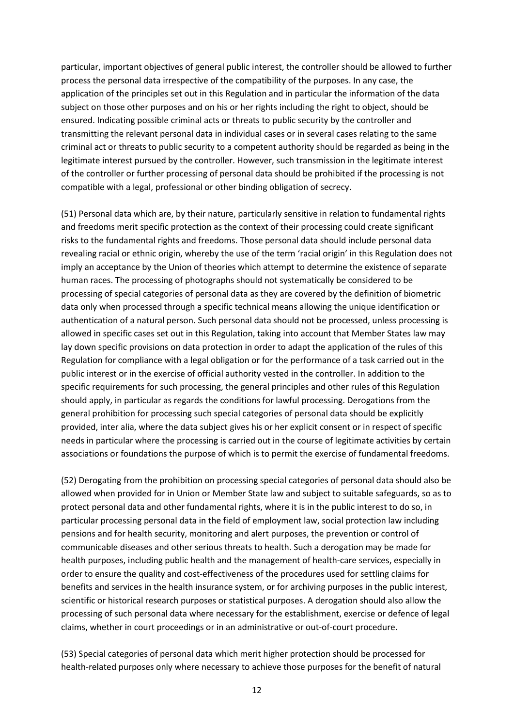particular, important objectives of general public interest, the controller should be allowed to further process the personal data irrespective of the compatibility of the purposes. In any case, the application of the principles set out in this Regulation and in particular the information of the data subject on those other purposes and on his or her rights including the right to object, should be ensured. Indicating possible criminal acts or threats to public security by the controller and transmitting the relevant personal data in individual cases or in several cases relating to the same criminal act or threats to public security to a competent authority should be regarded as being in the legitimate interest pursued by the controller. However, such transmission in the legitimate interest of the controller or further processing of personal data should be prohibited if the processing is not compatible with a legal, professional or other binding obligation of secrecy.

(51) Personal data which are, by their nature, particularly sensitive in relation to fundamental rights and freedoms merit specific protection as the context of their processing could create significant risks to the fundamental rights and freedoms. Those personal data should include personal data revealing racial or ethnic origin, whereby the use of the term 'racial origin' in this Regulation does not imply an acceptance by the Union of theories which attempt to determine the existence of separate human races. The processing of photographs should not systematically be considered to be processing of special categories of personal data as they are covered by the definition of biometric data only when processed through a specific technical means allowing the unique identification or authentication of a natural person. Such personal data should not be processed, unless processing is allowed in specific cases set out in this Regulation, taking into account that Member States law may lay down specific provisions on data protection in order to adapt the application of the rules of this Regulation for compliance with a legal obligation or for the performance of a task carried out in the public interest or in the exercise of official authority vested in the controller. In addition to the specific requirements for such processing, the general principles and other rules of this Regulation should apply, in particular as regards the conditions for lawful processing. Derogations from the general prohibition for processing such special categories of personal data should be explicitly provided, inter alia, where the data subject gives his or her explicit consent or in respect of specific needs in particular where the processing is carried out in the course of legitimate activities by certain associations or foundations the purpose of which is to permit the exercise of fundamental freedoms.

(52) Derogating from the prohibition on processing special categories of personal data should also be allowed when provided for in Union or Member State law and subject to suitable safeguards, so as to protect personal data and other fundamental rights, where it is in the public interest to do so, in particular processing personal data in the field of employment law, social protection law including pensions and for health security, monitoring and alert purposes, the prevention or control of communicable diseases and other serious threats to health. Such a derogation may be made for health purposes, including public health and the management of health-care services, especially in order to ensure the quality and cost-effectiveness of the procedures used for settling claims for benefits and services in the health insurance system, or for archiving purposes in the public interest, scientific or historical research purposes or statistical purposes. A derogation should also allow the processing of such personal data where necessary for the establishment, exercise or defence of legal claims, whether in court proceedings or in an administrative or out-of-court procedure.

(53) Special categories of personal data which merit higher protection should be processed for health-related purposes only where necessary to achieve those purposes for the benefit of natural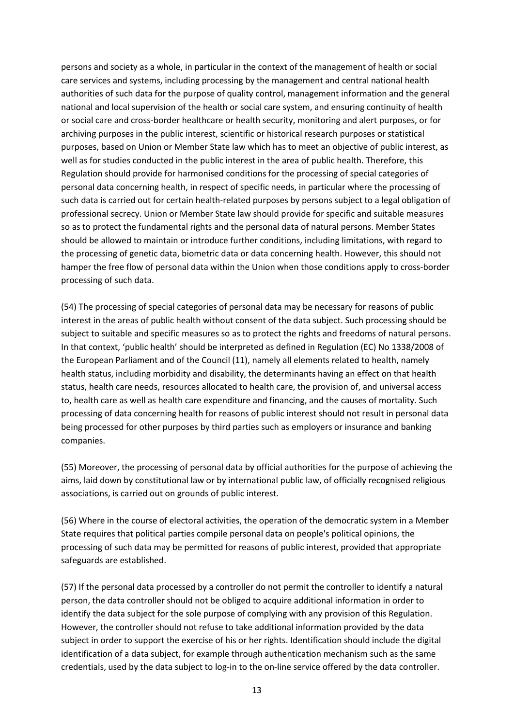persons and society as a whole, in particular in the context of the management of health or social care services and systems, including processing by the management and central national health authorities of such data for the purpose of quality control, management information and the general national and local supervision of the health or social care system, and ensuring continuity of health or social care and cross-border healthcare or health security, monitoring and alert purposes, or for archiving purposes in the public interest, scientific or historical research purposes or statistical purposes, based on Union or Member State law which has to meet an objective of public interest, as well as for studies conducted in the public interest in the area of public health. Therefore, this Regulation should provide for harmonised conditions for the processing of special categories of personal data concerning health, in respect of specific needs, in particular where the processing of such data is carried out for certain health-related purposes by persons subject to a legal obligation of professional secrecy. Union or Member State law should provide for specific and suitable measures so as to protect the fundamental rights and the personal data of natural persons. Member States should be allowed to maintain or introduce further conditions, including limitations, with regard to the processing of genetic data, biometric data or data concerning health. However, this should not hamper the free flow of personal data within the Union when those conditions apply to cross-border processing of such data.

(54) The processing of special categories of personal data may be necessary for reasons of public interest in the areas of public health without consent of the data subject. Such processing should be subject to suitable and specific measures so as to protect the rights and freedoms of natural persons. In that context, 'public health' should be interpreted as defined in Regulation (EC) No 1338/2008 of the European Parliament and of the Council (11), namely all elements related to health, namely health status, including morbidity and disability, the determinants having an effect on that health status, health care needs, resources allocated to health care, the provision of, and universal access to, health care as well as health care expenditure and financing, and the causes of mortality. Such processing of data concerning health for reasons of public interest should not result in personal data being processed for other purposes by third parties such as employers or insurance and banking companies.

(55) Moreover, the processing of personal data by official authorities for the purpose of achieving the aims, laid down by constitutional law or by international public law, of officially recognised religious associations, is carried out on grounds of public interest.

(56) Where in the course of electoral activities, the operation of the democratic system in a Member State requires that political parties compile personal data on people's political opinions, the processing of such data may be permitted for reasons of public interest, provided that appropriate safeguards are established.

(57) If the personal data processed by a controller do not permit the controller to identify a natural person, the data controller should not be obliged to acquire additional information in order to identify the data subject for the sole purpose of complying with any provision of this Regulation. However, the controller should not refuse to take additional information provided by the data subject in order to support the exercise of his or her rights. Identification should include the digital identification of a data subject, for example through authentication mechanism such as the same credentials, used by the data subject to log-in to the on-line service offered by the data controller.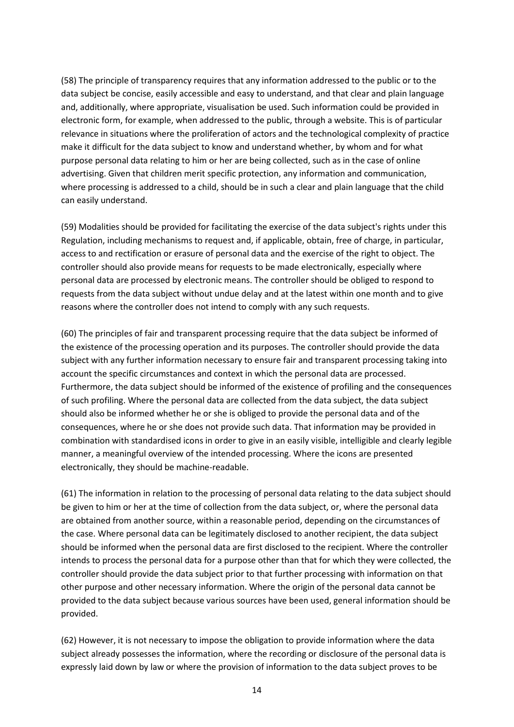(58) The principle of transparency requires that any information addressed to the public or to the data subject be concise, easily accessible and easy to understand, and that clear and plain language and, additionally, where appropriate, visualisation be used. Such information could be provided in electronic form, for example, when addressed to the public, through a website. This is of particular relevance in situations where the proliferation of actors and the technological complexity of practice make it difficult for the data subject to know and understand whether, by whom and for what purpose personal data relating to him or her are being collected, such as in the case of online advertising. Given that children merit specific protection, any information and communication, where processing is addressed to a child, should be in such a clear and plain language that the child can easily understand.

(59) Modalities should be provided for facilitating the exercise of the data subject's rights under this Regulation, including mechanisms to request and, if applicable, obtain, free of charge, in particular, access to and rectification or erasure of personal data and the exercise of the right to object. The controller should also provide means for requests to be made electronically, especially where personal data are processed by electronic means. The controller should be obliged to respond to requests from the data subject without undue delay and at the latest within one month and to give reasons where the controller does not intend to comply with any such requests.

(60) The principles of fair and transparent processing require that the data subject be informed of the existence of the processing operation and its purposes. The controller should provide the data subject with any further information necessary to ensure fair and transparent processing taking into account the specific circumstances and context in which the personal data are processed. Furthermore, the data subject should be informed of the existence of profiling and the consequences of such profiling. Where the personal data are collected from the data subject, the data subject should also be informed whether he or she is obliged to provide the personal data and of the consequences, where he or she does not provide such data. That information may be provided in combination with standardised icons in order to give in an easily visible, intelligible and clearly legible manner, a meaningful overview of the intended processing. Where the icons are presented electronically, they should be machine-readable.

(61) The information in relation to the processing of personal data relating to the data subject should be given to him or her at the time of collection from the data subject, or, where the personal data are obtained from another source, within a reasonable period, depending on the circumstances of the case. Where personal data can be legitimately disclosed to another recipient, the data subject should be informed when the personal data are first disclosed to the recipient. Where the controller intends to process the personal data for a purpose other than that for which they were collected, the controller should provide the data subject prior to that further processing with information on that other purpose and other necessary information. Where the origin of the personal data cannot be provided to the data subject because various sources have been used, general information should be provided.

(62) However, it is not necessary to impose the obligation to provide information where the data subject already possesses the information, where the recording or disclosure of the personal data is expressly laid down by law or where the provision of information to the data subject proves to be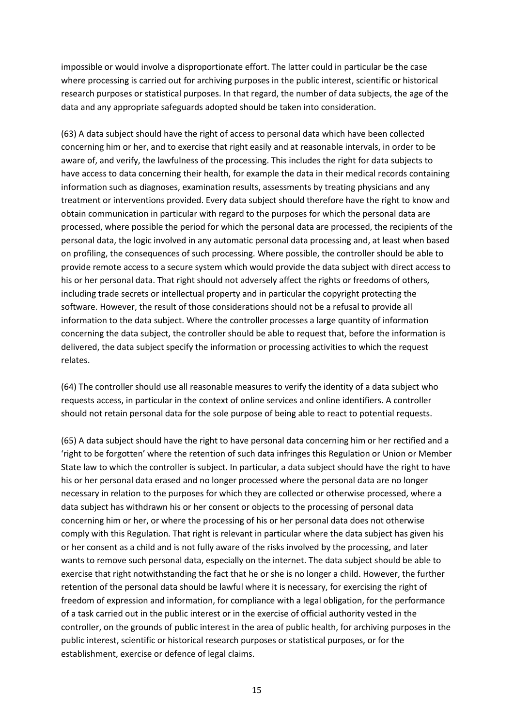impossible or would involve a disproportionate effort. The latter could in particular be the case where processing is carried out for archiving purposes in the public interest, scientific or historical research purposes or statistical purposes. In that regard, the number of data subjects, the age of the data and any appropriate safeguards adopted should be taken into consideration.

(63) A data subject should have the right of access to personal data which have been collected concerning him or her, and to exercise that right easily and at reasonable intervals, in order to be aware of, and verify, the lawfulness of the processing. This includes the right for data subjects to have access to data concerning their health, for example the data in their medical records containing information such as diagnoses, examination results, assessments by treating physicians and any treatment or interventions provided. Every data subject should therefore have the right to know and obtain communication in particular with regard to the purposes for which the personal data are processed, where possible the period for which the personal data are processed, the recipients of the personal data, the logic involved in any automatic personal data processing and, at least when based on profiling, the consequences of such processing. Where possible, the controller should be able to provide remote access to a secure system which would provide the data subject with direct access to his or her personal data. That right should not adversely affect the rights or freedoms of others, including trade secrets or intellectual property and in particular the copyright protecting the software. However, the result of those considerations should not be a refusal to provide all information to the data subject. Where the controller processes a large quantity of information concerning the data subject, the controller should be able to request that, before the information is delivered, the data subject specify the information or processing activities to which the request relates.

(64) The controller should use all reasonable measures to verify the identity of a data subject who requests access, in particular in the context of online services and online identifiers. A controller should not retain personal data for the sole purpose of being able to react to potential requests.

(65) A data subject should have the right to have personal data concerning him or her rectified and a 'right to be forgotten' where the retention of such data infringes this Regulation or Union or Member State law to which the controller is subject. In particular, a data subject should have the right to have his or her personal data erased and no longer processed where the personal data are no longer necessary in relation to the purposes for which they are collected or otherwise processed, where a data subject has withdrawn his or her consent or objects to the processing of personal data concerning him or her, or where the processing of his or her personal data does not otherwise comply with this Regulation. That right is relevant in particular where the data subject has given his or her consent as a child and is not fully aware of the risks involved by the processing, and later wants to remove such personal data, especially on the internet. The data subject should be able to exercise that right notwithstanding the fact that he or she is no longer a child. However, the further retention of the personal data should be lawful where it is necessary, for exercising the right of freedom of expression and information, for compliance with a legal obligation, for the performance of a task carried out in the public interest or in the exercise of official authority vested in the controller, on the grounds of public interest in the area of public health, for archiving purposes in the public interest, scientific or historical research purposes or statistical purposes, or for the establishment, exercise or defence of legal claims.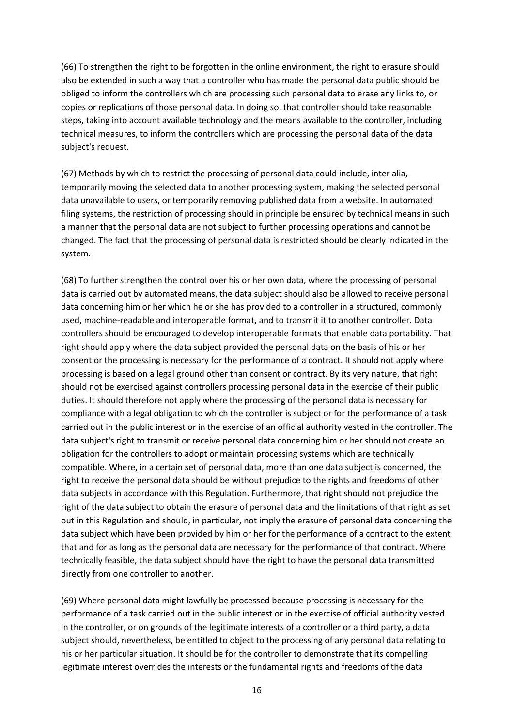(66) To strengthen the right to be forgotten in the online environment, the right to erasure should also be extended in such a way that a controller who has made the personal data public should be obliged to inform the controllers which are processing such personal data to erase any links to, or copies or replications of those personal data. In doing so, that controller should take reasonable steps, taking into account available technology and the means available to the controller, including technical measures, to inform the controllers which are processing the personal data of the data subject's request.

(67) Methods by which to restrict the processing of personal data could include, inter alia, temporarily moving the selected data to another processing system, making the selected personal data unavailable to users, or temporarily removing published data from a website. In automated filing systems, the restriction of processing should in principle be ensured by technical means in such a manner that the personal data are not subject to further processing operations and cannot be changed. The fact that the processing of personal data is restricted should be clearly indicated in the system.

(68) To further strengthen the control over his or her own data, where the processing of personal data is carried out by automated means, the data subject should also be allowed to receive personal data concerning him or her which he or she has provided to a controller in a structured, commonly used, machine-readable and interoperable format, and to transmit it to another controller. Data controllers should be encouraged to develop interoperable formats that enable data portability. That right should apply where the data subject provided the personal data on the basis of his or her consent or the processing is necessary for the performance of a contract. It should not apply where processing is based on a legal ground other than consent or contract. By its very nature, that right should not be exercised against controllers processing personal data in the exercise of their public duties. It should therefore not apply where the processing of the personal data is necessary for compliance with a legal obligation to which the controller is subject or for the performance of a task carried out in the public interest or in the exercise of an official authority vested in the controller. The data subject's right to transmit or receive personal data concerning him or her should not create an obligation for the controllers to adopt or maintain processing systems which are technically compatible. Where, in a certain set of personal data, more than one data subject is concerned, the right to receive the personal data should be without prejudice to the rights and freedoms of other data subjects in accordance with this Regulation. Furthermore, that right should not prejudice the right of the data subject to obtain the erasure of personal data and the limitations of that right as set out in this Regulation and should, in particular, not imply the erasure of personal data concerning the data subject which have been provided by him or her for the performance of a contract to the extent that and for as long as the personal data are necessary for the performance of that contract. Where technically feasible, the data subject should have the right to have the personal data transmitted directly from one controller to another.

(69) Where personal data might lawfully be processed because processing is necessary for the performance of a task carried out in the public interest or in the exercise of official authority vested in the controller, or on grounds of the legitimate interests of a controller or a third party, a data subject should, nevertheless, be entitled to object to the processing of any personal data relating to his or her particular situation. It should be for the controller to demonstrate that its compelling legitimate interest overrides the interests or the fundamental rights and freedoms of the data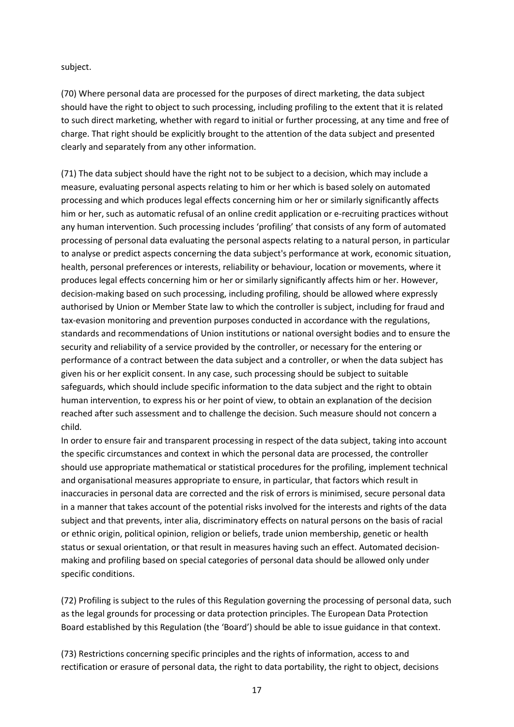## subject.

(70) Where personal data are processed for the purposes of direct marketing, the data subject should have the right to object to such processing, including profiling to the extent that it is related to such direct marketing, whether with regard to initial or further processing, at any time and free of charge. That right should be explicitly brought to the attention of the data subject and presented clearly and separately from any other information.

(71) The data subject should have the right not to be subject to a decision, which may include a measure, evaluating personal aspects relating to him or her which is based solely on automated processing and which produces legal effects concerning him or her or similarly significantly affects him or her, such as automatic refusal of an online credit application or e-recruiting practices without any human intervention. Such processing includes 'profiling' that consists of any form of automated processing of personal data evaluating the personal aspects relating to a natural person, in particular to analyse or predict aspects concerning the data subject's performance at work, economic situation, health, personal preferences or interests, reliability or behaviour, location or movements, where it produces legal effects concerning him or her or similarly significantly affects him or her. However, decision-making based on such processing, including profiling, should be allowed where expressly authorised by Union or Member State law to which the controller is subject, including for fraud and tax-evasion monitoring and prevention purposes conducted in accordance with the regulations, standards and recommendations of Union institutions or national oversight bodies and to ensure the security and reliability of a service provided by the controller, or necessary for the entering or performance of a contract between the data subject and a controller, or when the data subject has given his or her explicit consent. In any case, such processing should be subject to suitable safeguards, which should include specific information to the data subject and the right to obtain human intervention, to express his or her point of view, to obtain an explanation of the decision reached after such assessment and to challenge the decision. Such measure should not concern a child.

In order to ensure fair and transparent processing in respect of the data subject, taking into account the specific circumstances and context in which the personal data are processed, the controller should use appropriate mathematical or statistical procedures for the profiling, implement technical and organisational measures appropriate to ensure, in particular, that factors which result in inaccuracies in personal data are corrected and the risk of errors is minimised, secure personal data in a manner that takes account of the potential risks involved for the interests and rights of the data subject and that prevents, inter alia, discriminatory effects on natural persons on the basis of racial or ethnic origin, political opinion, religion or beliefs, trade union membership, genetic or health status or sexual orientation, or that result in measures having such an effect. Automated decisionmaking and profiling based on special categories of personal data should be allowed only under specific conditions.

(72) Profiling is subject to the rules of this Regulation governing the processing of personal data, such as the legal grounds for processing or data protection principles. The European Data Protection Board established by this Regulation (the 'Board') should be able to issue guidance in that context.

(73) Restrictions concerning specific principles and the rights of information, access to and rectification or erasure of personal data, the right to data portability, the right to object, decisions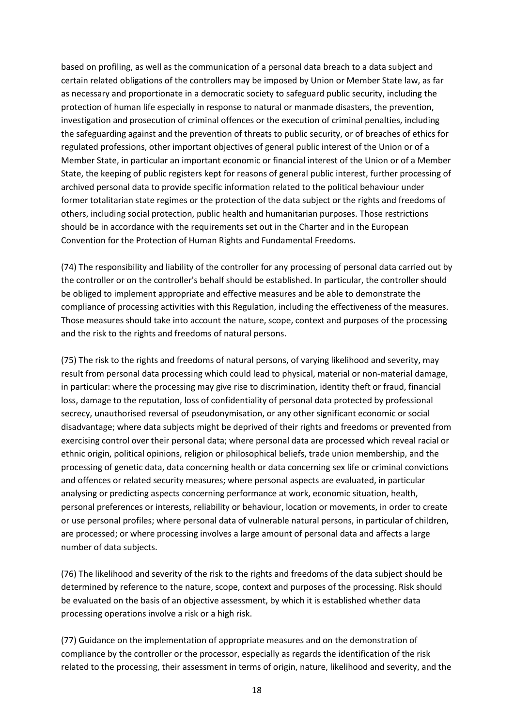based on profiling, as well as the communication of a personal data breach to a data subject and certain related obligations of the controllers may be imposed by Union or Member State law, as far as necessary and proportionate in a democratic society to safeguard public security, including the protection of human life especially in response to natural or manmade disasters, the prevention, investigation and prosecution of criminal offences or the execution of criminal penalties, including the safeguarding against and the prevention of threats to public security, or of breaches of ethics for regulated professions, other important objectives of general public interest of the Union or of a Member State, in particular an important economic or financial interest of the Union or of a Member State, the keeping of public registers kept for reasons of general public interest, further processing of archived personal data to provide specific information related to the political behaviour under former totalitarian state regimes or the protection of the data subject or the rights and freedoms of others, including social protection, public health and humanitarian purposes. Those restrictions should be in accordance with the requirements set out in the Charter and in the European Convention for the Protection of Human Rights and Fundamental Freedoms.

(74) The responsibility and liability of the controller for any processing of personal data carried out by the controller or on the controller's behalf should be established. In particular, the controller should be obliged to implement appropriate and effective measures and be able to demonstrate the compliance of processing activities with this Regulation, including the effectiveness of the measures. Those measures should take into account the nature, scope, context and purposes of the processing and the risk to the rights and freedoms of natural persons.

(75) The risk to the rights and freedoms of natural persons, of varying likelihood and severity, may result from personal data processing which could lead to physical, material or non-material damage, in particular: where the processing may give rise to discrimination, identity theft or fraud, financial loss, damage to the reputation, loss of confidentiality of personal data protected by professional secrecy, unauthorised reversal of pseudonymisation, or any other significant economic or social disadvantage; where data subjects might be deprived of their rights and freedoms or prevented from exercising control over their personal data; where personal data are processed which reveal racial or ethnic origin, political opinions, religion or philosophical beliefs, trade union membership, and the processing of genetic data, data concerning health or data concerning sex life or criminal convictions and offences or related security measures; where personal aspects are evaluated, in particular analysing or predicting aspects concerning performance at work, economic situation, health, personal preferences or interests, reliability or behaviour, location or movements, in order to create or use personal profiles; where personal data of vulnerable natural persons, in particular of children, are processed; or where processing involves a large amount of personal data and affects a large number of data subjects.

(76) The likelihood and severity of the risk to the rights and freedoms of the data subject should be determined by reference to the nature, scope, context and purposes of the processing. Risk should be evaluated on the basis of an objective assessment, by which it is established whether data processing operations involve a risk or a high risk.

(77) Guidance on the implementation of appropriate measures and on the demonstration of compliance by the controller or the processor, especially as regards the identification of the risk related to the processing, their assessment in terms of origin, nature, likelihood and severity, and the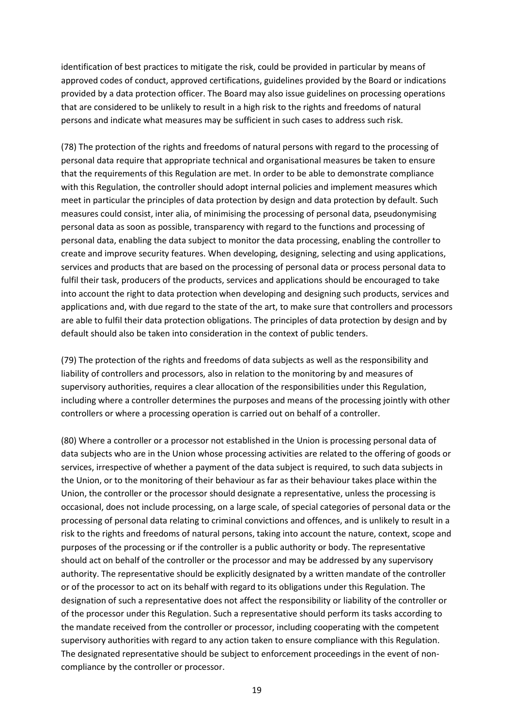identification of best practices to mitigate the risk, could be provided in particular by means of approved codes of conduct, approved certifications, guidelines provided by the Board or indications provided by a data protection officer. The Board may also issue guidelines on processing operations that are considered to be unlikely to result in a high risk to the rights and freedoms of natural persons and indicate what measures may be sufficient in such cases to address such risk.

(78) The protection of the rights and freedoms of natural persons with regard to the processing of personal data require that appropriate technical and organisational measures be taken to ensure that the requirements of this Regulation are met. In order to be able to demonstrate compliance with this Regulation, the controller should adopt internal policies and implement measures which meet in particular the principles of data protection by design and data protection by default. Such measures could consist, inter alia, of minimising the processing of personal data, pseudonymising personal data as soon as possible, transparency with regard to the functions and processing of personal data, enabling the data subject to monitor the data processing, enabling the controller to create and improve security features. When developing, designing, selecting and using applications, services and products that are based on the processing of personal data or process personal data to fulfil their task, producers of the products, services and applications should be encouraged to take into account the right to data protection when developing and designing such products, services and applications and, with due regard to the state of the art, to make sure that controllers and processors are able to fulfil their data protection obligations. The principles of data protection by design and by default should also be taken into consideration in the context of public tenders.

(79) The protection of the rights and freedoms of data subjects as well as the responsibility and liability of controllers and processors, also in relation to the monitoring by and measures of supervisory authorities, requires a clear allocation of the responsibilities under this Regulation, including where a controller determines the purposes and means of the processing jointly with other controllers or where a processing operation is carried out on behalf of a controller.

(80) Where a controller or a processor not established in the Union is processing personal data of data subjects who are in the Union whose processing activities are related to the offering of goods or services, irrespective of whether a payment of the data subject is required, to such data subjects in the Union, or to the monitoring of their behaviour as far as their behaviour takes place within the Union, the controller or the processor should designate a representative, unless the processing is occasional, does not include processing, on a large scale, of special categories of personal data or the processing of personal data relating to criminal convictions and offences, and is unlikely to result in a risk to the rights and freedoms of natural persons, taking into account the nature, context, scope and purposes of the processing or if the controller is a public authority or body. The representative should act on behalf of the controller or the processor and may be addressed by any supervisory authority. The representative should be explicitly designated by a written mandate of the controller or of the processor to act on its behalf with regard to its obligations under this Regulation. The designation of such a representative does not affect the responsibility or liability of the controller or of the processor under this Regulation. Such a representative should perform its tasks according to the mandate received from the controller or processor, including cooperating with the competent supervisory authorities with regard to any action taken to ensure compliance with this Regulation. The designated representative should be subject to enforcement proceedings in the event of noncompliance by the controller or processor.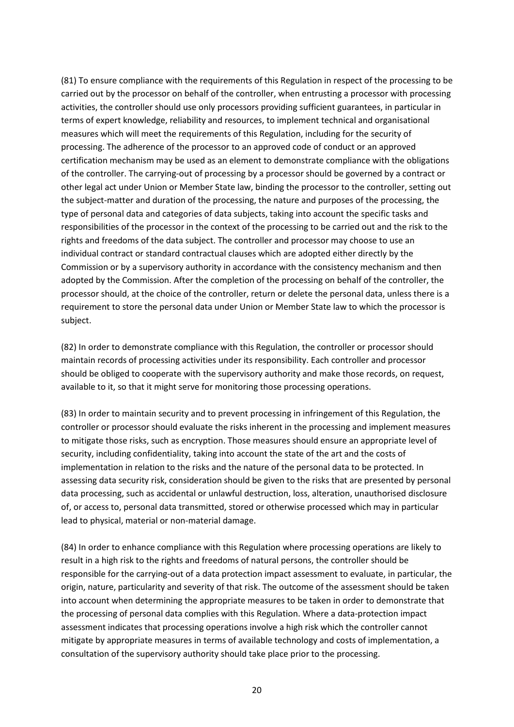(81) To ensure compliance with the requirements of this Regulation in respect of the processing to be carried out by the processor on behalf of the controller, when entrusting a processor with processing activities, the controller should use only processors providing sufficient guarantees, in particular in terms of expert knowledge, reliability and resources, to implement technical and organisational measures which will meet the requirements of this Regulation, including for the security of processing. The adherence of the processor to an approved code of conduct or an approved certification mechanism may be used as an element to demonstrate compliance with the obligations of the controller. The carrying-out of processing by a processor should be governed by a contract or other legal act under Union or Member State law, binding the processor to the controller, setting out the subject-matter and duration of the processing, the nature and purposes of the processing, the type of personal data and categories of data subjects, taking into account the specific tasks and responsibilities of the processor in the context of the processing to be carried out and the risk to the rights and freedoms of the data subject. The controller and processor may choose to use an individual contract or standard contractual clauses which are adopted either directly by the Commission or by a supervisory authority in accordance with the consistency mechanism and then adopted by the Commission. After the completion of the processing on behalf of the controller, the processor should, at the choice of the controller, return or delete the personal data, unless there is a requirement to store the personal data under Union or Member State law to which the processor is subject.

(82) In order to demonstrate compliance with this Regulation, the controller or processor should maintain records of processing activities under its responsibility. Each controller and processor should be obliged to cooperate with the supervisory authority and make those records, on request, available to it, so that it might serve for monitoring those processing operations.

(83) In order to maintain security and to prevent processing in infringement of this Regulation, the controller or processor should evaluate the risks inherent in the processing and implement measures to mitigate those risks, such as encryption. Those measures should ensure an appropriate level of security, including confidentiality, taking into account the state of the art and the costs of implementation in relation to the risks and the nature of the personal data to be protected. In assessing data security risk, consideration should be given to the risks that are presented by personal data processing, such as accidental or unlawful destruction, loss, alteration, unauthorised disclosure of, or access to, personal data transmitted, stored or otherwise processed which may in particular lead to physical, material or non-material damage.

(84) In order to enhance compliance with this Regulation where processing operations are likely to result in a high risk to the rights and freedoms of natural persons, the controller should be responsible for the carrying-out of a data protection impact assessment to evaluate, in particular, the origin, nature, particularity and severity of that risk. The outcome of the assessment should be taken into account when determining the appropriate measures to be taken in order to demonstrate that the processing of personal data complies with this Regulation. Where a data-protection impact assessment indicates that processing operations involve a high risk which the controller cannot mitigate by appropriate measures in terms of available technology and costs of implementation, a consultation of the supervisory authority should take place prior to the processing.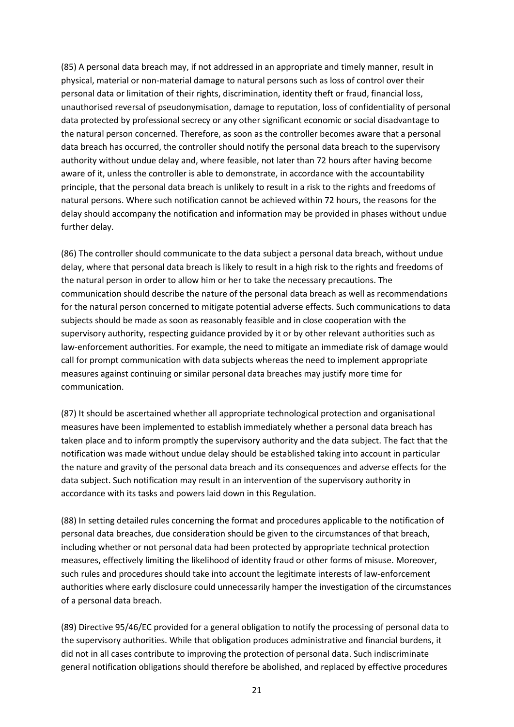(85) A personal data breach may, if not addressed in an appropriate and timely manner, result in physical, material or non-material damage to natural persons such as loss of control over their personal data or limitation of their rights, discrimination, identity theft or fraud, financial loss, unauthorised reversal of pseudonymisation, damage to reputation, loss of confidentiality of personal data protected by professional secrecy or any other significant economic or social disadvantage to the natural person concerned. Therefore, as soon as the controller becomes aware that a personal data breach has occurred, the controller should notify the personal data breach to the supervisory authority without undue delay and, where feasible, not later than 72 hours after having become aware of it, unless the controller is able to demonstrate, in accordance with the accountability principle, that the personal data breach is unlikely to result in a risk to the rights and freedoms of natural persons. Where such notification cannot be achieved within 72 hours, the reasons for the delay should accompany the notification and information may be provided in phases without undue further delay.

(86) The controller should communicate to the data subject a personal data breach, without undue delay, where that personal data breach is likely to result in a high risk to the rights and freedoms of the natural person in order to allow him or her to take the necessary precautions. The communication should describe the nature of the personal data breach as well as recommendations for the natural person concerned to mitigate potential adverse effects. Such communications to data subjects should be made as soon as reasonably feasible and in close cooperation with the supervisory authority, respecting guidance provided by it or by other relevant authorities such as law-enforcement authorities. For example, the need to mitigate an immediate risk of damage would call for prompt communication with data subjects whereas the need to implement appropriate measures against continuing or similar personal data breaches may justify more time for communication.

(87) It should be ascertained whether all appropriate technological protection and organisational measures have been implemented to establish immediately whether a personal data breach has taken place and to inform promptly the supervisory authority and the data subject. The fact that the notification was made without undue delay should be established taking into account in particular the nature and gravity of the personal data breach and its consequences and adverse effects for the data subject. Such notification may result in an intervention of the supervisory authority in accordance with its tasks and powers laid down in this Regulation.

(88) In setting detailed rules concerning the format and procedures applicable to the notification of personal data breaches, due consideration should be given to the circumstances of that breach, including whether or not personal data had been protected by appropriate technical protection measures, effectively limiting the likelihood of identity fraud or other forms of misuse. Moreover, such rules and procedures should take into account the legitimate interests of law-enforcement authorities where early disclosure could unnecessarily hamper the investigation of the circumstances of a personal data breach.

(89) Directive 95/46/EC provided for a general obligation to notify the processing of personal data to the supervisory authorities. While that obligation produces administrative and financial burdens, it did not in all cases contribute to improving the protection of personal data. Such indiscriminate general notification obligations should therefore be abolished, and replaced by effective procedures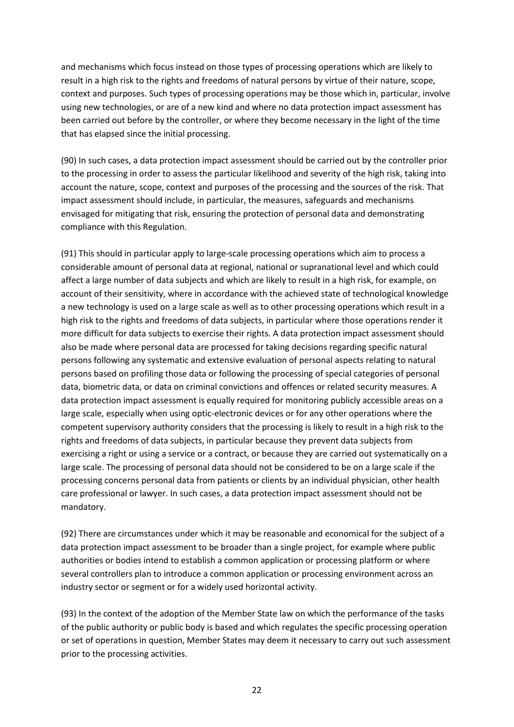and mechanisms which focus instead on those types of processing operations which are likely to result in a high risk to the rights and freedoms of natural persons by virtue of their nature, scope, context and purposes. Such types of processing operations may be those which in, particular, involve using new technologies, or are of a new kind and where no data protection impact assessment has been carried out before by the controller, or where they become necessary in the light of the time that has elapsed since the initial processing.

(90) In such cases, a data protection impact assessment should be carried out by the controller prior to the processing in order to assess the particular likelihood and severity of the high risk, taking into account the nature, scope, context and purposes of the processing and the sources of the risk. That impact assessment should include, in particular, the measures, safeguards and mechanisms envisaged for mitigating that risk, ensuring the protection of personal data and demonstrating compliance with this Regulation.

(91) This should in particular apply to large-scale processing operations which aim to process a considerable amount of personal data at regional, national or supranational level and which could affect a large number of data subjects and which are likely to result in a high risk, for example, on account of their sensitivity, where in accordance with the achieved state of technological knowledge a new technology is used on a large scale as well as to other processing operations which result in a high risk to the rights and freedoms of data subjects, in particular where those operations render it more difficult for data subjects to exercise their rights. A data protection impact assessment should also be made where personal data are processed for taking decisions regarding specific natural persons following any systematic and extensive evaluation of personal aspects relating to natural persons based on profiling those data or following the processing of special categories of personal data, biometric data, or data on criminal convictions and offences or related security measures. A data protection impact assessment is equally required for monitoring publicly accessible areas on a large scale, especially when using optic-electronic devices or for any other operations where the competent supervisory authority considers that the processing is likely to result in a high risk to the rights and freedoms of data subjects, in particular because they prevent data subjects from exercising a right or using a service or a contract, or because they are carried out systematically on a large scale. The processing of personal data should not be considered to be on a large scale if the processing concerns personal data from patients or clients by an individual physician, other health care professional or lawyer. In such cases, a data protection impact assessment should not be mandatory.

(92) There are circumstances under which it may be reasonable and economical for the subject of a data protection impact assessment to be broader than a single project, for example where public authorities or bodies intend to establish a common application or processing platform or where several controllers plan to introduce a common application or processing environment across an industry sector or segment or for a widely used horizontal activity.

(93) In the context of the adoption of the Member State law on which the performance of the tasks of the public authority or public body is based and which regulates the specific processing operation or set of operations in question, Member States may deem it necessary to carry out such assessment prior to the processing activities.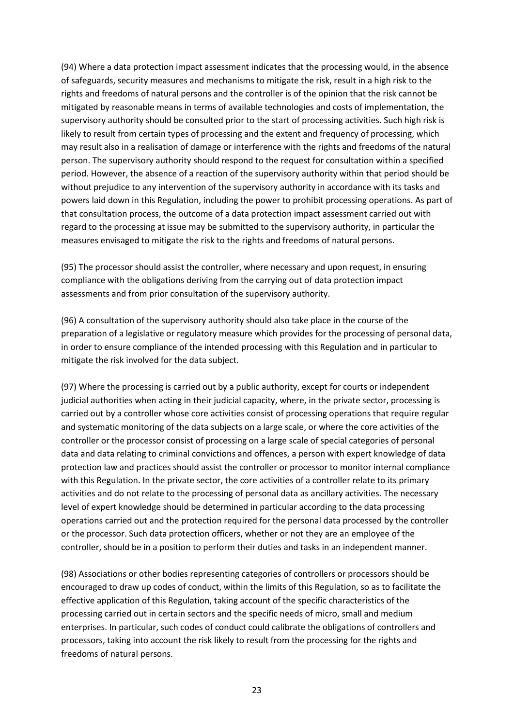(94) Where a data protection impact assessment indicates that the processing would, in the absence of safeguards, security measures and mechanisms to mitigate the risk, result in a high risk to the rights and freedoms of natural persons and the controller is of the opinion that the risk cannot be mitigated by reasonable means in terms of available technologies and costs of implementation, the supervisory authority should be consulted prior to the start of processing activities. Such high risk is likely to result from certain types of processing and the extent and frequency of processing, which may result also in a realisation of damage or interference with the rights and freedoms of the natural person. The supervisory authority should respond to the request for consultation within a specified period. However, the absence of a reaction of the supervisory authority within that period should be without prejudice to any intervention of the supervisory authority in accordance with its tasks and powers laid down in this Regulation, including the power to prohibit processing operations. As part of that consultation process, the outcome of a data protection impact assessment carried out with regard to the processing at issue may be submitted to the supervisory authority, in particular the measures envisaged to mitigate the risk to the rights and freedoms of natural persons.

(95) The processor should assist the controller, where necessary and upon request, in ensuring compliance with the obligations deriving from the carrying out of data protection impact assessments and from prior consultation of the supervisory authority.

(96) A consultation of the supervisory authority should also take place in the course of the preparation of a legislative or regulatory measure which provides for the processing of personal data, in order to ensure compliance of the intended processing with this Regulation and in particular to mitigate the risk involved for the data subject.

(97) Where the processing is carried out by a public authority, except for courts or independent judicial authorities when acting in their judicial capacity, where, in the private sector, processing is carried out by a controller whose core activities consist of processing operations that require regular and systematic monitoring of the data subjects on a large scale, or where the core activities of the controller or the processor consist of processing on a large scale of special categories of personal data and data relating to criminal convictions and offences, a person with expert knowledge of data protection law and practices should assist the controller or processor to monitor internal compliance with this Regulation. In the private sector, the core activities of a controller relate to its primary activities and do not relate to the processing of personal data as ancillary activities. The necessary level of expert knowledge should be determined in particular according to the data processing operations carried out and the protection required for the personal data processed by the controller or the processor. Such data protection officers, whether or not they are an employee of the controller, should be in a position to perform their duties and tasks in an independent manner.

(98) Associations or other bodies representing categories of controllers or processors should be encouraged to draw up codes of conduct, within the limits of this Regulation, so as to facilitate the effective application of this Regulation, taking account of the specific characteristics of the processing carried out in certain sectors and the specific needs of micro, small and medium enterprises. In particular, such codes of conduct could calibrate the obligations of controllers and processors, taking into account the risk likely to result from the processing for the rights and freedoms of natural persons.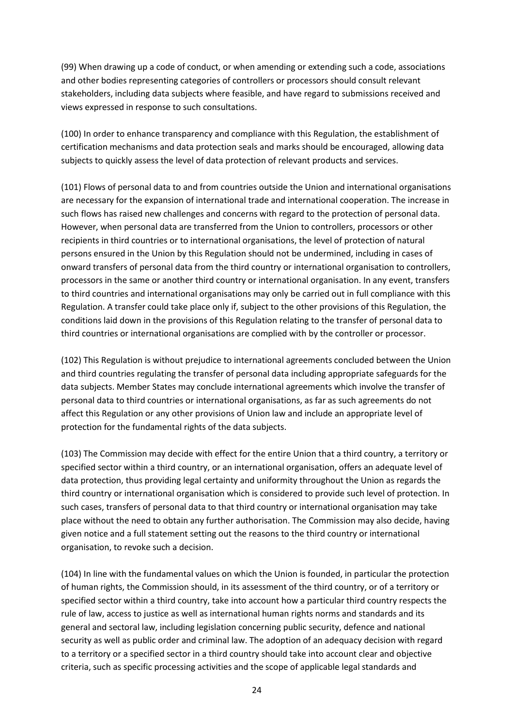(99) When drawing up a code of conduct, or when amending or extending such a code, associations and other bodies representing categories of controllers or processors should consult relevant stakeholders, including data subjects where feasible, and have regard to submissions received and views expressed in response to such consultations.

(100) In order to enhance transparency and compliance with this Regulation, the establishment of certification mechanisms and data protection seals and marks should be encouraged, allowing data subjects to quickly assess the level of data protection of relevant products and services.

(101) Flows of personal data to and from countries outside the Union and international organisations are necessary for the expansion of international trade and international cooperation. The increase in such flows has raised new challenges and concerns with regard to the protection of personal data. However, when personal data are transferred from the Union to controllers, processors or other recipients in third countries or to international organisations, the level of protection of natural persons ensured in the Union by this Regulation should not be undermined, including in cases of onward transfers of personal data from the third country or international organisation to controllers, processors in the same or another third country or international organisation. In any event, transfers to third countries and international organisations may only be carried out in full compliance with this Regulation. A transfer could take place only if, subject to the other provisions of this Regulation, the conditions laid down in the provisions of this Regulation relating to the transfer of personal data to third countries or international organisations are complied with by the controller or processor.

(102) This Regulation is without prejudice to international agreements concluded between the Union and third countries regulating the transfer of personal data including appropriate safeguards for the data subjects. Member States may conclude international agreements which involve the transfer of personal data to third countries or international organisations, as far as such agreements do not affect this Regulation or any other provisions of Union law and include an appropriate level of protection for the fundamental rights of the data subjects.

(103) The Commission may decide with effect for the entire Union that a third country, a territory or specified sector within a third country, or an international organisation, offers an adequate level of data protection, thus providing legal certainty and uniformity throughout the Union as regards the third country or international organisation which is considered to provide such level of protection. In such cases, transfers of personal data to that third country or international organisation may take place without the need to obtain any further authorisation. The Commission may also decide, having given notice and a full statement setting out the reasons to the third country or international organisation, to revoke such a decision.

(104) In line with the fundamental values on which the Union is founded, in particular the protection of human rights, the Commission should, in its assessment of the third country, or of a territory or specified sector within a third country, take into account how a particular third country respects the rule of law, access to justice as well as international human rights norms and standards and its general and sectoral law, including legislation concerning public security, defence and national security as well as public order and criminal law. The adoption of an adequacy decision with regard to a territory or a specified sector in a third country should take into account clear and objective criteria, such as specific processing activities and the scope of applicable legal standards and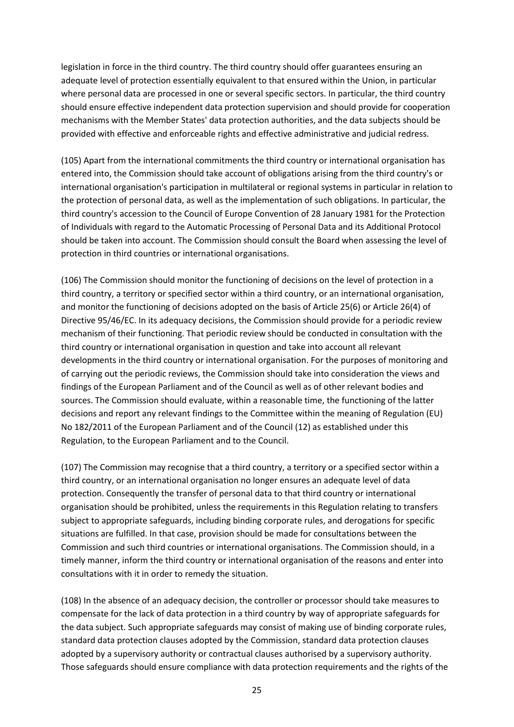legislation in force in the third country. The third country should offer guarantees ensuring an adequate level of protection essentially equivalent to that ensured within the Union, in particular where personal data are processed in one or several specific sectors. In particular, the third country should ensure effective independent data protection supervision and should provide for cooperation mechanisms with the Member States' data protection authorities, and the data subjects should be provided with effective and enforceable rights and effective administrative and judicial redress.

(105) Apart from the international commitments the third country or international organisation has entered into, the Commission should take account of obligations arising from the third country's or international organisation's participation in multilateral or regional systems in particular in relation to the protection of personal data, as well as the implementation of such obligations. In particular, the third country's accession to the Council of Europe Convention of 28 January 1981 for the Protection of Individuals with regard to the Automatic Processing of Personal Data and its Additional Protocol should be taken into account. The Commission should consult the Board when assessing the level of protection in third countries or international organisations.

(106) The Commission should monitor the functioning of decisions on the level of protection in a third country, a territory or specified sector within a third country, or an international organisation, and monitor the functioning of decisions adopted on the basis of Article 25(6) or Article 26(4) of Directive 95/46/EC. In its adequacy decisions, the Commission should provide for a periodic review mechanism of their functioning. That periodic review should be conducted in consultation with the third country or international organisation in question and take into account all relevant developments in the third country or international organisation. For the purposes of monitoring and of carrying out the periodic reviews, the Commission should take into consideration the views and findings of the European Parliament and of the Council as well as of other relevant bodies and sources. The Commission should evaluate, within a reasonable time, the functioning of the latter decisions and report any relevant findings to the Committee within the meaning of Regulation (EU) No 182/2011 of the European Parliament and of the Council (12) as established under this Regulation, to the European Parliament and to the Council.

(107) The Commission may recognise that a third country, a territory or a specified sector within a third country, or an international organisation no longer ensures an adequate level of data protection. Consequently the transfer of personal data to that third country or international organisation should be prohibited, unless the requirements in this Regulation relating to transfers subject to appropriate safeguards, including binding corporate rules, and derogations for specific situations are fulfilled. In that case, provision should be made for consultations between the Commission and such third countries or international organisations. The Commission should, in a timely manner, inform the third country or international organisation of the reasons and enter into consultations with it in order to remedy the situation.

(108) In the absence of an adequacy decision, the controller or processor should take measures to compensate for the lack of data protection in a third country by way of appropriate safeguards for the data subject. Such appropriate safeguards may consist of making use of binding corporate rules, standard data protection clauses adopted by the Commission, standard data protection clauses adopted by a supervisory authority or contractual clauses authorised by a supervisory authority. Those safeguards should ensure compliance with data protection requirements and the rights of the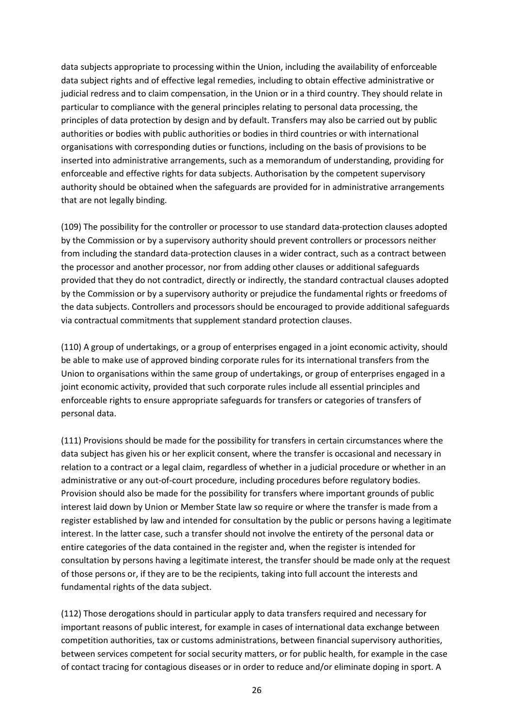data subjects appropriate to processing within the Union, including the availability of enforceable data subject rights and of effective legal remedies, including to obtain effective administrative or judicial redress and to claim compensation, in the Union or in a third country. They should relate in particular to compliance with the general principles relating to personal data processing, the principles of data protection by design and by default. Transfers may also be carried out by public authorities or bodies with public authorities or bodies in third countries or with international organisations with corresponding duties or functions, including on the basis of provisions to be inserted into administrative arrangements, such as a memorandum of understanding, providing for enforceable and effective rights for data subjects. Authorisation by the competent supervisory authority should be obtained when the safeguards are provided for in administrative arrangements that are not legally binding.

(109) The possibility for the controller or processor to use standard data-protection clauses adopted by the Commission or by a supervisory authority should prevent controllers or processors neither from including the standard data-protection clauses in a wider contract, such as a contract between the processor and another processor, nor from adding other clauses or additional safeguards provided that they do not contradict, directly or indirectly, the standard contractual clauses adopted by the Commission or by a supervisory authority or prejudice the fundamental rights or freedoms of the data subjects. Controllers and processors should be encouraged to provide additional safeguards via contractual commitments that supplement standard protection clauses.

(110) A group of undertakings, or a group of enterprises engaged in a joint economic activity, should be able to make use of approved binding corporate rules for its international transfers from the Union to organisations within the same group of undertakings, or group of enterprises engaged in a joint economic activity, provided that such corporate rules include all essential principles and enforceable rights to ensure appropriate safeguards for transfers or categories of transfers of personal data.

(111) Provisions should be made for the possibility for transfers in certain circumstances where the data subject has given his or her explicit consent, where the transfer is occasional and necessary in relation to a contract or a legal claim, regardless of whether in a judicial procedure or whether in an administrative or any out-of-court procedure, including procedures before regulatory bodies. Provision should also be made for the possibility for transfers where important grounds of public interest laid down by Union or Member State law so require or where the transfer is made from a register established by law and intended for consultation by the public or persons having a legitimate interest. In the latter case, such a transfer should not involve the entirety of the personal data or entire categories of the data contained in the register and, when the register is intended for consultation by persons having a legitimate interest, the transfer should be made only at the request of those persons or, if they are to be the recipients, taking into full account the interests and fundamental rights of the data subject.

(112) Those derogations should in particular apply to data transfers required and necessary for important reasons of public interest, for example in cases of international data exchange between competition authorities, tax or customs administrations, between financial supervisory authorities, between services competent for social security matters, or for public health, for example in the case of contact tracing for contagious diseases or in order to reduce and/or eliminate doping in sport. A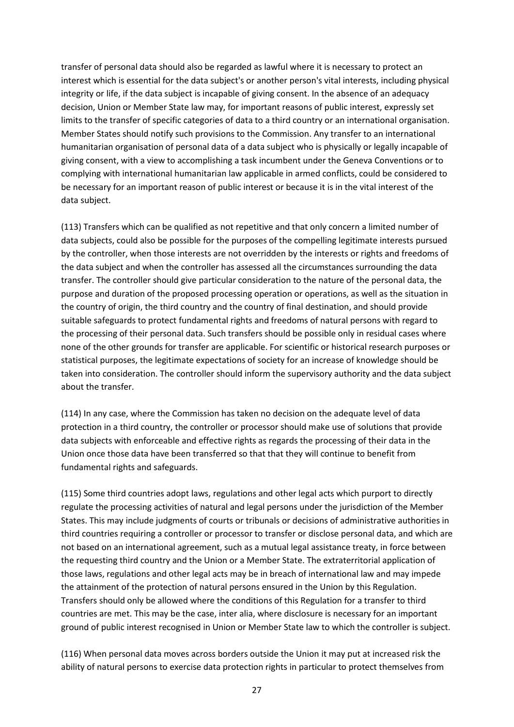transfer of personal data should also be regarded as lawful where it is necessary to protect an interest which is essential for the data subject's or another person's vital interests, including physical integrity or life, if the data subject is incapable of giving consent. In the absence of an adequacy decision, Union or Member State law may, for important reasons of public interest, expressly set limits to the transfer of specific categories of data to a third country or an international organisation. Member States should notify such provisions to the Commission. Any transfer to an international humanitarian organisation of personal data of a data subject who is physically or legally incapable of giving consent, with a view to accomplishing a task incumbent under the Geneva Conventions or to complying with international humanitarian law applicable in armed conflicts, could be considered to be necessary for an important reason of public interest or because it is in the vital interest of the data subject.

(113) Transfers which can be qualified as not repetitive and that only concern a limited number of data subjects, could also be possible for the purposes of the compelling legitimate interests pursued by the controller, when those interests are not overridden by the interests or rights and freedoms of the data subject and when the controller has assessed all the circumstances surrounding the data transfer. The controller should give particular consideration to the nature of the personal data, the purpose and duration of the proposed processing operation or operations, as well as the situation in the country of origin, the third country and the country of final destination, and should provide suitable safeguards to protect fundamental rights and freedoms of natural persons with regard to the processing of their personal data. Such transfers should be possible only in residual cases where none of the other grounds for transfer are applicable. For scientific or historical research purposes or statistical purposes, the legitimate expectations of society for an increase of knowledge should be taken into consideration. The controller should inform the supervisory authority and the data subject about the transfer.

(114) In any case, where the Commission has taken no decision on the adequate level of data protection in a third country, the controller or processor should make use of solutions that provide data subjects with enforceable and effective rights as regards the processing of their data in the Union once those data have been transferred so that that they will continue to benefit from fundamental rights and safeguards.

(115) Some third countries adopt laws, regulations and other legal acts which purport to directly regulate the processing activities of natural and legal persons under the jurisdiction of the Member States. This may include judgments of courts or tribunals or decisions of administrative authorities in third countries requiring a controller or processor to transfer or disclose personal data, and which are not based on an international agreement, such as a mutual legal assistance treaty, in force between the requesting third country and the Union or a Member State. The extraterritorial application of those laws, regulations and other legal acts may be in breach of international law and may impede the attainment of the protection of natural persons ensured in the Union by this Regulation. Transfers should only be allowed where the conditions of this Regulation for a transfer to third countries are met. This may be the case, inter alia, where disclosure is necessary for an important ground of public interest recognised in Union or Member State law to which the controller is subject.

(116) When personal data moves across borders outside the Union it may put at increased risk the ability of natural persons to exercise data protection rights in particular to protect themselves from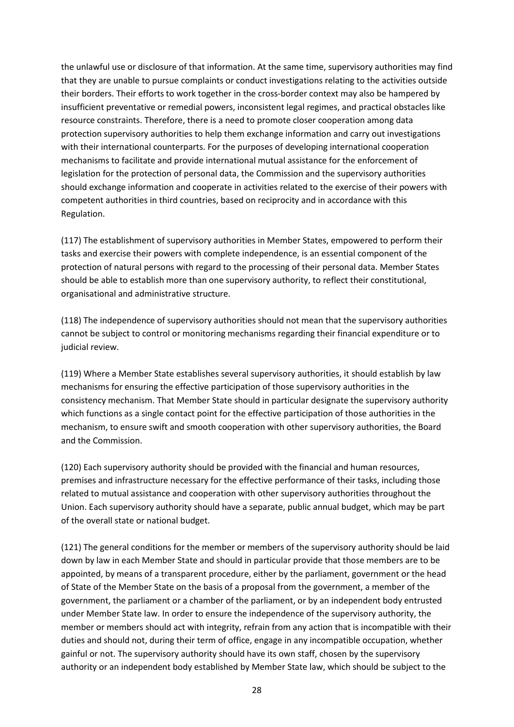the unlawful use or disclosure of that information. At the same time, supervisory authorities may find that they are unable to pursue complaints or conduct investigations relating to the activities outside their borders. Their efforts to work together in the cross-border context may also be hampered by insufficient preventative or remedial powers, inconsistent legal regimes, and practical obstacles like resource constraints. Therefore, there is a need to promote closer cooperation among data protection supervisory authorities to help them exchange information and carry out investigations with their international counterparts. For the purposes of developing international cooperation mechanisms to facilitate and provide international mutual assistance for the enforcement of legislation for the protection of personal data, the Commission and the supervisory authorities should exchange information and cooperate in activities related to the exercise of their powers with competent authorities in third countries, based on reciprocity and in accordance with this Regulation.

(117) The establishment of supervisory authorities in Member States, empowered to perform their tasks and exercise their powers with complete independence, is an essential component of the protection of natural persons with regard to the processing of their personal data. Member States should be able to establish more than one supervisory authority, to reflect their constitutional, organisational and administrative structure.

(118) The independence of supervisory authorities should not mean that the supervisory authorities cannot be subject to control or monitoring mechanisms regarding their financial expenditure or to judicial review.

(119) Where a Member State establishes several supervisory authorities, it should establish by law mechanisms for ensuring the effective participation of those supervisory authorities in the consistency mechanism. That Member State should in particular designate the supervisory authority which functions as a single contact point for the effective participation of those authorities in the mechanism, to ensure swift and smooth cooperation with other supervisory authorities, the Board and the Commission.

(120) Each supervisory authority should be provided with the financial and human resources, premises and infrastructure necessary for the effective performance of their tasks, including those related to mutual assistance and cooperation with other supervisory authorities throughout the Union. Each supervisory authority should have a separate, public annual budget, which may be part of the overall state or national budget.

(121) The general conditions for the member or members of the supervisory authority should be laid down by law in each Member State and should in particular provide that those members are to be appointed, by means of a transparent procedure, either by the parliament, government or the head of State of the Member State on the basis of a proposal from the government, a member of the government, the parliament or a chamber of the parliament, or by an independent body entrusted under Member State law. In order to ensure the independence of the supervisory authority, the member or members should act with integrity, refrain from any action that is incompatible with their duties and should not, during their term of office, engage in any incompatible occupation, whether gainful or not. The supervisory authority should have its own staff, chosen by the supervisory authority or an independent body established by Member State law, which should be subject to the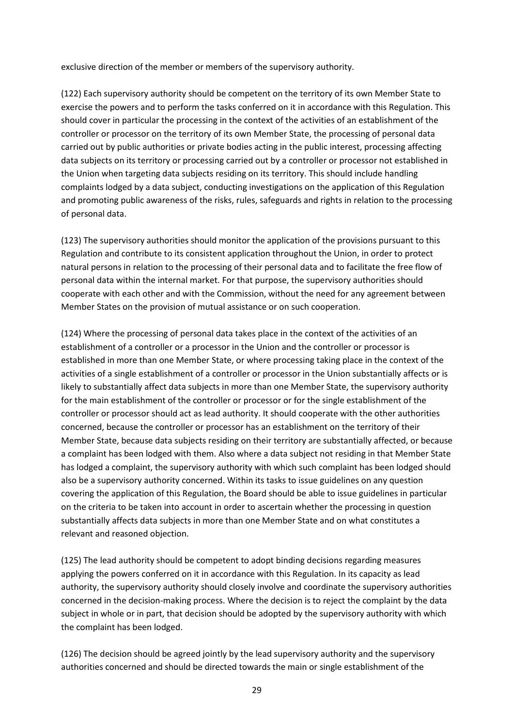exclusive direction of the member or members of the supervisory authority.

(122) Each supervisory authority should be competent on the territory of its own Member State to exercise the powers and to perform the tasks conferred on it in accordance with this Regulation. This should cover in particular the processing in the context of the activities of an establishment of the controller or processor on the territory of its own Member State, the processing of personal data carried out by public authorities or private bodies acting in the public interest, processing affecting data subjects on its territory or processing carried out by a controller or processor not established in the Union when targeting data subjects residing on its territory. This should include handling complaints lodged by a data subject, conducting investigations on the application of this Regulation and promoting public awareness of the risks, rules, safeguards and rights in relation to the processing of personal data.

(123) The supervisory authorities should monitor the application of the provisions pursuant to this Regulation and contribute to its consistent application throughout the Union, in order to protect natural persons in relation to the processing of their personal data and to facilitate the free flow of personal data within the internal market. For that purpose, the supervisory authorities should cooperate with each other and with the Commission, without the need for any agreement between Member States on the provision of mutual assistance or on such cooperation.

(124) Where the processing of personal data takes place in the context of the activities of an establishment of a controller or a processor in the Union and the controller or processor is established in more than one Member State, or where processing taking place in the context of the activities of a single establishment of a controller or processor in the Union substantially affects or is likely to substantially affect data subjects in more than one Member State, the supervisory authority for the main establishment of the controller or processor or for the single establishment of the controller or processor should act as lead authority. It should cooperate with the other authorities concerned, because the controller or processor has an establishment on the territory of their Member State, because data subjects residing on their territory are substantially affected, or because a complaint has been lodged with them. Also where a data subject not residing in that Member State has lodged a complaint, the supervisory authority with which such complaint has been lodged should also be a supervisory authority concerned. Within its tasks to issue guidelines on any question covering the application of this Regulation, the Board should be able to issue guidelines in particular on the criteria to be taken into account in order to ascertain whether the processing in question substantially affects data subjects in more than one Member State and on what constitutes a relevant and reasoned objection.

(125) The lead authority should be competent to adopt binding decisions regarding measures applying the powers conferred on it in accordance with this Regulation. In its capacity as lead authority, the supervisory authority should closely involve and coordinate the supervisory authorities concerned in the decision-making process. Where the decision is to reject the complaint by the data subject in whole or in part, that decision should be adopted by the supervisory authority with which the complaint has been lodged.

(126) The decision should be agreed jointly by the lead supervisory authority and the supervisory authorities concerned and should be directed towards the main or single establishment of the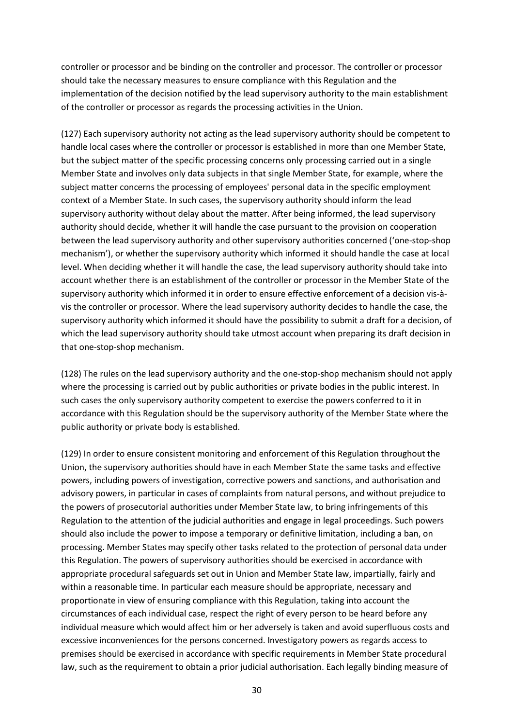controller or processor and be binding on the controller and processor. The controller or processor should take the necessary measures to ensure compliance with this Regulation and the implementation of the decision notified by the lead supervisory authority to the main establishment of the controller or processor as regards the processing activities in the Union.

(127) Each supervisory authority not acting as the lead supervisory authority should be competent to handle local cases where the controller or processor is established in more than one Member State, but the subject matter of the specific processing concerns only processing carried out in a single Member State and involves only data subjects in that single Member State, for example, where the subject matter concerns the processing of employees' personal data in the specific employment context of a Member State. In such cases, the supervisory authority should inform the lead supervisory authority without delay about the matter. After being informed, the lead supervisory authority should decide, whether it will handle the case pursuant to the provision on cooperation between the lead supervisory authority and other supervisory authorities concerned ('one-stop-shop mechanism'), or whether the supervisory authority which informed it should handle the case at local level. When deciding whether it will handle the case, the lead supervisory authority should take into account whether there is an establishment of the controller or processor in the Member State of the supervisory authority which informed it in order to ensure effective enforcement of a decision vis-àvis the controller or processor. Where the lead supervisory authority decides to handle the case, the supervisory authority which informed it should have the possibility to submit a draft for a decision, of which the lead supervisory authority should take utmost account when preparing its draft decision in that one-stop-shop mechanism.

(128) The rules on the lead supervisory authority and the one-stop-shop mechanism should not apply where the processing is carried out by public authorities or private bodies in the public interest. In such cases the only supervisory authority competent to exercise the powers conferred to it in accordance with this Regulation should be the supervisory authority of the Member State where the public authority or private body is established.

(129) In order to ensure consistent monitoring and enforcement of this Regulation throughout the Union, the supervisory authorities should have in each Member State the same tasks and effective powers, including powers of investigation, corrective powers and sanctions, and authorisation and advisory powers, in particular in cases of complaints from natural persons, and without prejudice to the powers of prosecutorial authorities under Member State law, to bring infringements of this Regulation to the attention of the judicial authorities and engage in legal proceedings. Such powers should also include the power to impose a temporary or definitive limitation, including a ban, on processing. Member States may specify other tasks related to the protection of personal data under this Regulation. The powers of supervisory authorities should be exercised in accordance with appropriate procedural safeguards set out in Union and Member State law, impartially, fairly and within a reasonable time. In particular each measure should be appropriate, necessary and proportionate in view of ensuring compliance with this Regulation, taking into account the circumstances of each individual case, respect the right of every person to be heard before any individual measure which would affect him or her adversely is taken and avoid superfluous costs and excessive inconveniences for the persons concerned. Investigatory powers as regards access to premises should be exercised in accordance with specific requirements in Member State procedural law, such as the requirement to obtain a prior judicial authorisation. Each legally binding measure of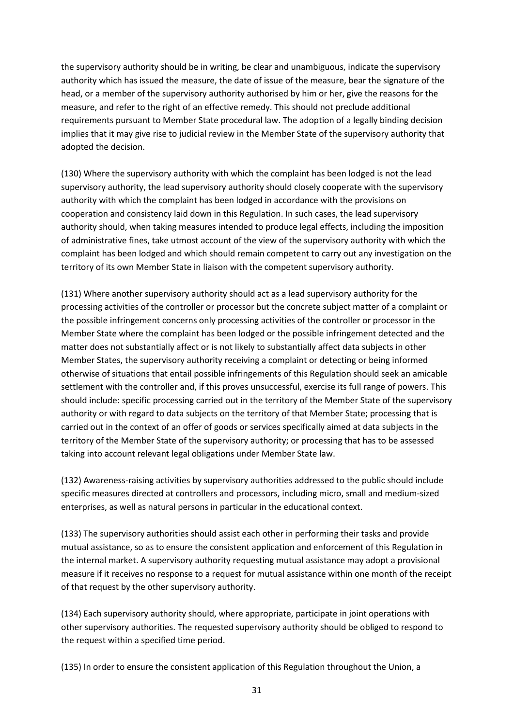the supervisory authority should be in writing, be clear and unambiguous, indicate the supervisory authority which has issued the measure, the date of issue of the measure, bear the signature of the head, or a member of the supervisory authority authorised by him or her, give the reasons for the measure, and refer to the right of an effective remedy. This should not preclude additional requirements pursuant to Member State procedural law. The adoption of a legally binding decision implies that it may give rise to judicial review in the Member State of the supervisory authority that adopted the decision.

(130) Where the supervisory authority with which the complaint has been lodged is not the lead supervisory authority, the lead supervisory authority should closely cooperate with the supervisory authority with which the complaint has been lodged in accordance with the provisions on cooperation and consistency laid down in this Regulation. In such cases, the lead supervisory authority should, when taking measures intended to produce legal effects, including the imposition of administrative fines, take utmost account of the view of the supervisory authority with which the complaint has been lodged and which should remain competent to carry out any investigation on the territory of its own Member State in liaison with the competent supervisory authority.

(131) Where another supervisory authority should act as a lead supervisory authority for the processing activities of the controller or processor but the concrete subject matter of a complaint or the possible infringement concerns only processing activities of the controller or processor in the Member State where the complaint has been lodged or the possible infringement detected and the matter does not substantially affect or is not likely to substantially affect data subjects in other Member States, the supervisory authority receiving a complaint or detecting or being informed otherwise of situations that entail possible infringements of this Regulation should seek an amicable settlement with the controller and, if this proves unsuccessful, exercise its full range of powers. This should include: specific processing carried out in the territory of the Member State of the supervisory authority or with regard to data subjects on the territory of that Member State; processing that is carried out in the context of an offer of goods or services specifically aimed at data subjects in the territory of the Member State of the supervisory authority; or processing that has to be assessed taking into account relevant legal obligations under Member State law.

(132) Awareness-raising activities by supervisory authorities addressed to the public should include specific measures directed at controllers and processors, including micro, small and medium-sized enterprises, as well as natural persons in particular in the educational context.

(133) The supervisory authorities should assist each other in performing their tasks and provide mutual assistance, so as to ensure the consistent application and enforcement of this Regulation in the internal market. A supervisory authority requesting mutual assistance may adopt a provisional measure if it receives no response to a request for mutual assistance within one month of the receipt of that request by the other supervisory authority.

(134) Each supervisory authority should, where appropriate, participate in joint operations with other supervisory authorities. The requested supervisory authority should be obliged to respond to the request within a specified time period.

(135) In order to ensure the consistent application of this Regulation throughout the Union, a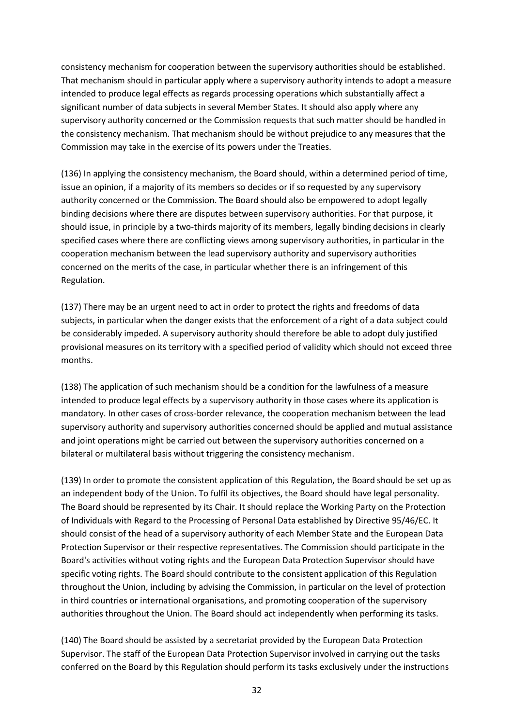consistency mechanism for cooperation between the supervisory authorities should be established. That mechanism should in particular apply where a supervisory authority intends to adopt a measure intended to produce legal effects as regards processing operations which substantially affect a significant number of data subjects in several Member States. It should also apply where any supervisory authority concerned or the Commission requests that such matter should be handled in the consistency mechanism. That mechanism should be without prejudice to any measures that the Commission may take in the exercise of its powers under the Treaties.

(136) In applying the consistency mechanism, the Board should, within a determined period of time, issue an opinion, if a majority of its members so decides or if so requested by any supervisory authority concerned or the Commission. The Board should also be empowered to adopt legally binding decisions where there are disputes between supervisory authorities. For that purpose, it should issue, in principle by a two-thirds majority of its members, legally binding decisions in clearly specified cases where there are conflicting views among supervisory authorities, in particular in the cooperation mechanism between the lead supervisory authority and supervisory authorities concerned on the merits of the case, in particular whether there is an infringement of this Regulation.

(137) There may be an urgent need to act in order to protect the rights and freedoms of data subjects, in particular when the danger exists that the enforcement of a right of a data subject could be considerably impeded. A supervisory authority should therefore be able to adopt duly justified provisional measures on its territory with a specified period of validity which should not exceed three months.

(138) The application of such mechanism should be a condition for the lawfulness of a measure intended to produce legal effects by a supervisory authority in those cases where its application is mandatory. In other cases of cross-border relevance, the cooperation mechanism between the lead supervisory authority and supervisory authorities concerned should be applied and mutual assistance and joint operations might be carried out between the supervisory authorities concerned on a bilateral or multilateral basis without triggering the consistency mechanism.

(139) In order to promote the consistent application of this Regulation, the Board should be set up as an independent body of the Union. To fulfil its objectives, the Board should have legal personality. The Board should be represented by its Chair. It should replace the Working Party on the Protection of Individuals with Regard to the Processing of Personal Data established by Directive 95/46/EC. It should consist of the head of a supervisory authority of each Member State and the European Data Protection Supervisor or their respective representatives. The Commission should participate in the Board's activities without voting rights and the European Data Protection Supervisor should have specific voting rights. The Board should contribute to the consistent application of this Regulation throughout the Union, including by advising the Commission, in particular on the level of protection in third countries or international organisations, and promoting cooperation of the supervisory authorities throughout the Union. The Board should act independently when performing its tasks.

(140) The Board should be assisted by a secretariat provided by the European Data Protection Supervisor. The staff of the European Data Protection Supervisor involved in carrying out the tasks conferred on the Board by this Regulation should perform its tasks exclusively under the instructions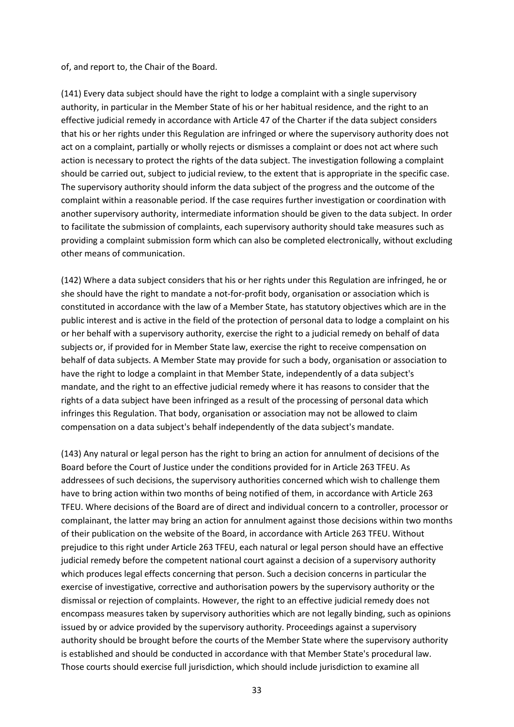of, and report to, the Chair of the Board.

(141) Every data subject should have the right to lodge a complaint with a single supervisory authority, in particular in the Member State of his or her habitual residence, and the right to an effective judicial remedy in accordance with Article 47 of the Charter if the data subject considers that his or her rights under this Regulation are infringed or where the supervisory authority does not act on a complaint, partially or wholly rejects or dismisses a complaint or does not act where such action is necessary to protect the rights of the data subject. The investigation following a complaint should be carried out, subject to judicial review, to the extent that is appropriate in the specific case. The supervisory authority should inform the data subject of the progress and the outcome of the complaint within a reasonable period. If the case requires further investigation or coordination with another supervisory authority, intermediate information should be given to the data subject. In order to facilitate the submission of complaints, each supervisory authority should take measures such as providing a complaint submission form which can also be completed electronically, without excluding other means of communication.

(142) Where a data subject considers that his or her rights under this Regulation are infringed, he or she should have the right to mandate a not-for-profit body, organisation or association which is constituted in accordance with the law of a Member State, has statutory objectives which are in the public interest and is active in the field of the protection of personal data to lodge a complaint on his or her behalf with a supervisory authority, exercise the right to a judicial remedy on behalf of data subjects or, if provided for in Member State law, exercise the right to receive compensation on behalf of data subjects. A Member State may provide for such a body, organisation or association to have the right to lodge a complaint in that Member State, independently of a data subject's mandate, and the right to an effective judicial remedy where it has reasons to consider that the rights of a data subject have been infringed as a result of the processing of personal data which infringes this Regulation. That body, organisation or association may not be allowed to claim compensation on a data subject's behalf independently of the data subject's mandate.

(143) Any natural or legal person has the right to bring an action for annulment of decisions of the Board before the Court of Justice under the conditions provided for in Article 263 TFEU. As addressees of such decisions, the supervisory authorities concerned which wish to challenge them have to bring action within two months of being notified of them, in accordance with Article 263 TFEU. Where decisions of the Board are of direct and individual concern to a controller, processor or complainant, the latter may bring an action for annulment against those decisions within two months of their publication on the website of the Board, in accordance with Article 263 TFEU. Without prejudice to this right under Article 263 TFEU, each natural or legal person should have an effective judicial remedy before the competent national court against a decision of a supervisory authority which produces legal effects concerning that person. Such a decision concerns in particular the exercise of investigative, corrective and authorisation powers by the supervisory authority or the dismissal or rejection of complaints. However, the right to an effective judicial remedy does not encompass measures taken by supervisory authorities which are not legally binding, such as opinions issued by or advice provided by the supervisory authority. Proceedings against a supervisory authority should be brought before the courts of the Member State where the supervisory authority is established and should be conducted in accordance with that Member State's procedural law. Those courts should exercise full jurisdiction, which should include jurisdiction to examine all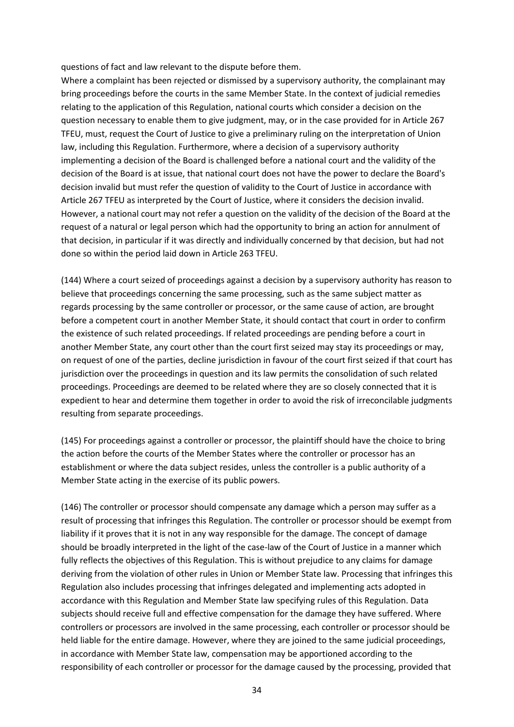questions of fact and law relevant to the dispute before them.

Where a complaint has been rejected or dismissed by a supervisory authority, the complainant may bring proceedings before the courts in the same Member State. In the context of judicial remedies relating to the application of this Regulation, national courts which consider a decision on the question necessary to enable them to give judgment, may, or in the case provided for in Article 267 TFEU, must, request the Court of Justice to give a preliminary ruling on the interpretation of Union law, including this Regulation. Furthermore, where a decision of a supervisory authority implementing a decision of the Board is challenged before a national court and the validity of the decision of the Board is at issue, that national court does not have the power to declare the Board's decision invalid but must refer the question of validity to the Court of Justice in accordance with Article 267 TFEU as interpreted by the Court of Justice, where it considers the decision invalid. However, a national court may not refer a question on the validity of the decision of the Board at the request of a natural or legal person which had the opportunity to bring an action for annulment of that decision, in particular if it was directly and individually concerned by that decision, but had not done so within the period laid down in Article 263 TFEU.

(144) Where a court seized of proceedings against a decision by a supervisory authority has reason to believe that proceedings concerning the same processing, such as the same subject matter as regards processing by the same controller or processor, or the same cause of action, are brought before a competent court in another Member State, it should contact that court in order to confirm the existence of such related proceedings. If related proceedings are pending before a court in another Member State, any court other than the court first seized may stay its proceedings or may, on request of one of the parties, decline jurisdiction in favour of the court first seized if that court has jurisdiction over the proceedings in question and its law permits the consolidation of such related proceedings. Proceedings are deemed to be related where they are so closely connected that it is expedient to hear and determine them together in order to avoid the risk of irreconcilable judgments resulting from separate proceedings.

(145) For proceedings against a controller or processor, the plaintiff should have the choice to bring the action before the courts of the Member States where the controller or processor has an establishment or where the data subject resides, unless the controller is a public authority of a Member State acting in the exercise of its public powers.

(146) The controller or processor should compensate any damage which a person may suffer as a result of processing that infringes this Regulation. The controller or processor should be exempt from liability if it proves that it is not in any way responsible for the damage. The concept of damage should be broadly interpreted in the light of the case-law of the Court of Justice in a manner which fully reflects the objectives of this Regulation. This is without prejudice to any claims for damage deriving from the violation of other rules in Union or Member State law. Processing that infringes this Regulation also includes processing that infringes delegated and implementing acts adopted in accordance with this Regulation and Member State law specifying rules of this Regulation. Data subjects should receive full and effective compensation for the damage they have suffered. Where controllers or processors are involved in the same processing, each controller or processor should be held liable for the entire damage. However, where they are joined to the same judicial proceedings, in accordance with Member State law, compensation may be apportioned according to the responsibility of each controller or processor for the damage caused by the processing, provided that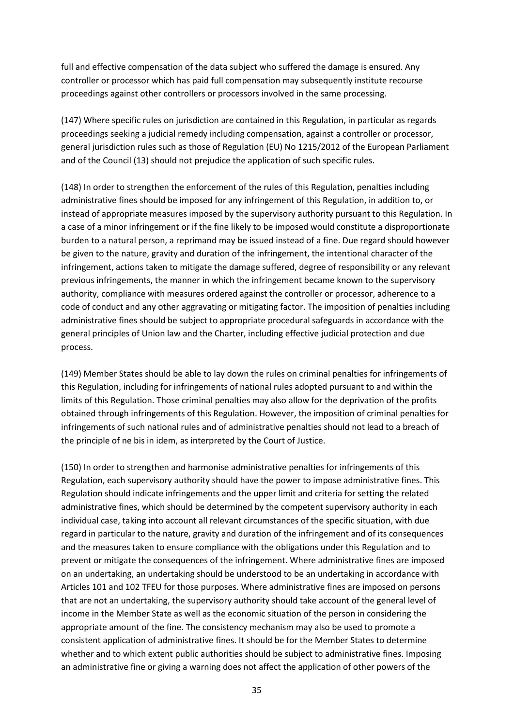full and effective compensation of the data subject who suffered the damage is ensured. Any controller or processor which has paid full compensation may subsequently institute recourse proceedings against other controllers or processors involved in the same processing.

(147) Where specific rules on jurisdiction are contained in this Regulation, in particular as regards proceedings seeking a judicial remedy including compensation, against a controller or processor, general jurisdiction rules such as those of Regulation (EU) No 1215/2012 of the European Parliament and of the Council (13) should not prejudice the application of such specific rules.

(148) In order to strengthen the enforcement of the rules of this Regulation, penalties including administrative fines should be imposed for any infringement of this Regulation, in addition to, or instead of appropriate measures imposed by the supervisory authority pursuant to this Regulation. In a case of a minor infringement or if the fine likely to be imposed would constitute a disproportionate burden to a natural person, a reprimand may be issued instead of a fine. Due regard should however be given to the nature, gravity and duration of the infringement, the intentional character of the infringement, actions taken to mitigate the damage suffered, degree of responsibility or any relevant previous infringements, the manner in which the infringement became known to the supervisory authority, compliance with measures ordered against the controller or processor, adherence to a code of conduct and any other aggravating or mitigating factor. The imposition of penalties including administrative fines should be subject to appropriate procedural safeguards in accordance with the general principles of Union law and the Charter, including effective judicial protection and due process.

(149) Member States should be able to lay down the rules on criminal penalties for infringements of this Regulation, including for infringements of national rules adopted pursuant to and within the limits of this Regulation. Those criminal penalties may also allow for the deprivation of the profits obtained through infringements of this Regulation. However, the imposition of criminal penalties for infringements of such national rules and of administrative penalties should not lead to a breach of the principle of ne bis in idem, as interpreted by the Court of Justice.

(150) In order to strengthen and harmonise administrative penalties for infringements of this Regulation, each supervisory authority should have the power to impose administrative fines. This Regulation should indicate infringements and the upper limit and criteria for setting the related administrative fines, which should be determined by the competent supervisory authority in each individual case, taking into account all relevant circumstances of the specific situation, with due regard in particular to the nature, gravity and duration of the infringement and of its consequences and the measures taken to ensure compliance with the obligations under this Regulation and to prevent or mitigate the consequences of the infringement. Where administrative fines are imposed on an undertaking, an undertaking should be understood to be an undertaking in accordance with Articles 101 and 102 TFEU for those purposes. Where administrative fines are imposed on persons that are not an undertaking, the supervisory authority should take account of the general level of income in the Member State as well as the economic situation of the person in considering the appropriate amount of the fine. The consistency mechanism may also be used to promote a consistent application of administrative fines. It should be for the Member States to determine whether and to which extent public authorities should be subject to administrative fines. Imposing an administrative fine or giving a warning does not affect the application of other powers of the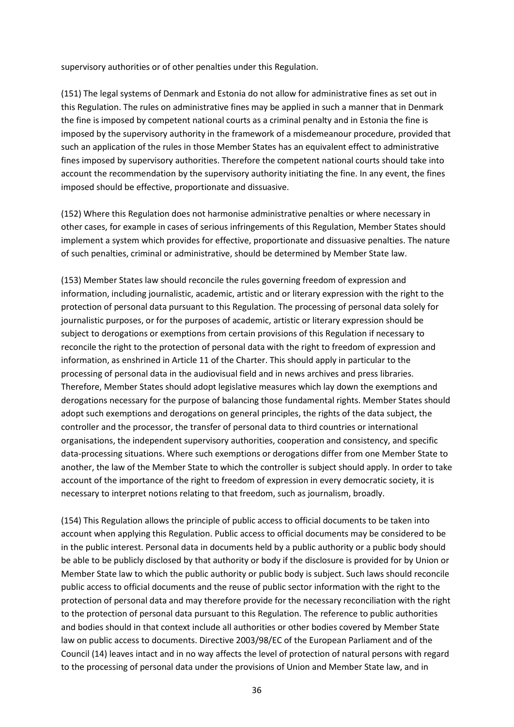supervisory authorities or of other penalties under this Regulation.

(151) The legal systems of Denmark and Estonia do not allow for administrative fines as set out in this Regulation. The rules on administrative fines may be applied in such a manner that in Denmark the fine is imposed by competent national courts as a criminal penalty and in Estonia the fine is imposed by the supervisory authority in the framework of a misdemeanour procedure, provided that such an application of the rules in those Member States has an equivalent effect to administrative fines imposed by supervisory authorities. Therefore the competent national courts should take into account the recommendation by the supervisory authority initiating the fine. In any event, the fines imposed should be effective, proportionate and dissuasive.

(152) Where this Regulation does not harmonise administrative penalties or where necessary in other cases, for example in cases of serious infringements of this Regulation, Member States should implement a system which provides for effective, proportionate and dissuasive penalties. The nature of such penalties, criminal or administrative, should be determined by Member State law.

(153) Member States law should reconcile the rules governing freedom of expression and information, including journalistic, academic, artistic and or literary expression with the right to the protection of personal data pursuant to this Regulation. The processing of personal data solely for journalistic purposes, or for the purposes of academic, artistic or literary expression should be subject to derogations or exemptions from certain provisions of this Regulation if necessary to reconcile the right to the protection of personal data with the right to freedom of expression and information, as enshrined in Article 11 of the Charter. This should apply in particular to the processing of personal data in the audiovisual field and in news archives and press libraries. Therefore, Member States should adopt legislative measures which lay down the exemptions and derogations necessary for the purpose of balancing those fundamental rights. Member States should adopt such exemptions and derogations on general principles, the rights of the data subject, the controller and the processor, the transfer of personal data to third countries or international organisations, the independent supervisory authorities, cooperation and consistency, and specific data-processing situations. Where such exemptions or derogations differ from one Member State to another, the law of the Member State to which the controller is subject should apply. In order to take account of the importance of the right to freedom of expression in every democratic society, it is necessary to interpret notions relating to that freedom, such as journalism, broadly.

(154) This Regulation allows the principle of public access to official documents to be taken into account when applying this Regulation. Public access to official documents may be considered to be in the public interest. Personal data in documents held by a public authority or a public body should be able to be publicly disclosed by that authority or body if the disclosure is provided for by Union or Member State law to which the public authority or public body is subject. Such laws should reconcile public access to official documents and the reuse of public sector information with the right to the protection of personal data and may therefore provide for the necessary reconciliation with the right to the protection of personal data pursuant to this Regulation. The reference to public authorities and bodies should in that context include all authorities or other bodies covered by Member State law on public access to documents. Directive 2003/98/EC of the European Parliament and of the Council (14) leaves intact and in no way affects the level of protection of natural persons with regard to the processing of personal data under the provisions of Union and Member State law, and in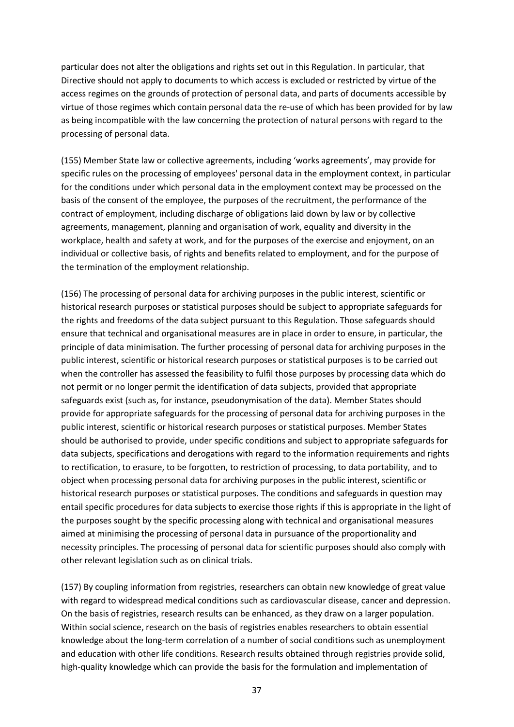particular does not alter the obligations and rights set out in this Regulation. In particular, that Directive should not apply to documents to which access is excluded or restricted by virtue of the access regimes on the grounds of protection of personal data, and parts of documents accessible by virtue of those regimes which contain personal data the re-use of which has been provided for by law as being incompatible with the law concerning the protection of natural persons with regard to the processing of personal data.

(155) Member State law or collective agreements, including 'works agreements', may provide for specific rules on the processing of employees' personal data in the employment context, in particular for the conditions under which personal data in the employment context may be processed on the basis of the consent of the employee, the purposes of the recruitment, the performance of the contract of employment, including discharge of obligations laid down by law or by collective agreements, management, planning and organisation of work, equality and diversity in the workplace, health and safety at work, and for the purposes of the exercise and enjoyment, on an individual or collective basis, of rights and benefits related to employment, and for the purpose of the termination of the employment relationship.

(156) The processing of personal data for archiving purposes in the public interest, scientific or historical research purposes or statistical purposes should be subject to appropriate safeguards for the rights and freedoms of the data subject pursuant to this Regulation. Those safeguards should ensure that technical and organisational measures are in place in order to ensure, in particular, the principle of data minimisation. The further processing of personal data for archiving purposes in the public interest, scientific or historical research purposes or statistical purposes is to be carried out when the controller has assessed the feasibility to fulfil those purposes by processing data which do not permit or no longer permit the identification of data subjects, provided that appropriate safeguards exist (such as, for instance, pseudonymisation of the data). Member States should provide for appropriate safeguards for the processing of personal data for archiving purposes in the public interest, scientific or historical research purposes or statistical purposes. Member States should be authorised to provide, under specific conditions and subject to appropriate safeguards for data subjects, specifications and derogations with regard to the information requirements and rights to rectification, to erasure, to be forgotten, to restriction of processing, to data portability, and to object when processing personal data for archiving purposes in the public interest, scientific or historical research purposes or statistical purposes. The conditions and safeguards in question may entail specific procedures for data subjects to exercise those rights if this is appropriate in the light of the purposes sought by the specific processing along with technical and organisational measures aimed at minimising the processing of personal data in pursuance of the proportionality and necessity principles. The processing of personal data for scientific purposes should also comply with other relevant legislation such as on clinical trials.

(157) By coupling information from registries, researchers can obtain new knowledge of great value with regard to widespread medical conditions such as cardiovascular disease, cancer and depression. On the basis of registries, research results can be enhanced, as they draw on a larger population. Within social science, research on the basis of registries enables researchers to obtain essential knowledge about the long-term correlation of a number of social conditions such as unemployment and education with other life conditions. Research results obtained through registries provide solid, high-quality knowledge which can provide the basis for the formulation and implementation of

37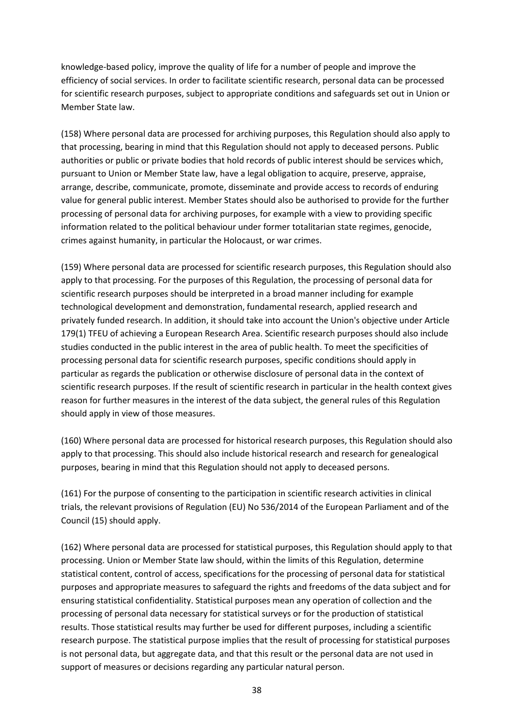knowledge-based policy, improve the quality of life for a number of people and improve the efficiency of social services. In order to facilitate scientific research, personal data can be processed for scientific research purposes, subject to appropriate conditions and safeguards set out in Union or Member State law.

(158) Where personal data are processed for archiving purposes, this Regulation should also apply to that processing, bearing in mind that this Regulation should not apply to deceased persons. Public authorities or public or private bodies that hold records of public interest should be services which, pursuant to Union or Member State law, have a legal obligation to acquire, preserve, appraise, arrange, describe, communicate, promote, disseminate and provide access to records of enduring value for general public interest. Member States should also be authorised to provide for the further processing of personal data for archiving purposes, for example with a view to providing specific information related to the political behaviour under former totalitarian state regimes, genocide, crimes against humanity, in particular the Holocaust, or war crimes.

(159) Where personal data are processed for scientific research purposes, this Regulation should also apply to that processing. For the purposes of this Regulation, the processing of personal data for scientific research purposes should be interpreted in a broad manner including for example technological development and demonstration, fundamental research, applied research and privately funded research. In addition, it should take into account the Union's objective under Article 179(1) TFEU of achieving a European Research Area. Scientific research purposes should also include studies conducted in the public interest in the area of public health. To meet the specificities of processing personal data for scientific research purposes, specific conditions should apply in particular as regards the publication or otherwise disclosure of personal data in the context of scientific research purposes. If the result of scientific research in particular in the health context gives reason for further measures in the interest of the data subject, the general rules of this Regulation should apply in view of those measures.

(160) Where personal data are processed for historical research purposes, this Regulation should also apply to that processing. This should also include historical research and research for genealogical purposes, bearing in mind that this Regulation should not apply to deceased persons.

(161) For the purpose of consenting to the participation in scientific research activities in clinical trials, the relevant provisions of Regulation (EU) No 536/2014 of the European Parliament and of the Council (15) should apply.

(162) Where personal data are processed for statistical purposes, this Regulation should apply to that processing. Union or Member State law should, within the limits of this Regulation, determine statistical content, control of access, specifications for the processing of personal data for statistical purposes and appropriate measures to safeguard the rights and freedoms of the data subject and for ensuring statistical confidentiality. Statistical purposes mean any operation of collection and the processing of personal data necessary for statistical surveys or for the production of statistical results. Those statistical results may further be used for different purposes, including a scientific research purpose. The statistical purpose implies that the result of processing for statistical purposes is not personal data, but aggregate data, and that this result or the personal data are not used in support of measures or decisions regarding any particular natural person.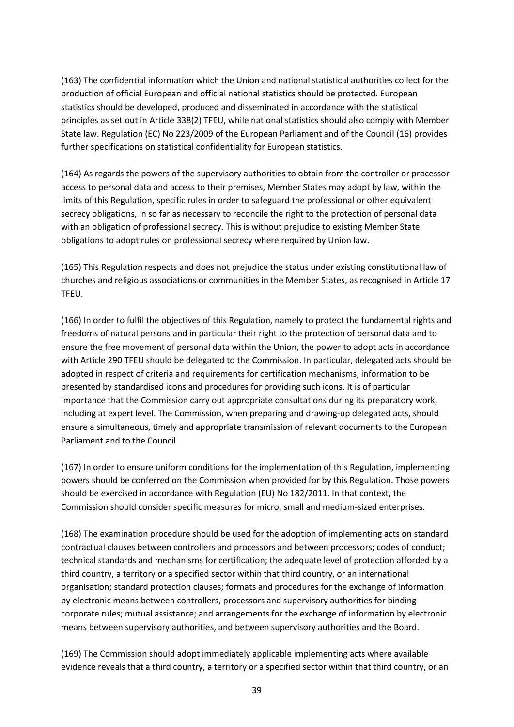(163) The confidential information which the Union and national statistical authorities collect for the production of official European and official national statistics should be protected. European statistics should be developed, produced and disseminated in accordance with the statistical principles as set out in Article 338(2) TFEU, while national statistics should also comply with Member State law. Regulation (EC) No 223/2009 of the European Parliament and of the Council (16) provides further specifications on statistical confidentiality for European statistics.

(164) As regards the powers of the supervisory authorities to obtain from the controller or processor access to personal data and access to their premises, Member States may adopt by law, within the limits of this Regulation, specific rules in order to safeguard the professional or other equivalent secrecy obligations, in so far as necessary to reconcile the right to the protection of personal data with an obligation of professional secrecy. This is without prejudice to existing Member State obligations to adopt rules on professional secrecy where required by Union law.

(165) This Regulation respects and does not prejudice the status under existing constitutional law of churches and religious associations or communities in the Member States, as recognised in Article 17 TFEU.

(166) In order to fulfil the objectives of this Regulation, namely to protect the fundamental rights and freedoms of natural persons and in particular their right to the protection of personal data and to ensure the free movement of personal data within the Union, the power to adopt acts in accordance with Article 290 TFEU should be delegated to the Commission. In particular, delegated acts should be adopted in respect of criteria and requirements for certification mechanisms, information to be presented by standardised icons and procedures for providing such icons. It is of particular importance that the Commission carry out appropriate consultations during its preparatory work, including at expert level. The Commission, when preparing and drawing-up delegated acts, should ensure a simultaneous, timely and appropriate transmission of relevant documents to the European Parliament and to the Council.

(167) In order to ensure uniform conditions for the implementation of this Regulation, implementing powers should be conferred on the Commission when provided for by this Regulation. Those powers should be exercised in accordance with Regulation (EU) No 182/2011. In that context, the Commission should consider specific measures for micro, small and medium-sized enterprises.

(168) The examination procedure should be used for the adoption of implementing acts on standard contractual clauses between controllers and processors and between processors; codes of conduct; technical standards and mechanisms for certification; the adequate level of protection afforded by a third country, a territory or a specified sector within that third country, or an international organisation; standard protection clauses; formats and procedures for the exchange of information by electronic means between controllers, processors and supervisory authorities for binding corporate rules; mutual assistance; and arrangements for the exchange of information by electronic means between supervisory authorities, and between supervisory authorities and the Board.

(169) The Commission should adopt immediately applicable implementing acts where available evidence reveals that a third country, a territory or a specified sector within that third country, or an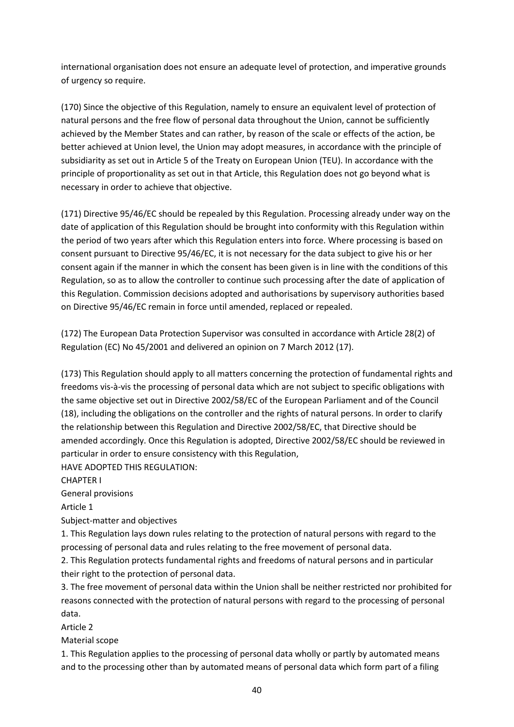international organisation does not ensure an adequate level of protection, and imperative grounds of urgency so require.

(170) Since the objective of this Regulation, namely to ensure an equivalent level of protection of natural persons and the free flow of personal data throughout the Union, cannot be sufficiently achieved by the Member States and can rather, by reason of the scale or effects of the action, be better achieved at Union level, the Union may adopt measures, in accordance with the principle of subsidiarity as set out in Article 5 of the Treaty on European Union (TEU). In accordance with the principle of proportionality as set out in that Article, this Regulation does not go beyond what is necessary in order to achieve that objective.

(171) Directive 95/46/EC should be repealed by this Regulation. Processing already under way on the date of application of this Regulation should be brought into conformity with this Regulation within the period of two years after which this Regulation enters into force. Where processing is based on consent pursuant to Directive 95/46/EC, it is not necessary for the data subject to give his or her consent again if the manner in which the consent has been given is in line with the conditions of this Regulation, so as to allow the controller to continue such processing after the date of application of this Regulation. Commission decisions adopted and authorisations by supervisory authorities based on Directive 95/46/EC remain in force until amended, replaced or repealed.

(172) The European Data Protection Supervisor was consulted in accordance with Article 28(2) of Regulation (EC) No 45/2001 and delivered an opinion on 7 March 2012 (17).

(173) This Regulation should apply to all matters concerning the protection of fundamental rights and freedoms vis-à-vis the processing of personal data which are not subject to specific obligations with the same objective set out in Directive 2002/58/EC of the European Parliament and of the Council (18), including the obligations on the controller and the rights of natural persons. In order to clarify the relationship between this Regulation and Directive 2002/58/EC, that Directive should be amended accordingly. Once this Regulation is adopted, Directive 2002/58/EC should be reviewed in particular in order to ensure consistency with this Regulation,

HAVE ADOPTED THIS REGULATION:

CHAPTER I

General provisions

Article 1

Subject-matter and objectives

1. This Regulation lays down rules relating to the protection of natural persons with regard to the processing of personal data and rules relating to the free movement of personal data.

2. This Regulation protects fundamental rights and freedoms of natural persons and in particular their right to the protection of personal data.

3. The free movement of personal data within the Union shall be neither restricted nor prohibited for reasons connected with the protection of natural persons with regard to the processing of personal data.

Article 2

Material scope

1. This Regulation applies to the processing of personal data wholly or partly by automated means and to the processing other than by automated means of personal data which form part of a filing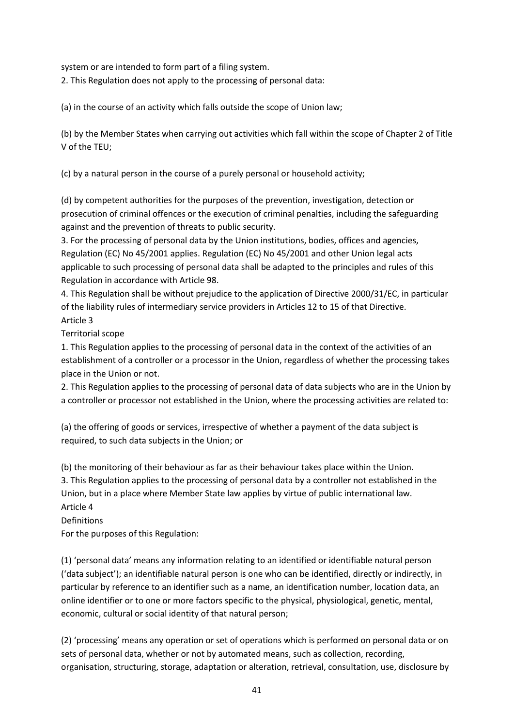system or are intended to form part of a filing system.

2. This Regulation does not apply to the processing of personal data:

(a) in the course of an activity which falls outside the scope of Union law;

(b) by the Member States when carrying out activities which fall within the scope of Chapter 2 of Title V of the TEU;

(c) by a natural person in the course of a purely personal or household activity;

(d) by competent authorities for the purposes of the prevention, investigation, detection or prosecution of criminal offences or the execution of criminal penalties, including the safeguarding against and the prevention of threats to public security.

3. For the processing of personal data by the Union institutions, bodies, offices and agencies, Regulation (EC) No 45/2001 applies. Regulation (EC) No 45/2001 and other Union legal acts applicable to such processing of personal data shall be adapted to the principles and rules of this Regulation in accordance with Article 98.

4. This Regulation shall be without prejudice to the application of Directive 2000/31/EC, in particular of the liability rules of intermediary service providers in Articles 12 to 15 of that Directive. Article 3

Territorial scope

1. This Regulation applies to the processing of personal data in the context of the activities of an establishment of a controller or a processor in the Union, regardless of whether the processing takes place in the Union or not.

2. This Regulation applies to the processing of personal data of data subjects who are in the Union by a controller or processor not established in the Union, where the processing activities are related to:

(a) the offering of goods or services, irrespective of whether a payment of the data subject is required, to such data subjects in the Union; or

(b) the monitoring of their behaviour as far as their behaviour takes place within the Union.

3. This Regulation applies to the processing of personal data by a controller not established in the Union, but in a place where Member State law applies by virtue of public international law. Article 4

Definitions

For the purposes of this Regulation:

(1) 'personal data' means any information relating to an identified or identifiable natural person ('data subject'); an identifiable natural person is one who can be identified, directly or indirectly, in particular by reference to an identifier such as a name, an identification number, location data, an online identifier or to one or more factors specific to the physical, physiological, genetic, mental, economic, cultural or social identity of that natural person;

(2) 'processing' means any operation or set of operations which is performed on personal data or on sets of personal data, whether or not by automated means, such as collection, recording, organisation, structuring, storage, adaptation or alteration, retrieval, consultation, use, disclosure by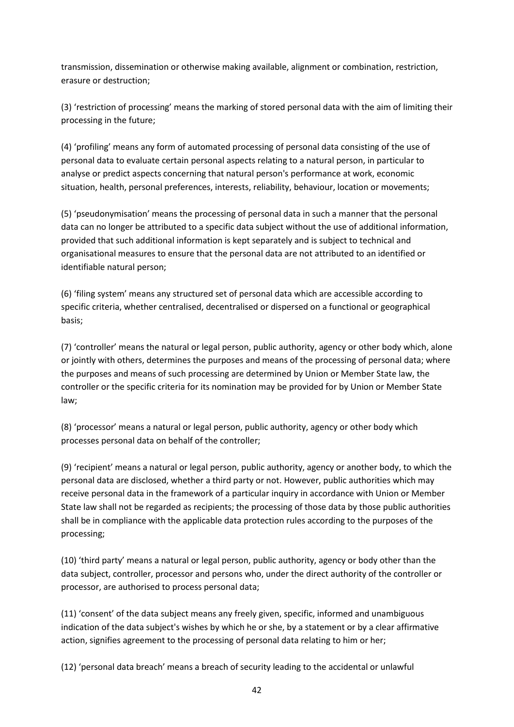transmission, dissemination or otherwise making available, alignment or combination, restriction, erasure or destruction;

(3) 'restriction of processing' means the marking of stored personal data with the aim of limiting their processing in the future;

(4) 'profiling' means any form of automated processing of personal data consisting of the use of personal data to evaluate certain personal aspects relating to a natural person, in particular to analyse or predict aspects concerning that natural person's performance at work, economic situation, health, personal preferences, interests, reliability, behaviour, location or movements;

(5) 'pseudonymisation' means the processing of personal data in such a manner that the personal data can no longer be attributed to a specific data subject without the use of additional information, provided that such additional information is kept separately and is subject to technical and organisational measures to ensure that the personal data are not attributed to an identified or identifiable natural person;

(6) 'filing system' means any structured set of personal data which are accessible according to specific criteria, whether centralised, decentralised or dispersed on a functional or geographical basis;

(7) 'controller' means the natural or legal person, public authority, agency or other body which, alone or jointly with others, determines the purposes and means of the processing of personal data; where the purposes and means of such processing are determined by Union or Member State law, the controller or the specific criteria for its nomination may be provided for by Union or Member State law;

(8) 'processor' means a natural or legal person, public authority, agency or other body which processes personal data on behalf of the controller;

(9) 'recipient' means a natural or legal person, public authority, agency or another body, to which the personal data are disclosed, whether a third party or not. However, public authorities which may receive personal data in the framework of a particular inquiry in accordance with Union or Member State law shall not be regarded as recipients; the processing of those data by those public authorities shall be in compliance with the applicable data protection rules according to the purposes of the processing;

(10) 'third party' means a natural or legal person, public authority, agency or body other than the data subject, controller, processor and persons who, under the direct authority of the controller or processor, are authorised to process personal data;

(11) 'consent' of the data subject means any freely given, specific, informed and unambiguous indication of the data subject's wishes by which he or she, by a statement or by a clear affirmative action, signifies agreement to the processing of personal data relating to him or her;

(12) 'personal data breach' means a breach of security leading to the accidental or unlawful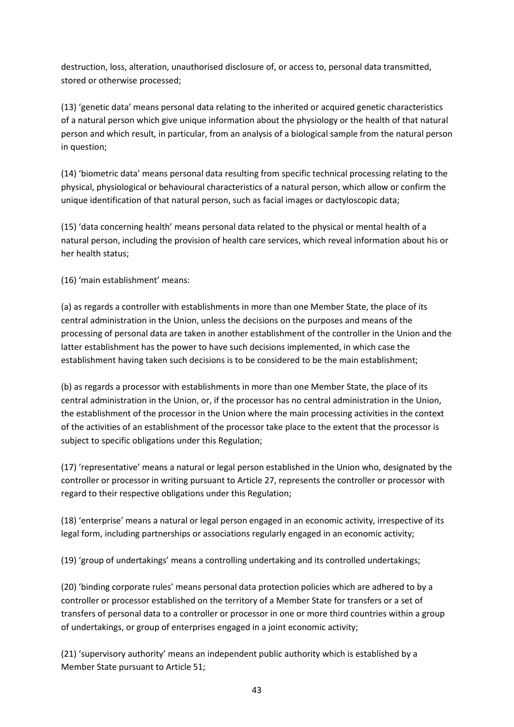destruction, loss, alteration, unauthorised disclosure of, or access to, personal data transmitted, stored or otherwise processed;

(13) 'genetic data' means personal data relating to the inherited or acquired genetic characteristics of a natural person which give unique information about the physiology or the health of that natural person and which result, in particular, from an analysis of a biological sample from the natural person in question;

(14) 'biometric data' means personal data resulting from specific technical processing relating to the physical, physiological or behavioural characteristics of a natural person, which allow or confirm the unique identification of that natural person, such as facial images or dactyloscopic data;

(15) 'data concerning health' means personal data related to the physical or mental health of a natural person, including the provision of health care services, which reveal information about his or her health status;

(16) 'main establishment' means:

(a) as regards a controller with establishments in more than one Member State, the place of its central administration in the Union, unless the decisions on the purposes and means of the processing of personal data are taken in another establishment of the controller in the Union and the latter establishment has the power to have such decisions implemented, in which case the establishment having taken such decisions is to be considered to be the main establishment;

(b) as regards a processor with establishments in more than one Member State, the place of its central administration in the Union, or, if the processor has no central administration in the Union, the establishment of the processor in the Union where the main processing activities in the context of the activities of an establishment of the processor take place to the extent that the processor is subject to specific obligations under this Regulation;

(17) 'representative' means a natural or legal person established in the Union who, designated by the controller or processor in writing pursuant to Article 27, represents the controller or processor with regard to their respective obligations under this Regulation;

(18) 'enterprise' means a natural or legal person engaged in an economic activity, irrespective of its legal form, including partnerships or associations regularly engaged in an economic activity;

(19) 'group of undertakings' means a controlling undertaking and its controlled undertakings;

(20) 'binding corporate rules' means personal data protection policies which are adhered to by a controller or processor established on the territory of a Member State for transfers or a set of transfers of personal data to a controller or processor in one or more third countries within a group of undertakings, or group of enterprises engaged in a joint economic activity;

(21) 'supervisory authority' means an independent public authority which is established by a Member State pursuant to Article 51;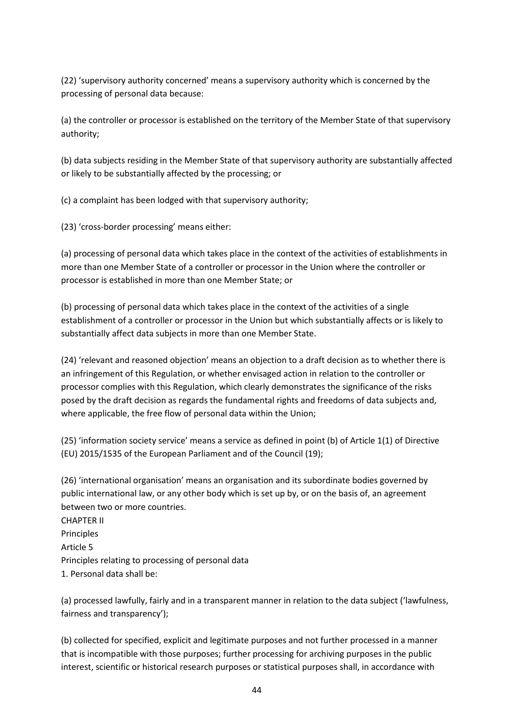(22) 'supervisory authority concerned' means a supervisory authority which is concerned by the processing of personal data because:

(a) the controller or processor is established on the territory of the Member State of that supervisory authority;

(b) data subjects residing in the Member State of that supervisory authority are substantially affected or likely to be substantially affected by the processing; or

(c) a complaint has been lodged with that supervisory authority;

(23) 'cross-border processing' means either:

(a) processing of personal data which takes place in the context of the activities of establishments in more than one Member State of a controller or processor in the Union where the controller or processor is established in more than one Member State; or

(b) processing of personal data which takes place in the context of the activities of a single establishment of a controller or processor in the Union but which substantially affects or is likely to substantially affect data subjects in more than one Member State.

(24) 'relevant and reasoned objection' means an objection to a draft decision as to whether there is an infringement of this Regulation, or whether envisaged action in relation to the controller or processor complies with this Regulation, which clearly demonstrates the significance of the risks posed by the draft decision as regards the fundamental rights and freedoms of data subjects and, where applicable, the free flow of personal data within the Union;

(25) 'information society service' means a service as defined in point (b) of Article 1(1) of Directive (EU) 2015/1535 of the European Parliament and of the Council (19);

(26) 'international organisation' means an organisation and its subordinate bodies governed by public international law, or any other body which is set up by, or on the basis of, an agreement between two or more countries.

CHAPTER II Principles Article 5 Principles relating to processing of personal data 1. Personal data shall be:

(a) processed lawfully, fairly and in a transparent manner in relation to the data subject ('lawfulness, fairness and transparency');

(b) collected for specified, explicit and legitimate purposes and not further processed in a manner that is incompatible with those purposes; further processing for archiving purposes in the public interest, scientific or historical research purposes or statistical purposes shall, in accordance with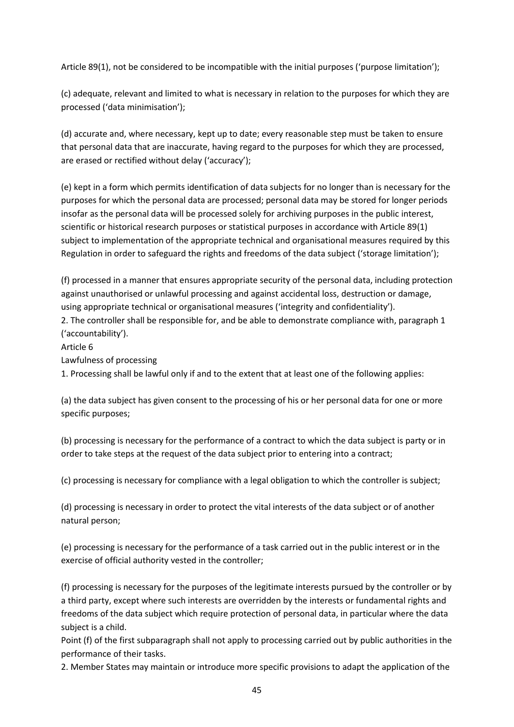Article 89(1), not be considered to be incompatible with the initial purposes ('purpose limitation');

(c) adequate, relevant and limited to what is necessary in relation to the purposes for which they are processed ('data minimisation');

(d) accurate and, where necessary, kept up to date; every reasonable step must be taken to ensure that personal data that are inaccurate, having regard to the purposes for which they are processed, are erased or rectified without delay ('accuracy');

(e) kept in a form which permits identification of data subjects for no longer than is necessary for the purposes for which the personal data are processed; personal data may be stored for longer periods insofar as the personal data will be processed solely for archiving purposes in the public interest, scientific or historical research purposes or statistical purposes in accordance with Article 89(1) subject to implementation of the appropriate technical and organisational measures required by this Regulation in order to safeguard the rights and freedoms of the data subject ('storage limitation');

(f) processed in a manner that ensures appropriate security of the personal data, including protection against unauthorised or unlawful processing and against accidental loss, destruction or damage, using appropriate technical or organisational measures ('integrity and confidentiality').

2. The controller shall be responsible for, and be able to demonstrate compliance with, paragraph 1 ('accountability').

Article 6

Lawfulness of processing

1. Processing shall be lawful only if and to the extent that at least one of the following applies:

(a) the data subject has given consent to the processing of his or her personal data for one or more specific purposes;

(b) processing is necessary for the performance of a contract to which the data subject is party or in order to take steps at the request of the data subject prior to entering into a contract;

(c) processing is necessary for compliance with a legal obligation to which the controller is subject;

(d) processing is necessary in order to protect the vital interests of the data subject or of another natural person;

(e) processing is necessary for the performance of a task carried out in the public interest or in the exercise of official authority vested in the controller;

(f) processing is necessary for the purposes of the legitimate interests pursued by the controller or by a third party, except where such interests are overridden by the interests or fundamental rights and freedoms of the data subject which require protection of personal data, in particular where the data subject is a child.

Point (f) of the first subparagraph shall not apply to processing carried out by public authorities in the performance of their tasks.

2. Member States may maintain or introduce more specific provisions to adapt the application of the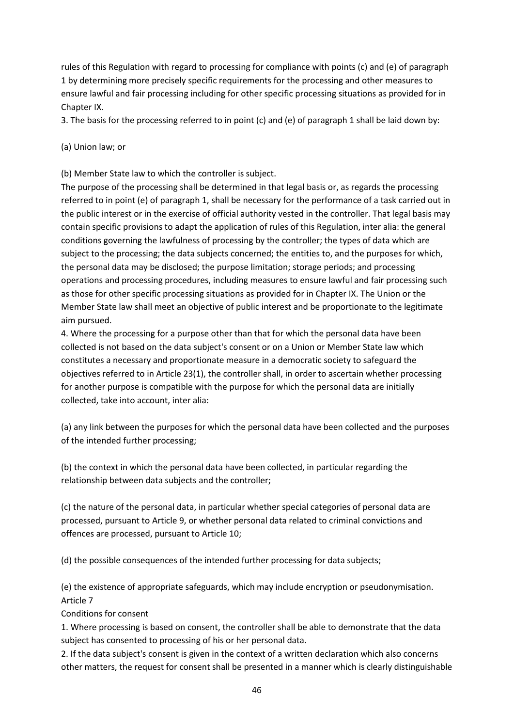rules of this Regulation with regard to processing for compliance with points (c) and (e) of paragraph 1 by determining more precisely specific requirements for the processing and other measures to ensure lawful and fair processing including for other specific processing situations as provided for in Chapter IX.

3. The basis for the processing referred to in point (c) and (e) of paragraph 1 shall be laid down by:

(a) Union law; or

(b) Member State law to which the controller is subject.

The purpose of the processing shall be determined in that legal basis or, as regards the processing referred to in point (e) of paragraph 1, shall be necessary for the performance of a task carried out in the public interest or in the exercise of official authority vested in the controller. That legal basis may contain specific provisions to adapt the application of rules of this Regulation, inter alia: the general conditions governing the lawfulness of processing by the controller; the types of data which are subject to the processing; the data subjects concerned; the entities to, and the purposes for which, the personal data may be disclosed; the purpose limitation; storage periods; and processing operations and processing procedures, including measures to ensure lawful and fair processing such as those for other specific processing situations as provided for in Chapter IX. The Union or the Member State law shall meet an objective of public interest and be proportionate to the legitimate aim pursued.

4. Where the processing for a purpose other than that for which the personal data have been collected is not based on the data subject's consent or on a Union or Member State law which constitutes a necessary and proportionate measure in a democratic society to safeguard the objectives referred to in Article 23(1), the controller shall, in order to ascertain whether processing for another purpose is compatible with the purpose for which the personal data are initially collected, take into account, inter alia:

(a) any link between the purposes for which the personal data have been collected and the purposes of the intended further processing;

(b) the context in which the personal data have been collected, in particular regarding the relationship between data subjects and the controller;

(c) the nature of the personal data, in particular whether special categories of personal data are processed, pursuant to Article 9, or whether personal data related to criminal convictions and offences are processed, pursuant to Article 10;

(d) the possible consequences of the intended further processing for data subjects;

(e) the existence of appropriate safeguards, which may include encryption or pseudonymisation. Article 7

Conditions for consent

1. Where processing is based on consent, the controller shall be able to demonstrate that the data subject has consented to processing of his or her personal data.

2. If the data subject's consent is given in the context of a written declaration which also concerns other matters, the request for consent shall be presented in a manner which is clearly distinguishable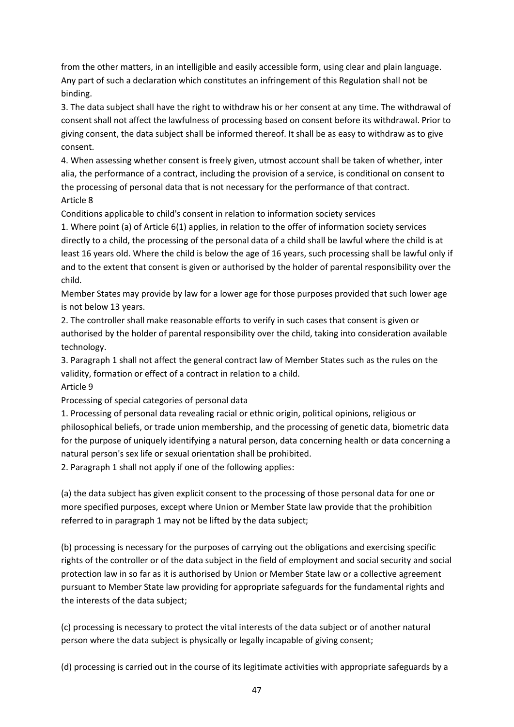from the other matters, in an intelligible and easily accessible form, using clear and plain language. Any part of such a declaration which constitutes an infringement of this Regulation shall not be binding.

3. The data subject shall have the right to withdraw his or her consent at any time. The withdrawal of consent shall not affect the lawfulness of processing based on consent before its withdrawal. Prior to giving consent, the data subject shall be informed thereof. It shall be as easy to withdraw as to give consent.

4. When assessing whether consent is freely given, utmost account shall be taken of whether, inter alia, the performance of a contract, including the provision of a service, is conditional on consent to the processing of personal data that is not necessary for the performance of that contract. Article 8

Conditions applicable to child's consent in relation to information society services

1. Where point (a) of Article 6(1) applies, in relation to the offer of information society services directly to a child, the processing of the personal data of a child shall be lawful where the child is at least 16 years old. Where the child is below the age of 16 years, such processing shall be lawful only if and to the extent that consent is given or authorised by the holder of parental responsibility over the child.

Member States may provide by law for a lower age for those purposes provided that such lower age is not below 13 years.

2. The controller shall make reasonable efforts to verify in such cases that consent is given or authorised by the holder of parental responsibility over the child, taking into consideration available technology.

3. Paragraph 1 shall not affect the general contract law of Member States such as the rules on the validity, formation or effect of a contract in relation to a child.

Article 9

Processing of special categories of personal data

1. Processing of personal data revealing racial or ethnic origin, political opinions, religious or philosophical beliefs, or trade union membership, and the processing of genetic data, biometric data for the purpose of uniquely identifying a natural person, data concerning health or data concerning a natural person's sex life or sexual orientation shall be prohibited.

2. Paragraph 1 shall not apply if one of the following applies:

(a) the data subject has given explicit consent to the processing of those personal data for one or more specified purposes, except where Union or Member State law provide that the prohibition referred to in paragraph 1 may not be lifted by the data subject;

(b) processing is necessary for the purposes of carrying out the obligations and exercising specific rights of the controller or of the data subject in the field of employment and social security and social protection law in so far as it is authorised by Union or Member State law or a collective agreement pursuant to Member State law providing for appropriate safeguards for the fundamental rights and the interests of the data subject;

(c) processing is necessary to protect the vital interests of the data subject or of another natural person where the data subject is physically or legally incapable of giving consent;

(d) processing is carried out in the course of its legitimate activities with appropriate safeguards by a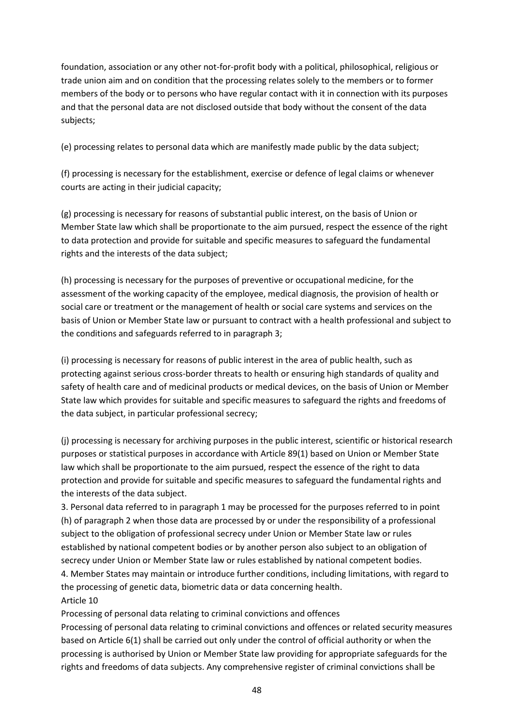foundation, association or any other not-for-profit body with a political, philosophical, religious or trade union aim and on condition that the processing relates solely to the members or to former members of the body or to persons who have regular contact with it in connection with its purposes and that the personal data are not disclosed outside that body without the consent of the data subjects;

(e) processing relates to personal data which are manifestly made public by the data subject;

(f) processing is necessary for the establishment, exercise or defence of legal claims or whenever courts are acting in their judicial capacity;

(g) processing is necessary for reasons of substantial public interest, on the basis of Union or Member State law which shall be proportionate to the aim pursued, respect the essence of the right to data protection and provide for suitable and specific measures to safeguard the fundamental rights and the interests of the data subject;

(h) processing is necessary for the purposes of preventive or occupational medicine, for the assessment of the working capacity of the employee, medical diagnosis, the provision of health or social care or treatment or the management of health or social care systems and services on the basis of Union or Member State law or pursuant to contract with a health professional and subject to the conditions and safeguards referred to in paragraph 3;

(i) processing is necessary for reasons of public interest in the area of public health, such as protecting against serious cross-border threats to health or ensuring high standards of quality and safety of health care and of medicinal products or medical devices, on the basis of Union or Member State law which provides for suitable and specific measures to safeguard the rights and freedoms of the data subject, in particular professional secrecy;

(j) processing is necessary for archiving purposes in the public interest, scientific or historical research purposes or statistical purposes in accordance with Article 89(1) based on Union or Member State law which shall be proportionate to the aim pursued, respect the essence of the right to data protection and provide for suitable and specific measures to safeguard the fundamental rights and the interests of the data subject.

3. Personal data referred to in paragraph 1 may be processed for the purposes referred to in point (h) of paragraph 2 when those data are processed by or under the responsibility of a professional subject to the obligation of professional secrecy under Union or Member State law or rules established by national competent bodies or by another person also subject to an obligation of secrecy under Union or Member State law or rules established by national competent bodies. 4. Member States may maintain or introduce further conditions, including limitations, with regard to the processing of genetic data, biometric data or data concerning health. Article 10

Processing of personal data relating to criminal convictions and offences

Processing of personal data relating to criminal convictions and offences or related security measures based on Article 6(1) shall be carried out only under the control of official authority or when the processing is authorised by Union or Member State law providing for appropriate safeguards for the rights and freedoms of data subjects. Any comprehensive register of criminal convictions shall be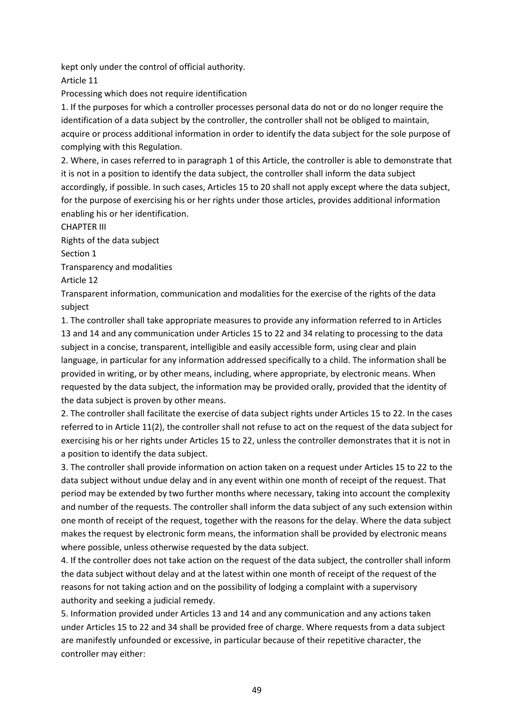kept only under the control of official authority.

Article 11

Processing which does not require identification

1. If the purposes for which a controller processes personal data do not or do no longer require the identification of a data subject by the controller, the controller shall not be obliged to maintain, acquire or process additional information in order to identify the data subject for the sole purpose of complying with this Regulation.

2. Where, in cases referred to in paragraph 1 of this Article, the controller is able to demonstrate that it is not in a position to identify the data subject, the controller shall inform the data subject accordingly, if possible. In such cases, Articles 15 to 20 shall not apply except where the data subject, for the purpose of exercising his or her rights under those articles, provides additional information enabling his or her identification.

CHAPTER III

Rights of the data subject

Section 1

Transparency and modalities

Article 12

Transparent information, communication and modalities for the exercise of the rights of the data subject

1. The controller shall take appropriate measures to provide any information referred to in Articles 13 and 14 and any communication under Articles 15 to 22 and 34 relating to processing to the data subject in a concise, transparent, intelligible and easily accessible form, using clear and plain language, in particular for any information addressed specifically to a child. The information shall be provided in writing, or by other means, including, where appropriate, by electronic means. When requested by the data subject, the information may be provided orally, provided that the identity of the data subject is proven by other means.

2. The controller shall facilitate the exercise of data subject rights under Articles 15 to 22. In the cases referred to in Article 11(2), the controller shall not refuse to act on the request of the data subject for exercising his or her rights under Articles 15 to 22, unless the controller demonstrates that it is not in a position to identify the data subject.

3. The controller shall provide information on action taken on a request under Articles 15 to 22 to the data subject without undue delay and in any event within one month of receipt of the request. That period may be extended by two further months where necessary, taking into account the complexity and number of the requests. The controller shall inform the data subject of any such extension within one month of receipt of the request, together with the reasons for the delay. Where the data subject makes the request by electronic form means, the information shall be provided by electronic means where possible, unless otherwise requested by the data subject.

4. If the controller does not take action on the request of the data subject, the controller shall inform the data subject without delay and at the latest within one month of receipt of the request of the reasons for not taking action and on the possibility of lodging a complaint with a supervisory authority and seeking a judicial remedy.

5. Information provided under Articles 13 and 14 and any communication and any actions taken under Articles 15 to 22 and 34 shall be provided free of charge. Where requests from a data subject are manifestly unfounded or excessive, in particular because of their repetitive character, the controller may either: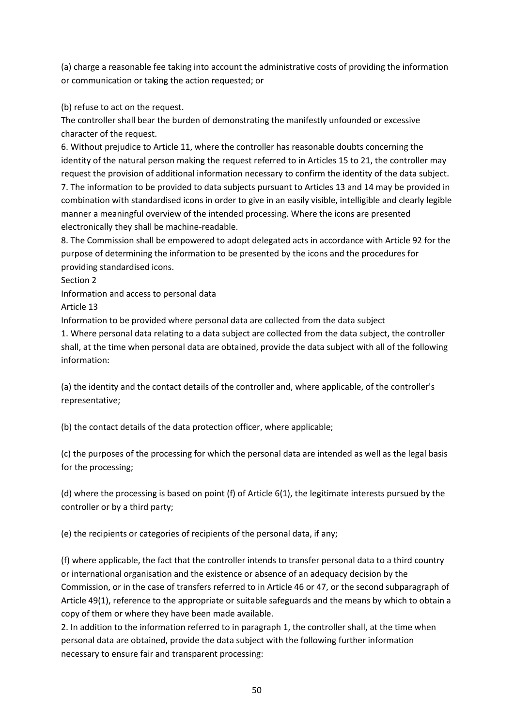(a) charge a reasonable fee taking into account the administrative costs of providing the information or communication or taking the action requested; or

(b) refuse to act on the request.

The controller shall bear the burden of demonstrating the manifestly unfounded or excessive character of the request.

6. Without prejudice to Article 11, where the controller has reasonable doubts concerning the identity of the natural person making the request referred to in Articles 15 to 21, the controller may request the provision of additional information necessary to confirm the identity of the data subject.

7. The information to be provided to data subjects pursuant to Articles 13 and 14 may be provided in combination with standardised icons in order to give in an easily visible, intelligible and clearly legible manner a meaningful overview of the intended processing. Where the icons are presented electronically they shall be machine-readable.

8. The Commission shall be empowered to adopt delegated acts in accordance with Article 92 for the purpose of determining the information to be presented by the icons and the procedures for providing standardised icons.

Section 2

Information and access to personal data

Article 13

Information to be provided where personal data are collected from the data subject

1. Where personal data relating to a data subject are collected from the data subject, the controller shall, at the time when personal data are obtained, provide the data subject with all of the following information:

(a) the identity and the contact details of the controller and, where applicable, of the controller's representative;

(b) the contact details of the data protection officer, where applicable;

(c) the purposes of the processing for which the personal data are intended as well as the legal basis for the processing;

(d) where the processing is based on point (f) of Article 6(1), the legitimate interests pursued by the controller or by a third party;

(e) the recipients or categories of recipients of the personal data, if any;

(f) where applicable, the fact that the controller intends to transfer personal data to a third country or international organisation and the existence or absence of an adequacy decision by the Commission, or in the case of transfers referred to in Article 46 or 47, or the second subparagraph of Article 49(1), reference to the appropriate or suitable safeguards and the means by which to obtain a copy of them or where they have been made available.

2. In addition to the information referred to in paragraph 1, the controller shall, at the time when personal data are obtained, provide the data subject with the following further information necessary to ensure fair and transparent processing: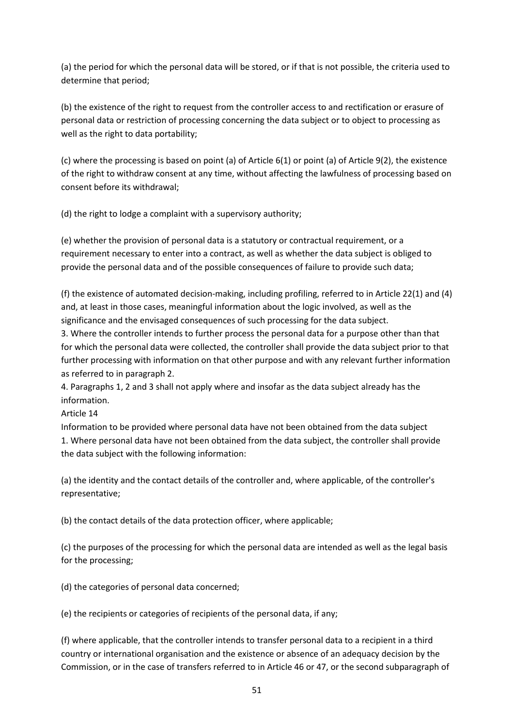(a) the period for which the personal data will be stored, or if that is not possible, the criteria used to determine that period;

(b) the existence of the right to request from the controller access to and rectification or erasure of personal data or restriction of processing concerning the data subject or to object to processing as well as the right to data portability;

(c) where the processing is based on point (a) of Article 6(1) or point (a) of Article 9(2), the existence of the right to withdraw consent at any time, without affecting the lawfulness of processing based on consent before its withdrawal;

(d) the right to lodge a complaint with a supervisory authority;

(e) whether the provision of personal data is a statutory or contractual requirement, or a requirement necessary to enter into a contract, as well as whether the data subject is obliged to provide the personal data and of the possible consequences of failure to provide such data;

(f) the existence of automated decision-making, including profiling, referred to in Article 22(1) and (4) and, at least in those cases, meaningful information about the logic involved, as well as the significance and the envisaged consequences of such processing for the data subject.

3. Where the controller intends to further process the personal data for a purpose other than that for which the personal data were collected, the controller shall provide the data subject prior to that further processing with information on that other purpose and with any relevant further information as referred to in paragraph 2.

4. Paragraphs 1, 2 and 3 shall not apply where and insofar as the data subject already has the information.

Article 14

Information to be provided where personal data have not been obtained from the data subject 1. Where personal data have not been obtained from the data subject, the controller shall provide the data subject with the following information:

(a) the identity and the contact details of the controller and, where applicable, of the controller's representative;

(b) the contact details of the data protection officer, where applicable;

(c) the purposes of the processing for which the personal data are intended as well as the legal basis for the processing;

(d) the categories of personal data concerned;

(e) the recipients or categories of recipients of the personal data, if any;

(f) where applicable, that the controller intends to transfer personal data to a recipient in a third country or international organisation and the existence or absence of an adequacy decision by the Commission, or in the case of transfers referred to in Article 46 or 47, or the second subparagraph of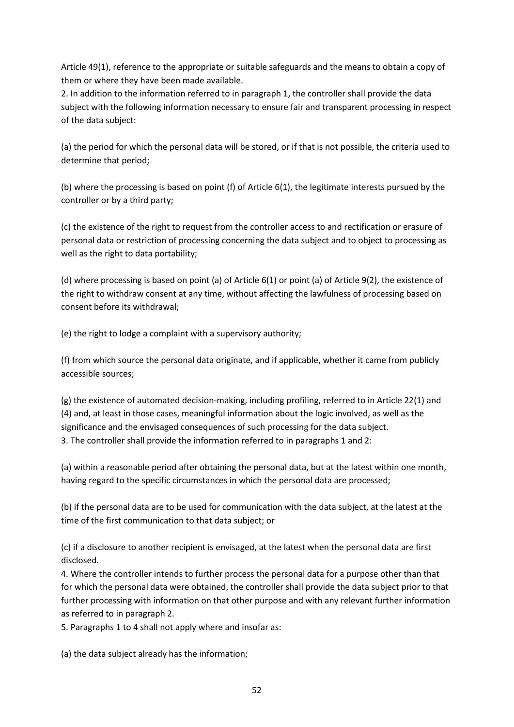Article 49(1), reference to the appropriate or suitable safeguards and the means to obtain a copy of them or where they have been made available.

2. In addition to the information referred to in paragraph 1, the controller shall provide the data subject with the following information necessary to ensure fair and transparent processing in respect of the data subject:

(a) the period for which the personal data will be stored, or if that is not possible, the criteria used to determine that period;

(b) where the processing is based on point (f) of Article 6(1), the legitimate interests pursued by the controller or by a third party;

(c) the existence of the right to request from the controller access to and rectification or erasure of personal data or restriction of processing concerning the data subject and to object to processing as well as the right to data portability;

(d) where processing is based on point (a) of Article 6(1) or point (a) of Article 9(2), the existence of the right to withdraw consent at any time, without affecting the lawfulness of processing based on consent before its withdrawal;

(e) the right to lodge a complaint with a supervisory authority;

(f) from which source the personal data originate, and if applicable, whether it came from publicly accessible sources;

(g) the existence of automated decision-making, including profiling, referred to in Article 22(1) and (4) and, at least in those cases, meaningful information about the logic involved, as well as the significance and the envisaged consequences of such processing for the data subject. 3. The controller shall provide the information referred to in paragraphs 1 and 2:

(a) within a reasonable period after obtaining the personal data, but at the latest within one month, having regard to the specific circumstances in which the personal data are processed;

(b) if the personal data are to be used for communication with the data subject, at the latest at the time of the first communication to that data subject; or

(c) if a disclosure to another recipient is envisaged, at the latest when the personal data are first disclosed.

4. Where the controller intends to further process the personal data for a purpose other than that for which the personal data were obtained, the controller shall provide the data subject prior to that further processing with information on that other purpose and with any relevant further information as referred to in paragraph 2.

5. Paragraphs 1 to 4 shall not apply where and insofar as:

(a) the data subject already has the information;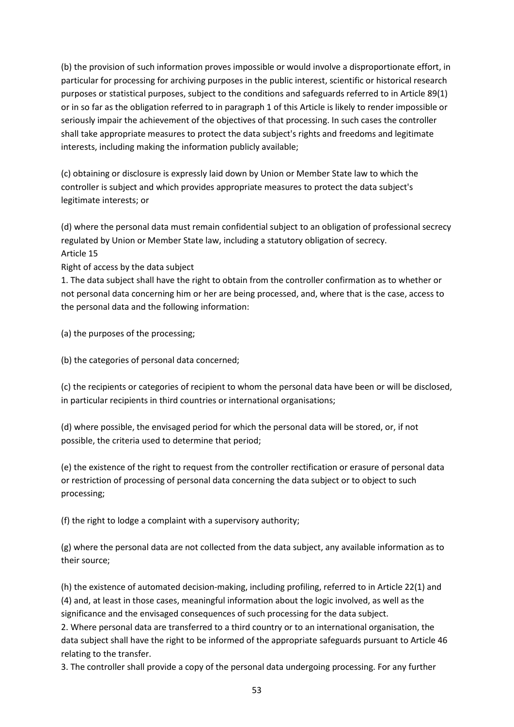(b) the provision of such information proves impossible or would involve a disproportionate effort, in particular for processing for archiving purposes in the public interest, scientific or historical research purposes or statistical purposes, subject to the conditions and safeguards referred to in Article 89(1) or in so far as the obligation referred to in paragraph 1 of this Article is likely to render impossible or seriously impair the achievement of the objectives of that processing. In such cases the controller shall take appropriate measures to protect the data subject's rights and freedoms and legitimate interests, including making the information publicly available;

(c) obtaining or disclosure is expressly laid down by Union or Member State law to which the controller is subject and which provides appropriate measures to protect the data subject's legitimate interests; or

(d) where the personal data must remain confidential subject to an obligation of professional secrecy regulated by Union or Member State law, including a statutory obligation of secrecy. Article 15

Right of access by the data subject

1. The data subject shall have the right to obtain from the controller confirmation as to whether or not personal data concerning him or her are being processed, and, where that is the case, access to the personal data and the following information:

(a) the purposes of the processing;

(b) the categories of personal data concerned;

(c) the recipients or categories of recipient to whom the personal data have been or will be disclosed, in particular recipients in third countries or international organisations;

(d) where possible, the envisaged period for which the personal data will be stored, or, if not possible, the criteria used to determine that period;

(e) the existence of the right to request from the controller rectification or erasure of personal data or restriction of processing of personal data concerning the data subject or to object to such processing;

(f) the right to lodge a complaint with a supervisory authority;

(g) where the personal data are not collected from the data subject, any available information as to their source;

(h) the existence of automated decision-making, including profiling, referred to in Article 22(1) and (4) and, at least in those cases, meaningful information about the logic involved, as well as the significance and the envisaged consequences of such processing for the data subject.

2. Where personal data are transferred to a third country or to an international organisation, the data subject shall have the right to be informed of the appropriate safeguards pursuant to Article 46 relating to the transfer.

3. The controller shall provide a copy of the personal data undergoing processing. For any further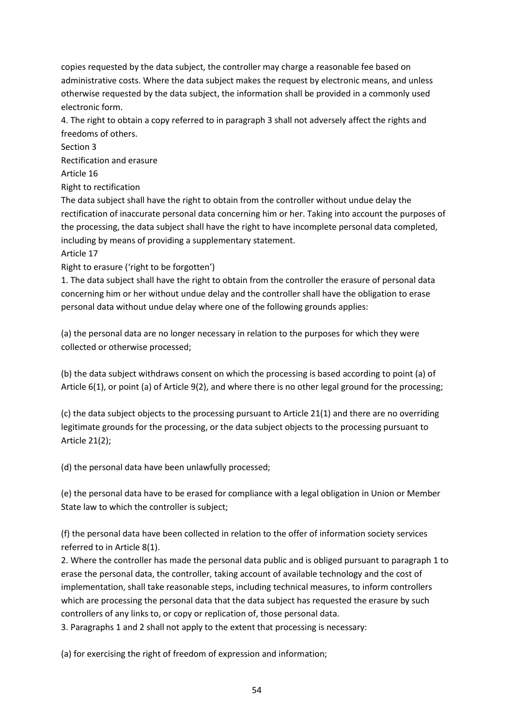copies requested by the data subject, the controller may charge a reasonable fee based on administrative costs. Where the data subject makes the request by electronic means, and unless otherwise requested by the data subject, the information shall be provided in a commonly used electronic form.

4. The right to obtain a copy referred to in paragraph 3 shall not adversely affect the rights and freedoms of others.

Section 3 Rectification and erasure

Article 16

Right to rectification

The data subject shall have the right to obtain from the controller without undue delay the rectification of inaccurate personal data concerning him or her. Taking into account the purposes of the processing, the data subject shall have the right to have incomplete personal data completed, including by means of providing a supplementary statement.

Article 17

Right to erasure ('right to be forgotten')

1. The data subject shall have the right to obtain from the controller the erasure of personal data concerning him or her without undue delay and the controller shall have the obligation to erase personal data without undue delay where one of the following grounds applies:

(a) the personal data are no longer necessary in relation to the purposes for which they were collected or otherwise processed;

(b) the data subject withdraws consent on which the processing is based according to point (a) of Article 6(1), or point (a) of Article 9(2), and where there is no other legal ground for the processing;

(c) the data subject objects to the processing pursuant to Article 21(1) and there are no overriding legitimate grounds for the processing, or the data subject objects to the processing pursuant to Article 21(2);

(d) the personal data have been unlawfully processed;

(e) the personal data have to be erased for compliance with a legal obligation in Union or Member State law to which the controller is subject;

(f) the personal data have been collected in relation to the offer of information society services referred to in Article 8(1).

2. Where the controller has made the personal data public and is obliged pursuant to paragraph 1 to erase the personal data, the controller, taking account of available technology and the cost of implementation, shall take reasonable steps, including technical measures, to inform controllers which are processing the personal data that the data subject has requested the erasure by such controllers of any links to, or copy or replication of, those personal data.

3. Paragraphs 1 and 2 shall not apply to the extent that processing is necessary:

(a) for exercising the right of freedom of expression and information;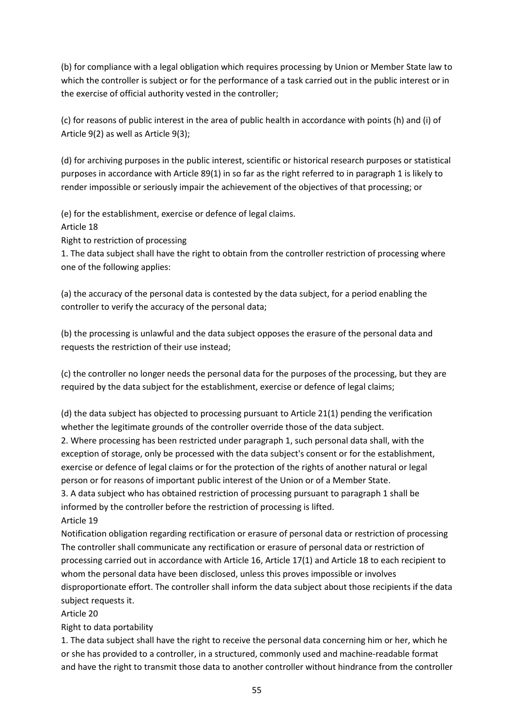(b) for compliance with a legal obligation which requires processing by Union or Member State law to which the controller is subject or for the performance of a task carried out in the public interest or in the exercise of official authority vested in the controller;

(c) for reasons of public interest in the area of public health in accordance with points (h) and (i) of Article 9(2) as well as Article 9(3);

(d) for archiving purposes in the public interest, scientific or historical research purposes or statistical purposes in accordance with Article 89(1) in so far as the right referred to in paragraph 1 is likely to render impossible or seriously impair the achievement of the objectives of that processing; or

(e) for the establishment, exercise or defence of legal claims.

Article 18

Right to restriction of processing

1. The data subject shall have the right to obtain from the controller restriction of processing where one of the following applies:

(a) the accuracy of the personal data is contested by the data subject, for a period enabling the controller to verify the accuracy of the personal data;

(b) the processing is unlawful and the data subject opposes the erasure of the personal data and requests the restriction of their use instead;

(c) the controller no longer needs the personal data for the purposes of the processing, but they are required by the data subject for the establishment, exercise or defence of legal claims;

(d) the data subject has objected to processing pursuant to Article 21(1) pending the verification whether the legitimate grounds of the controller override those of the data subject.

2. Where processing has been restricted under paragraph 1, such personal data shall, with the exception of storage, only be processed with the data subject's consent or for the establishment, exercise or defence of legal claims or for the protection of the rights of another natural or legal person or for reasons of important public interest of the Union or of a Member State.

3. A data subject who has obtained restriction of processing pursuant to paragraph 1 shall be informed by the controller before the restriction of processing is lifted.

Article 19

Notification obligation regarding rectification or erasure of personal data or restriction of processing The controller shall communicate any rectification or erasure of personal data or restriction of processing carried out in accordance with Article 16, Article 17(1) and Article 18 to each recipient to whom the personal data have been disclosed, unless this proves impossible or involves disproportionate effort. The controller shall inform the data subject about those recipients if the data subject requests it.

# Article 20

# Right to data portability

1. The data subject shall have the right to receive the personal data concerning him or her, which he or she has provided to a controller, in a structured, commonly used and machine-readable format and have the right to transmit those data to another controller without hindrance from the controller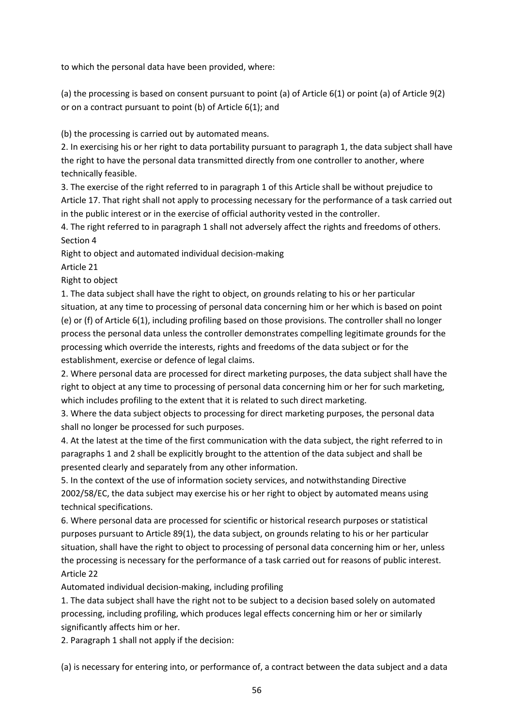to which the personal data have been provided, where:

(a) the processing is based on consent pursuant to point (a) of Article 6(1) or point (a) of Article 9(2) or on a contract pursuant to point (b) of Article 6(1); and

(b) the processing is carried out by automated means.

2. In exercising his or her right to data portability pursuant to paragraph 1, the data subject shall have the right to have the personal data transmitted directly from one controller to another, where technically feasible.

3. The exercise of the right referred to in paragraph 1 of this Article shall be without prejudice to Article 17. That right shall not apply to processing necessary for the performance of a task carried out in the public interest or in the exercise of official authority vested in the controller.

4. The right referred to in paragraph 1 shall not adversely affect the rights and freedoms of others. Section 4

Right to object and automated individual decision-making

Article 21

Right to object

1. The data subject shall have the right to object, on grounds relating to his or her particular situation, at any time to processing of personal data concerning him or her which is based on point (e) or (f) of Article 6(1), including profiling based on those provisions. The controller shall no longer process the personal data unless the controller demonstrates compelling legitimate grounds for the processing which override the interests, rights and freedoms of the data subject or for the establishment, exercise or defence of legal claims.

2. Where personal data are processed for direct marketing purposes, the data subject shall have the right to object at any time to processing of personal data concerning him or her for such marketing, which includes profiling to the extent that it is related to such direct marketing.

3. Where the data subject objects to processing for direct marketing purposes, the personal data shall no longer be processed for such purposes.

4. At the latest at the time of the first communication with the data subject, the right referred to in paragraphs 1 and 2 shall be explicitly brought to the attention of the data subject and shall be presented clearly and separately from any other information.

5. In the context of the use of information society services, and notwithstanding Directive 2002/58/EC, the data subject may exercise his or her right to object by automated means using technical specifications.

6. Where personal data are processed for scientific or historical research purposes or statistical purposes pursuant to Article 89(1), the data subject, on grounds relating to his or her particular situation, shall have the right to object to processing of personal data concerning him or her, unless the processing is necessary for the performance of a task carried out for reasons of public interest. Article 22

Automated individual decision-making, including profiling

1. The data subject shall have the right not to be subject to a decision based solely on automated processing, including profiling, which produces legal effects concerning him or her or similarly significantly affects him or her.

2. Paragraph 1 shall not apply if the decision:

(a) is necessary for entering into, or performance of, a contract between the data subject and a data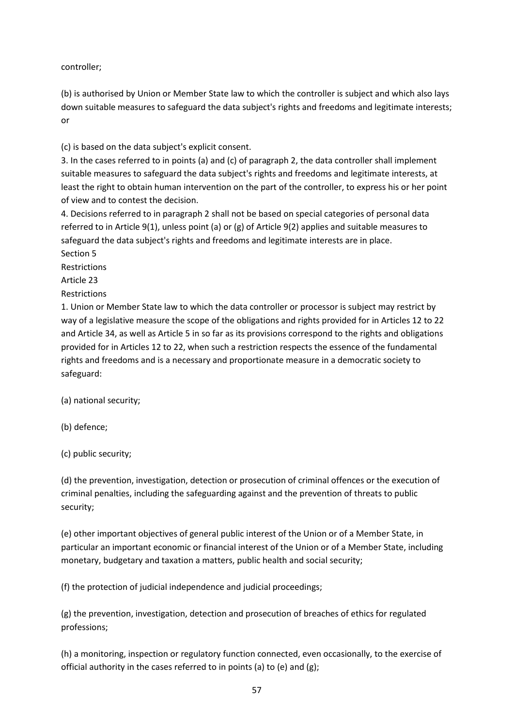controller;

(b) is authorised by Union or Member State law to which the controller is subject and which also lays down suitable measures to safeguard the data subject's rights and freedoms and legitimate interests; or

(c) is based on the data subject's explicit consent.

3. In the cases referred to in points (a) and (c) of paragraph 2, the data controller shall implement suitable measures to safeguard the data subject's rights and freedoms and legitimate interests, at least the right to obtain human intervention on the part of the controller, to express his or her point of view and to contest the decision.

4. Decisions referred to in paragraph 2 shall not be based on special categories of personal data referred to in Article 9(1), unless point (a) or (g) of Article 9(2) applies and suitable measures to safeguard the data subject's rights and freedoms and legitimate interests are in place.

Section 5 Restrictions

Article 23

Restrictions

1. Union or Member State law to which the data controller or processor is subject may restrict by way of a legislative measure the scope of the obligations and rights provided for in Articles 12 to 22 and Article 34, as well as Article 5 in so far as its provisions correspond to the rights and obligations provided for in Articles 12 to 22, when such a restriction respects the essence of the fundamental rights and freedoms and is a necessary and proportionate measure in a democratic society to safeguard:

(a) national security;

(b) defence;

(c) public security;

(d) the prevention, investigation, detection or prosecution of criminal offences or the execution of criminal penalties, including the safeguarding against and the prevention of threats to public security;

(e) other important objectives of general public interest of the Union or of a Member State, in particular an important economic or financial interest of the Union or of a Member State, including monetary, budgetary and taxation a matters, public health and social security;

(f) the protection of judicial independence and judicial proceedings;

(g) the prevention, investigation, detection and prosecution of breaches of ethics for regulated professions;

(h) a monitoring, inspection or regulatory function connected, even occasionally, to the exercise of official authority in the cases referred to in points (a) to (e) and (g);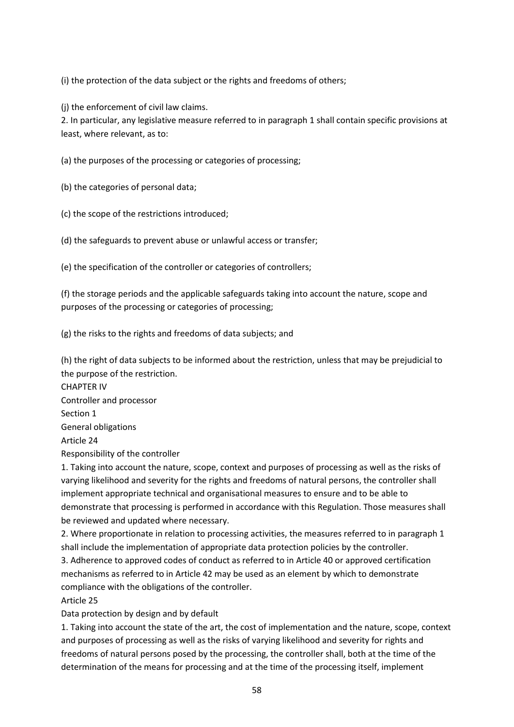(i) the protection of the data subject or the rights and freedoms of others;

(j) the enforcement of civil law claims.

2. In particular, any legislative measure referred to in paragraph 1 shall contain specific provisions at least, where relevant, as to:

(a) the purposes of the processing or categories of processing;

(b) the categories of personal data;

(c) the scope of the restrictions introduced;

(d) the safeguards to prevent abuse or unlawful access or transfer;

(e) the specification of the controller or categories of controllers;

(f) the storage periods and the applicable safeguards taking into account the nature, scope and purposes of the processing or categories of processing;

(g) the risks to the rights and freedoms of data subjects; and

(h) the right of data subjects to be informed about the restriction, unless that may be prejudicial to the purpose of the restriction.

CHAPTER IV Controller and processor Section 1 General obligations Article 24

Responsibility of the controller

1. Taking into account the nature, scope, context and purposes of processing as well as the risks of varying likelihood and severity for the rights and freedoms of natural persons, the controller shall implement appropriate technical and organisational measures to ensure and to be able to demonstrate that processing is performed in accordance with this Regulation. Those measures shall be reviewed and updated where necessary.

2. Where proportionate in relation to processing activities, the measures referred to in paragraph 1 shall include the implementation of appropriate data protection policies by the controller.

3. Adherence to approved codes of conduct as referred to in Article 40 or approved certification mechanisms as referred to in Article 42 may be used as an element by which to demonstrate compliance with the obligations of the controller.

Article 25

Data protection by design and by default

1. Taking into account the state of the art, the cost of implementation and the nature, scope, context and purposes of processing as well as the risks of varying likelihood and severity for rights and freedoms of natural persons posed by the processing, the controller shall, both at the time of the determination of the means for processing and at the time of the processing itself, implement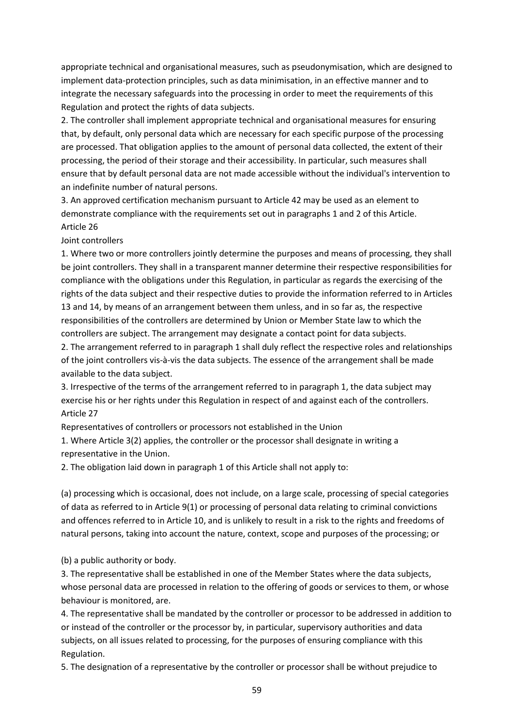appropriate technical and organisational measures, such as pseudonymisation, which are designed to implement data-protection principles, such as data minimisation, in an effective manner and to integrate the necessary safeguards into the processing in order to meet the requirements of this Regulation and protect the rights of data subjects.

2. The controller shall implement appropriate technical and organisational measures for ensuring that, by default, only personal data which are necessary for each specific purpose of the processing are processed. That obligation applies to the amount of personal data collected, the extent of their processing, the period of their storage and their accessibility. In particular, such measures shall ensure that by default personal data are not made accessible without the individual's intervention to an indefinite number of natural persons.

3. An approved certification mechanism pursuant to Article 42 may be used as an element to demonstrate compliance with the requirements set out in paragraphs 1 and 2 of this Article. Article 26

Joint controllers

1. Where two or more controllers jointly determine the purposes and means of processing, they shall be joint controllers. They shall in a transparent manner determine their respective responsibilities for compliance with the obligations under this Regulation, in particular as regards the exercising of the rights of the data subject and their respective duties to provide the information referred to in Articles 13 and 14, by means of an arrangement between them unless, and in so far as, the respective responsibilities of the controllers are determined by Union or Member State law to which the controllers are subject. The arrangement may designate a contact point for data subjects.

2. The arrangement referred to in paragraph 1 shall duly reflect the respective roles and relationships of the joint controllers vis-à-vis the data subjects. The essence of the arrangement shall be made available to the data subject.

3. Irrespective of the terms of the arrangement referred to in paragraph 1, the data subject may exercise his or her rights under this Regulation in respect of and against each of the controllers. Article 27

Representatives of controllers or processors not established in the Union

1. Where Article 3(2) applies, the controller or the processor shall designate in writing a representative in the Union.

2. The obligation laid down in paragraph 1 of this Article shall not apply to:

(a) processing which is occasional, does not include, on a large scale, processing of special categories of data as referred to in Article 9(1) or processing of personal data relating to criminal convictions and offences referred to in Article 10, and is unlikely to result in a risk to the rights and freedoms of natural persons, taking into account the nature, context, scope and purposes of the processing; or

(b) a public authority or body.

3. The representative shall be established in one of the Member States where the data subjects, whose personal data are processed in relation to the offering of goods or services to them, or whose behaviour is monitored, are.

4. The representative shall be mandated by the controller or processor to be addressed in addition to or instead of the controller or the processor by, in particular, supervisory authorities and data subjects, on all issues related to processing, for the purposes of ensuring compliance with this Regulation.

5. The designation of a representative by the controller or processor shall be without prejudice to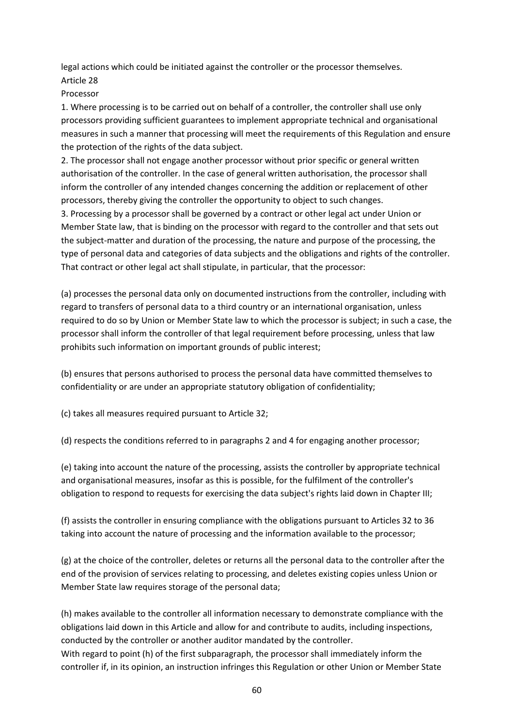legal actions which could be initiated against the controller or the processor themselves. Article 28

Processor

1. Where processing is to be carried out on behalf of a controller, the controller shall use only processors providing sufficient guarantees to implement appropriate technical and organisational measures in such a manner that processing will meet the requirements of this Regulation and ensure the protection of the rights of the data subject.

2. The processor shall not engage another processor without prior specific or general written authorisation of the controller. In the case of general written authorisation, the processor shall inform the controller of any intended changes concerning the addition or replacement of other processors, thereby giving the controller the opportunity to object to such changes.

3. Processing by a processor shall be governed by a contract or other legal act under Union or Member State law, that is binding on the processor with regard to the controller and that sets out the subject-matter and duration of the processing, the nature and purpose of the processing, the type of personal data and categories of data subjects and the obligations and rights of the controller. That contract or other legal act shall stipulate, in particular, that the processor:

(a) processes the personal data only on documented instructions from the controller, including with regard to transfers of personal data to a third country or an international organisation, unless required to do so by Union or Member State law to which the processor is subject; in such a case, the processor shall inform the controller of that legal requirement before processing, unless that law prohibits such information on important grounds of public interest;

(b) ensures that persons authorised to process the personal data have committed themselves to confidentiality or are under an appropriate statutory obligation of confidentiality;

(c) takes all measures required pursuant to Article 32;

(d) respects the conditions referred to in paragraphs 2 and 4 for engaging another processor;

(e) taking into account the nature of the processing, assists the controller by appropriate technical and organisational measures, insofar as this is possible, for the fulfilment of the controller's obligation to respond to requests for exercising the data subject's rights laid down in Chapter III;

(f) assists the controller in ensuring compliance with the obligations pursuant to Articles 32 to 36 taking into account the nature of processing and the information available to the processor;

(g) at the choice of the controller, deletes or returns all the personal data to the controller after the end of the provision of services relating to processing, and deletes existing copies unless Union or Member State law requires storage of the personal data;

(h) makes available to the controller all information necessary to demonstrate compliance with the obligations laid down in this Article and allow for and contribute to audits, including inspections, conducted by the controller or another auditor mandated by the controller.

With regard to point (h) of the first subparagraph, the processor shall immediately inform the controller if, in its opinion, an instruction infringes this Regulation or other Union or Member State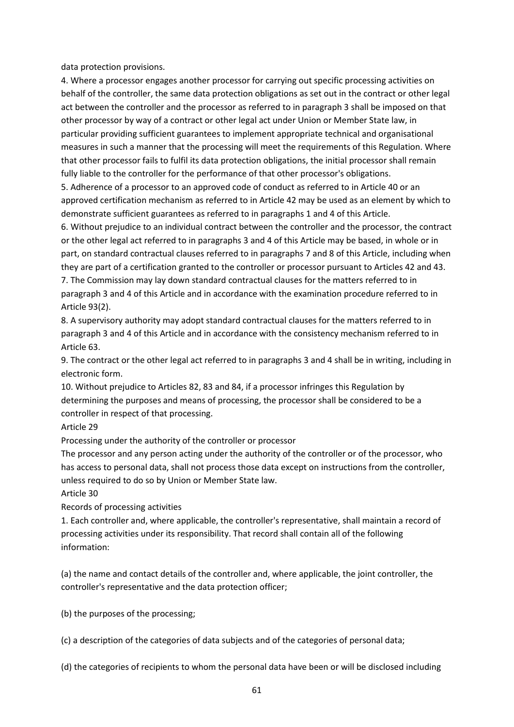data protection provisions.

4. Where a processor engages another processor for carrying out specific processing activities on behalf of the controller, the same data protection obligations as set out in the contract or other legal act between the controller and the processor as referred to in paragraph 3 shall be imposed on that other processor by way of a contract or other legal act under Union or Member State law, in particular providing sufficient guarantees to implement appropriate technical and organisational measures in such a manner that the processing will meet the requirements of this Regulation. Where that other processor fails to fulfil its data protection obligations, the initial processor shall remain fully liable to the controller for the performance of that other processor's obligations.

5. Adherence of a processor to an approved code of conduct as referred to in Article 40 or an approved certification mechanism as referred to in Article 42 may be used as an element by which to demonstrate sufficient guarantees as referred to in paragraphs 1 and 4 of this Article.

6. Without prejudice to an individual contract between the controller and the processor, the contract or the other legal act referred to in paragraphs 3 and 4 of this Article may be based, in whole or in part, on standard contractual clauses referred to in paragraphs 7 and 8 of this Article, including when they are part of a certification granted to the controller or processor pursuant to Articles 42 and 43. 7. The Commission may lay down standard contractual clauses for the matters referred to in paragraph 3 and 4 of this Article and in accordance with the examination procedure referred to in

Article 93(2).

8. A supervisory authority may adopt standard contractual clauses for the matters referred to in paragraph 3 and 4 of this Article and in accordance with the consistency mechanism referred to in Article 63.

9. The contract or the other legal act referred to in paragraphs 3 and 4 shall be in writing, including in electronic form.

10. Without prejudice to Articles 82, 83 and 84, if a processor infringes this Regulation by determining the purposes and means of processing, the processor shall be considered to be a controller in respect of that processing.

### Article 29

Processing under the authority of the controller or processor

The processor and any person acting under the authority of the controller or of the processor, who has access to personal data, shall not process those data except on instructions from the controller, unless required to do so by Union or Member State law.

Article 30

Records of processing activities

1. Each controller and, where applicable, the controller's representative, shall maintain a record of processing activities under its responsibility. That record shall contain all of the following information:

(a) the name and contact details of the controller and, where applicable, the joint controller, the controller's representative and the data protection officer;

(b) the purposes of the processing;

(c) a description of the categories of data subjects and of the categories of personal data;

(d) the categories of recipients to whom the personal data have been or will be disclosed including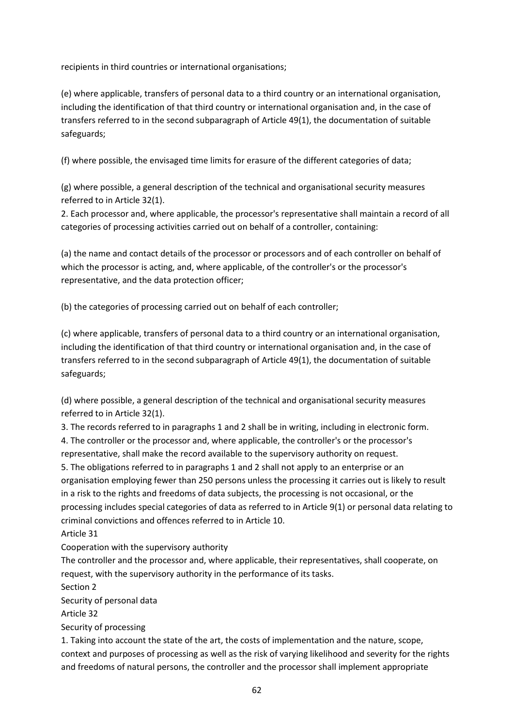recipients in third countries or international organisations;

(e) where applicable, transfers of personal data to a third country or an international organisation, including the identification of that third country or international organisation and, in the case of transfers referred to in the second subparagraph of Article 49(1), the documentation of suitable safeguards;

(f) where possible, the envisaged time limits for erasure of the different categories of data;

(g) where possible, a general description of the technical and organisational security measures referred to in Article 32(1).

2. Each processor and, where applicable, the processor's representative shall maintain a record of all categories of processing activities carried out on behalf of a controller, containing:

(a) the name and contact details of the processor or processors and of each controller on behalf of which the processor is acting, and, where applicable, of the controller's or the processor's representative, and the data protection officer;

(b) the categories of processing carried out on behalf of each controller;

(c) where applicable, transfers of personal data to a third country or an international organisation, including the identification of that third country or international organisation and, in the case of transfers referred to in the second subparagraph of Article 49(1), the documentation of suitable safeguards;

(d) where possible, a general description of the technical and organisational security measures referred to in Article 32(1).

3. The records referred to in paragraphs 1 and 2 shall be in writing, including in electronic form.

4. The controller or the processor and, where applicable, the controller's or the processor's representative, shall make the record available to the supervisory authority on request.

5. The obligations referred to in paragraphs 1 and 2 shall not apply to an enterprise or an organisation employing fewer than 250 persons unless the processing it carries out is likely to result in a risk to the rights and freedoms of data subjects, the processing is not occasional, or the processing includes special categories of data as referred to in Article 9(1) or personal data relating to criminal convictions and offences referred to in Article 10.

Article 31

Cooperation with the supervisory authority

The controller and the processor and, where applicable, their representatives, shall cooperate, on request, with the supervisory authority in the performance of its tasks.

Section 2

Security of personal data

Article 32

Security of processing

1. Taking into account the state of the art, the costs of implementation and the nature, scope, context and purposes of processing as well as the risk of varying likelihood and severity for the rights and freedoms of natural persons, the controller and the processor shall implement appropriate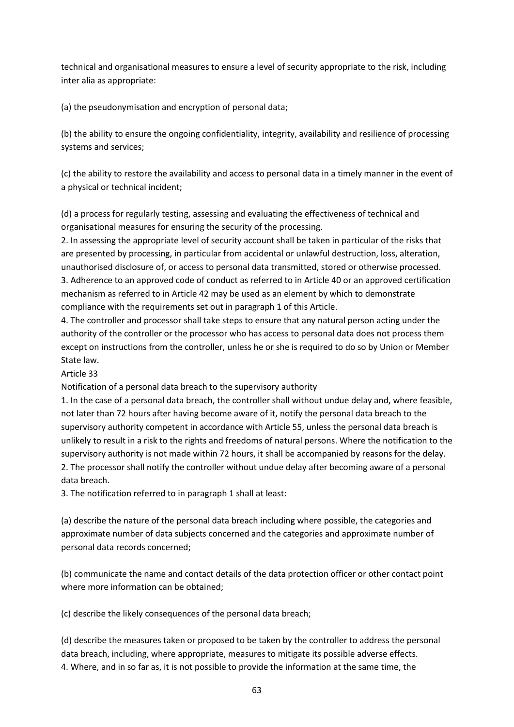technical and organisational measures to ensure a level of security appropriate to the risk, including inter alia as appropriate:

(a) the pseudonymisation and encryption of personal data;

(b) the ability to ensure the ongoing confidentiality, integrity, availability and resilience of processing systems and services;

(c) the ability to restore the availability and access to personal data in a timely manner in the event of a physical or technical incident;

(d) a process for regularly testing, assessing and evaluating the effectiveness of technical and organisational measures for ensuring the security of the processing.

2. In assessing the appropriate level of security account shall be taken in particular of the risks that are presented by processing, in particular from accidental or unlawful destruction, loss, alteration, unauthorised disclosure of, or access to personal data transmitted, stored or otherwise processed. 3. Adherence to an approved code of conduct as referred to in Article 40 or an approved certification mechanism as referred to in Article 42 may be used as an element by which to demonstrate compliance with the requirements set out in paragraph 1 of this Article.

4. The controller and processor shall take steps to ensure that any natural person acting under the authority of the controller or the processor who has access to personal data does not process them except on instructions from the controller, unless he or she is required to do so by Union or Member State law.

# Article 33

Notification of a personal data breach to the supervisory authority

1. In the case of a personal data breach, the controller shall without undue delay and, where feasible, not later than 72 hours after having become aware of it, notify the personal data breach to the supervisory authority competent in accordance with Article 55, unless the personal data breach is unlikely to result in a risk to the rights and freedoms of natural persons. Where the notification to the supervisory authority is not made within 72 hours, it shall be accompanied by reasons for the delay. 2. The processor shall notify the controller without undue delay after becoming aware of a personal data breach.

3. The notification referred to in paragraph 1 shall at least:

(a) describe the nature of the personal data breach including where possible, the categories and approximate number of data subjects concerned and the categories and approximate number of personal data records concerned;

(b) communicate the name and contact details of the data protection officer or other contact point where more information can be obtained;

(c) describe the likely consequences of the personal data breach;

(d) describe the measures taken or proposed to be taken by the controller to address the personal data breach, including, where appropriate, measures to mitigate its possible adverse effects. 4. Where, and in so far as, it is not possible to provide the information at the same time, the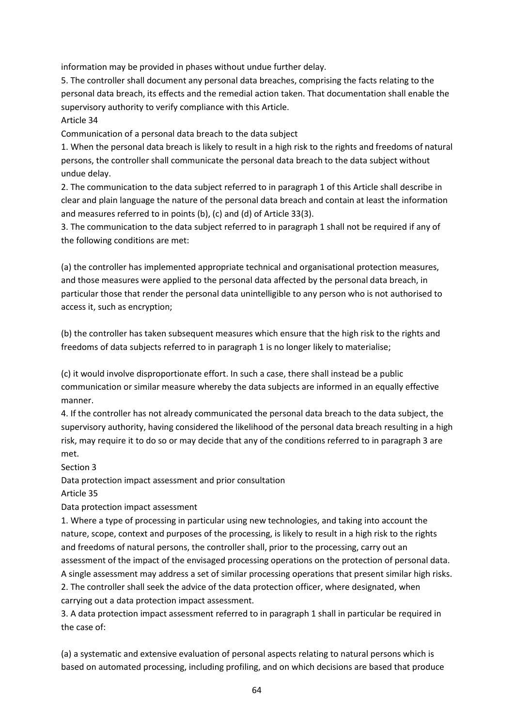information may be provided in phases without undue further delay.

5. The controller shall document any personal data breaches, comprising the facts relating to the personal data breach, its effects and the remedial action taken. That documentation shall enable the supervisory authority to verify compliance with this Article.

# Article 34

Communication of a personal data breach to the data subject

1. When the personal data breach is likely to result in a high risk to the rights and freedoms of natural persons, the controller shall communicate the personal data breach to the data subject without undue delay.

2. The communication to the data subject referred to in paragraph 1 of this Article shall describe in clear and plain language the nature of the personal data breach and contain at least the information and measures referred to in points (b), (c) and (d) of Article 33(3).

3. The communication to the data subject referred to in paragraph 1 shall not be required if any of the following conditions are met:

(a) the controller has implemented appropriate technical and organisational protection measures, and those measures were applied to the personal data affected by the personal data breach, in particular those that render the personal data unintelligible to any person who is not authorised to access it, such as encryption;

(b) the controller has taken subsequent measures which ensure that the high risk to the rights and freedoms of data subjects referred to in paragraph 1 is no longer likely to materialise;

(c) it would involve disproportionate effort. In such a case, there shall instead be a public communication or similar measure whereby the data subjects are informed in an equally effective manner.

4. If the controller has not already communicated the personal data breach to the data subject, the supervisory authority, having considered the likelihood of the personal data breach resulting in a high risk, may require it to do so or may decide that any of the conditions referred to in paragraph 3 are met.

Section 3

Data protection impact assessment and prior consultation

Article 35

Data protection impact assessment

1. Where a type of processing in particular using new technologies, and taking into account the nature, scope, context and purposes of the processing, is likely to result in a high risk to the rights and freedoms of natural persons, the controller shall, prior to the processing, carry out an assessment of the impact of the envisaged processing operations on the protection of personal data. A single assessment may address a set of similar processing operations that present similar high risks. 2. The controller shall seek the advice of the data protection officer, where designated, when

carrying out a data protection impact assessment.

3. A data protection impact assessment referred to in paragraph 1 shall in particular be required in the case of:

(a) a systematic and extensive evaluation of personal aspects relating to natural persons which is based on automated processing, including profiling, and on which decisions are based that produce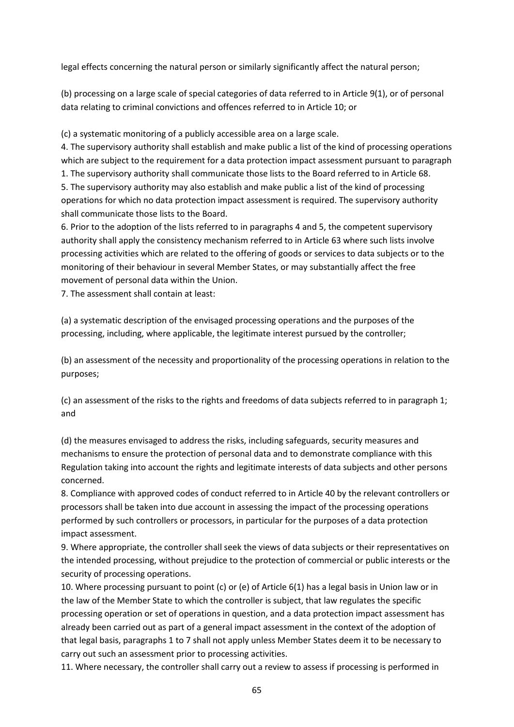legal effects concerning the natural person or similarly significantly affect the natural person;

(b) processing on a large scale of special categories of data referred to in Article 9(1), or of personal data relating to criminal convictions and offences referred to in Article 10; or

(c) a systematic monitoring of a publicly accessible area on a large scale.

4. The supervisory authority shall establish and make public a list of the kind of processing operations which are subject to the requirement for a data protection impact assessment pursuant to paragraph

1. The supervisory authority shall communicate those lists to the Board referred to in Article 68.

5. The supervisory authority may also establish and make public a list of the kind of processing operations for which no data protection impact assessment is required. The supervisory authority shall communicate those lists to the Board.

6. Prior to the adoption of the lists referred to in paragraphs 4 and 5, the competent supervisory authority shall apply the consistency mechanism referred to in Article 63 where such lists involve processing activities which are related to the offering of goods or services to data subjects or to the monitoring of their behaviour in several Member States, or may substantially affect the free movement of personal data within the Union.

7. The assessment shall contain at least:

(a) a systematic description of the envisaged processing operations and the purposes of the processing, including, where applicable, the legitimate interest pursued by the controller;

(b) an assessment of the necessity and proportionality of the processing operations in relation to the purposes;

(c) an assessment of the risks to the rights and freedoms of data subjects referred to in paragraph 1; and

(d) the measures envisaged to address the risks, including safeguards, security measures and mechanisms to ensure the protection of personal data and to demonstrate compliance with this Regulation taking into account the rights and legitimate interests of data subjects and other persons concerned.

8. Compliance with approved codes of conduct referred to in Article 40 by the relevant controllers or processors shall be taken into due account in assessing the impact of the processing operations performed by such controllers or processors, in particular for the purposes of a data protection impact assessment.

9. Where appropriate, the controller shall seek the views of data subjects or their representatives on the intended processing, without prejudice to the protection of commercial or public interests or the security of processing operations.

10. Where processing pursuant to point (c) or (e) of Article 6(1) has a legal basis in Union law or in the law of the Member State to which the controller is subject, that law regulates the specific processing operation or set of operations in question, and a data protection impact assessment has already been carried out as part of a general impact assessment in the context of the adoption of that legal basis, paragraphs 1 to 7 shall not apply unless Member States deem it to be necessary to carry out such an assessment prior to processing activities.

11. Where necessary, the controller shall carry out a review to assess if processing is performed in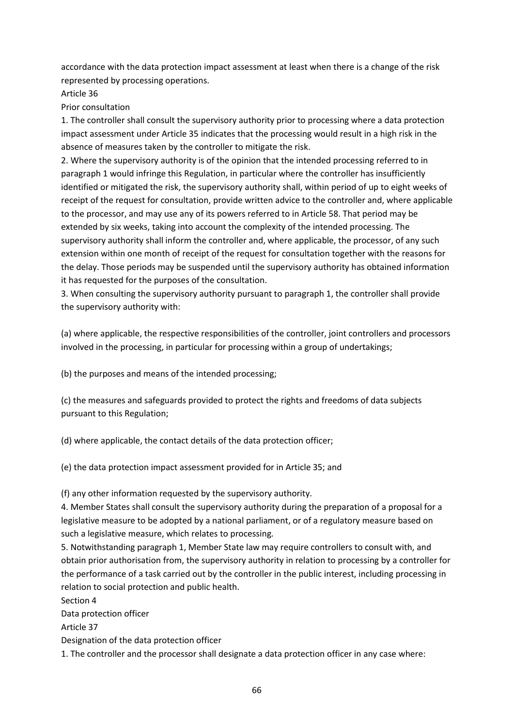accordance with the data protection impact assessment at least when there is a change of the risk represented by processing operations.

### Article 36

# Prior consultation

1. The controller shall consult the supervisory authority prior to processing where a data protection impact assessment under Article 35 indicates that the processing would result in a high risk in the absence of measures taken by the controller to mitigate the risk.

2. Where the supervisory authority is of the opinion that the intended processing referred to in paragraph 1 would infringe this Regulation, in particular where the controller has insufficiently identified or mitigated the risk, the supervisory authority shall, within period of up to eight weeks of receipt of the request for consultation, provide written advice to the controller and, where applicable to the processor, and may use any of its powers referred to in Article 58. That period may be extended by six weeks, taking into account the complexity of the intended processing. The supervisory authority shall inform the controller and, where applicable, the processor, of any such extension within one month of receipt of the request for consultation together with the reasons for the delay. Those periods may be suspended until the supervisory authority has obtained information it has requested for the purposes of the consultation.

3. When consulting the supervisory authority pursuant to paragraph 1, the controller shall provide the supervisory authority with:

(a) where applicable, the respective responsibilities of the controller, joint controllers and processors involved in the processing, in particular for processing within a group of undertakings;

(b) the purposes and means of the intended processing;

(c) the measures and safeguards provided to protect the rights and freedoms of data subjects pursuant to this Regulation;

(d) where applicable, the contact details of the data protection officer;

(e) the data protection impact assessment provided for in Article 35; and

(f) any other information requested by the supervisory authority.

4. Member States shall consult the supervisory authority during the preparation of a proposal for a legislative measure to be adopted by a national parliament, or of a regulatory measure based on such a legislative measure, which relates to processing.

5. Notwithstanding paragraph 1, Member State law may require controllers to consult with, and obtain prior authorisation from, the supervisory authority in relation to processing by a controller for the performance of a task carried out by the controller in the public interest, including processing in relation to social protection and public health.

Section 4

Data protection officer

Article 37

Designation of the data protection officer

1. The controller and the processor shall designate a data protection officer in any case where: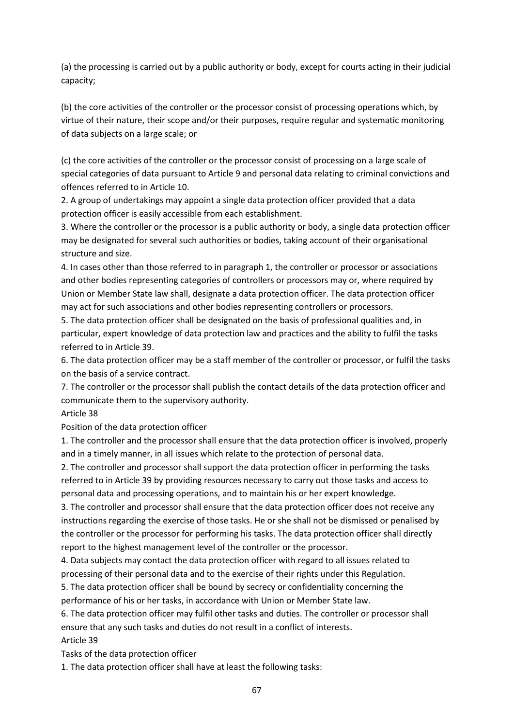(a) the processing is carried out by a public authority or body, except for courts acting in their judicial capacity;

(b) the core activities of the controller or the processor consist of processing operations which, by virtue of their nature, their scope and/or their purposes, require regular and systematic monitoring of data subjects on a large scale; or

(c) the core activities of the controller or the processor consist of processing on a large scale of special categories of data pursuant to Article 9 and personal data relating to criminal convictions and offences referred to in Article 10.

2. A group of undertakings may appoint a single data protection officer provided that a data protection officer is easily accessible from each establishment.

3. Where the controller or the processor is a public authority or body, a single data protection officer may be designated for several such authorities or bodies, taking account of their organisational structure and size.

4. In cases other than those referred to in paragraph 1, the controller or processor or associations and other bodies representing categories of controllers or processors may or, where required by Union or Member State law shall, designate a data protection officer. The data protection officer may act for such associations and other bodies representing controllers or processors.

5. The data protection officer shall be designated on the basis of professional qualities and, in particular, expert knowledge of data protection law and practices and the ability to fulfil the tasks referred to in Article 39.

6. The data protection officer may be a staff member of the controller or processor, or fulfil the tasks on the basis of a service contract.

7. The controller or the processor shall publish the contact details of the data protection officer and communicate them to the supervisory authority.

Article 38

Position of the data protection officer

1. The controller and the processor shall ensure that the data protection officer is involved, properly and in a timely manner, in all issues which relate to the protection of personal data.

2. The controller and processor shall support the data protection officer in performing the tasks referred to in Article 39 by providing resources necessary to carry out those tasks and access to personal data and processing operations, and to maintain his or her expert knowledge.

3. The controller and processor shall ensure that the data protection officer does not receive any instructions regarding the exercise of those tasks. He or she shall not be dismissed or penalised by the controller or the processor for performing his tasks. The data protection officer shall directly report to the highest management level of the controller or the processor.

4. Data subjects may contact the data protection officer with regard to all issues related to processing of their personal data and to the exercise of their rights under this Regulation.

5. The data protection officer shall be bound by secrecy or confidentiality concerning the performance of his or her tasks, in accordance with Union or Member State law.

6. The data protection officer may fulfil other tasks and duties. The controller or processor shall ensure that any such tasks and duties do not result in a conflict of interests.

Article 39

Tasks of the data protection officer

1. The data protection officer shall have at least the following tasks: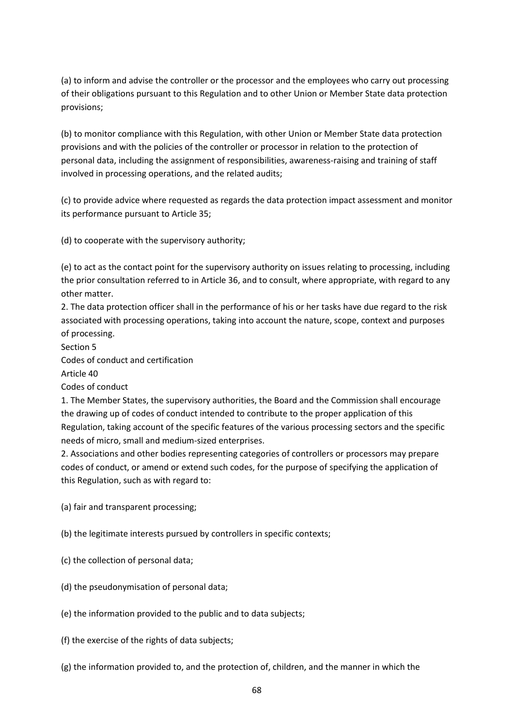(a) to inform and advise the controller or the processor and the employees who carry out processing of their obligations pursuant to this Regulation and to other Union or Member State data protection provisions;

(b) to monitor compliance with this Regulation, with other Union or Member State data protection provisions and with the policies of the controller or processor in relation to the protection of personal data, including the assignment of responsibilities, awareness-raising and training of staff involved in processing operations, and the related audits;

(c) to provide advice where requested as regards the data protection impact assessment and monitor its performance pursuant to Article 35;

(d) to cooperate with the supervisory authority;

(e) to act as the contact point for the supervisory authority on issues relating to processing, including the prior consultation referred to in Article 36, and to consult, where appropriate, with regard to any other matter.

2. The data protection officer shall in the performance of his or her tasks have due regard to the risk associated with processing operations, taking into account the nature, scope, context and purposes of processing.

Section 5

Codes of conduct and certification

Article 40

Codes of conduct

1. The Member States, the supervisory authorities, the Board and the Commission shall encourage the drawing up of codes of conduct intended to contribute to the proper application of this Regulation, taking account of the specific features of the various processing sectors and the specific needs of micro, small and medium-sized enterprises.

2. Associations and other bodies representing categories of controllers or processors may prepare codes of conduct, or amend or extend such codes, for the purpose of specifying the application of this Regulation, such as with regard to:

- (a) fair and transparent processing;
- (b) the legitimate interests pursued by controllers in specific contexts;
- (c) the collection of personal data;
- (d) the pseudonymisation of personal data;
- (e) the information provided to the public and to data subjects;

(f) the exercise of the rights of data subjects;

(g) the information provided to, and the protection of, children, and the manner in which the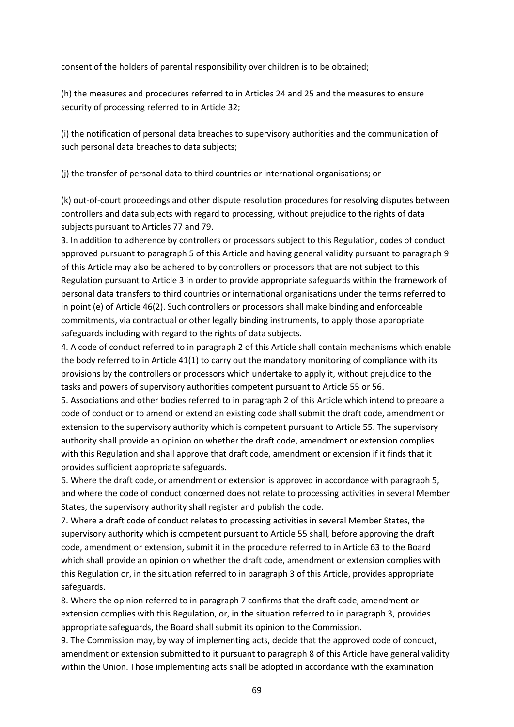consent of the holders of parental responsibility over children is to be obtained;

(h) the measures and procedures referred to in Articles 24 and 25 and the measures to ensure security of processing referred to in Article 32;

(i) the notification of personal data breaches to supervisory authorities and the communication of such personal data breaches to data subjects;

(j) the transfer of personal data to third countries or international organisations; or

(k) out-of-court proceedings and other dispute resolution procedures for resolving disputes between controllers and data subjects with regard to processing, without prejudice to the rights of data subjects pursuant to Articles 77 and 79.

3. In addition to adherence by controllers or processors subject to this Regulation, codes of conduct approved pursuant to paragraph 5 of this Article and having general validity pursuant to paragraph 9 of this Article may also be adhered to by controllers or processors that are not subject to this Regulation pursuant to Article 3 in order to provide appropriate safeguards within the framework of personal data transfers to third countries or international organisations under the terms referred to in point (e) of Article 46(2). Such controllers or processors shall make binding and enforceable commitments, via contractual or other legally binding instruments, to apply those appropriate safeguards including with regard to the rights of data subjects.

4. A code of conduct referred to in paragraph 2 of this Article shall contain mechanisms which enable the body referred to in Article 41(1) to carry out the mandatory monitoring of compliance with its provisions by the controllers or processors which undertake to apply it, without prejudice to the tasks and powers of supervisory authorities competent pursuant to Article 55 or 56.

5. Associations and other bodies referred to in paragraph 2 of this Article which intend to prepare a code of conduct or to amend or extend an existing code shall submit the draft code, amendment or extension to the supervisory authority which is competent pursuant to Article 55. The supervisory authority shall provide an opinion on whether the draft code, amendment or extension complies with this Regulation and shall approve that draft code, amendment or extension if it finds that it provides sufficient appropriate safeguards.

6. Where the draft code, or amendment or extension is approved in accordance with paragraph 5, and where the code of conduct concerned does not relate to processing activities in several Member States, the supervisory authority shall register and publish the code.

7. Where a draft code of conduct relates to processing activities in several Member States, the supervisory authority which is competent pursuant to Article 55 shall, before approving the draft code, amendment or extension, submit it in the procedure referred to in Article 63 to the Board which shall provide an opinion on whether the draft code, amendment or extension complies with this Regulation or, in the situation referred to in paragraph 3 of this Article, provides appropriate safeguards.

8. Where the opinion referred to in paragraph 7 confirms that the draft code, amendment or extension complies with this Regulation, or, in the situation referred to in paragraph 3, provides appropriate safeguards, the Board shall submit its opinion to the Commission.

9. The Commission may, by way of implementing acts, decide that the approved code of conduct, amendment or extension submitted to it pursuant to paragraph 8 of this Article have general validity within the Union. Those implementing acts shall be adopted in accordance with the examination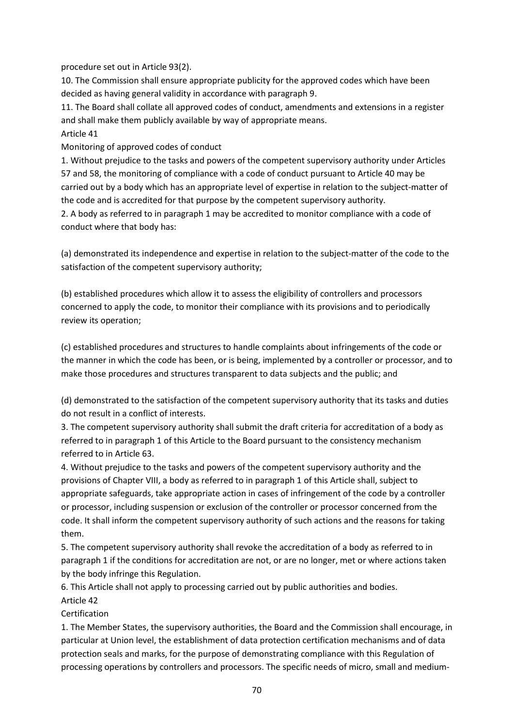procedure set out in Article 93(2).

10. The Commission shall ensure appropriate publicity for the approved codes which have been decided as having general validity in accordance with paragraph 9.

11. The Board shall collate all approved codes of conduct, amendments and extensions in a register and shall make them publicly available by way of appropriate means.

### Article 41

Monitoring of approved codes of conduct

1. Without prejudice to the tasks and powers of the competent supervisory authority under Articles 57 and 58, the monitoring of compliance with a code of conduct pursuant to Article 40 may be carried out by a body which has an appropriate level of expertise in relation to the subject-matter of the code and is accredited for that purpose by the competent supervisory authority.

2. A body as referred to in paragraph 1 may be accredited to monitor compliance with a code of conduct where that body has:

(a) demonstrated its independence and expertise in relation to the subject-matter of the code to the satisfaction of the competent supervisory authority;

(b) established procedures which allow it to assess the eligibility of controllers and processors concerned to apply the code, to monitor their compliance with its provisions and to periodically review its operation;

(c) established procedures and structures to handle complaints about infringements of the code or the manner in which the code has been, or is being, implemented by a controller or processor, and to make those procedures and structures transparent to data subjects and the public; and

(d) demonstrated to the satisfaction of the competent supervisory authority that its tasks and duties do not result in a conflict of interests.

3. The competent supervisory authority shall submit the draft criteria for accreditation of a body as referred to in paragraph 1 of this Article to the Board pursuant to the consistency mechanism referred to in Article 63.

4. Without prejudice to the tasks and powers of the competent supervisory authority and the provisions of Chapter VIII, a body as referred to in paragraph 1 of this Article shall, subject to appropriate safeguards, take appropriate action in cases of infringement of the code by a controller or processor, including suspension or exclusion of the controller or processor concerned from the code. It shall inform the competent supervisory authority of such actions and the reasons for taking them.

5. The competent supervisory authority shall revoke the accreditation of a body as referred to in paragraph 1 if the conditions for accreditation are not, or are no longer, met or where actions taken by the body infringe this Regulation.

6. This Article shall not apply to processing carried out by public authorities and bodies. Article 42

# Certification

1. The Member States, the supervisory authorities, the Board and the Commission shall encourage, in particular at Union level, the establishment of data protection certification mechanisms and of data protection seals and marks, for the purpose of demonstrating compliance with this Regulation of processing operations by controllers and processors. The specific needs of micro, small and medium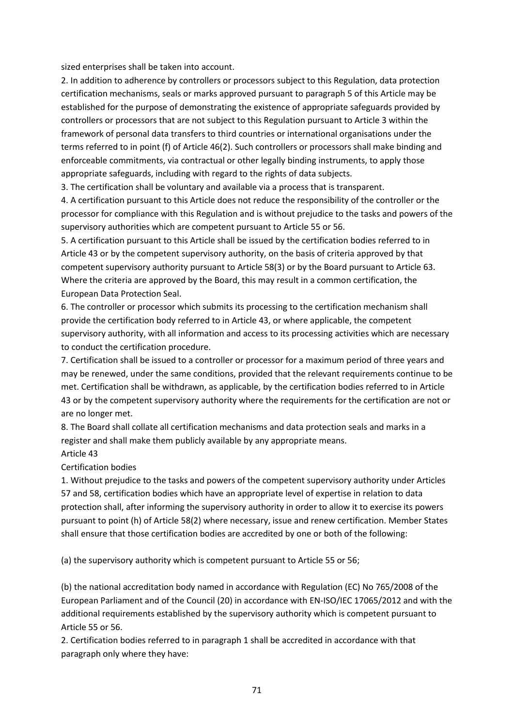sized enterprises shall be taken into account.

2. In addition to adherence by controllers or processors subject to this Regulation, data protection certification mechanisms, seals or marks approved pursuant to paragraph 5 of this Article may be established for the purpose of demonstrating the existence of appropriate safeguards provided by controllers or processors that are not subject to this Regulation pursuant to Article 3 within the framework of personal data transfers to third countries or international organisations under the terms referred to in point (f) of Article 46(2). Such controllers or processors shall make binding and enforceable commitments, via contractual or other legally binding instruments, to apply those appropriate safeguards, including with regard to the rights of data subjects.

3. The certification shall be voluntary and available via a process that is transparent.

4. A certification pursuant to this Article does not reduce the responsibility of the controller or the processor for compliance with this Regulation and is without prejudice to the tasks and powers of the supervisory authorities which are competent pursuant to Article 55 or 56.

5. A certification pursuant to this Article shall be issued by the certification bodies referred to in Article 43 or by the competent supervisory authority, on the basis of criteria approved by that competent supervisory authority pursuant to Article 58(3) or by the Board pursuant to Article 63. Where the criteria are approved by the Board, this may result in a common certification, the European Data Protection Seal.

6. The controller or processor which submits its processing to the certification mechanism shall provide the certification body referred to in Article 43, or where applicable, the competent supervisory authority, with all information and access to its processing activities which are necessary to conduct the certification procedure.

7. Certification shall be issued to a controller or processor for a maximum period of three years and may be renewed, under the same conditions, provided that the relevant requirements continue to be met. Certification shall be withdrawn, as applicable, by the certification bodies referred to in Article 43 or by the competent supervisory authority where the requirements for the certification are not or are no longer met.

8. The Board shall collate all certification mechanisms and data protection seals and marks in a register and shall make them publicly available by any appropriate means.

# Article 43

Certification bodies

1. Without prejudice to the tasks and powers of the competent supervisory authority under Articles 57 and 58, certification bodies which have an appropriate level of expertise in relation to data protection shall, after informing the supervisory authority in order to allow it to exercise its powers pursuant to point (h) of Article 58(2) where necessary, issue and renew certification. Member States shall ensure that those certification bodies are accredited by one or both of the following:

(a) the supervisory authority which is competent pursuant to Article 55 or 56;

(b) the national accreditation body named in accordance with Regulation (EC) No 765/2008 of the European Parliament and of the Council (20) in accordance with EN-ISO/IEC 17065/2012 and with the additional requirements established by the supervisory authority which is competent pursuant to Article 55 or 56.

2. Certification bodies referred to in paragraph 1 shall be accredited in accordance with that paragraph only where they have: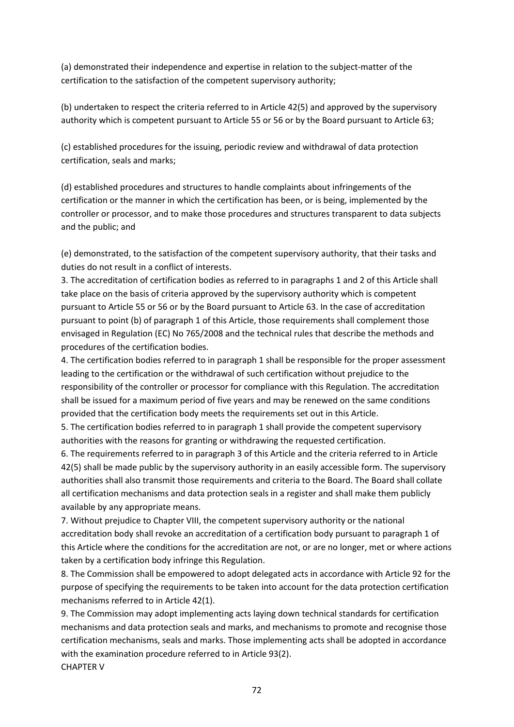(a) demonstrated their independence and expertise in relation to the subject-matter of the certification to the satisfaction of the competent supervisory authority;

(b) undertaken to respect the criteria referred to in Article 42(5) and approved by the supervisory authority which is competent pursuant to Article 55 or 56 or by the Board pursuant to Article 63;

(c) established procedures for the issuing, periodic review and withdrawal of data protection certification, seals and marks;

(d) established procedures and structures to handle complaints about infringements of the certification or the manner in which the certification has been, or is being, implemented by the controller or processor, and to make those procedures and structures transparent to data subjects and the public; and

(e) demonstrated, to the satisfaction of the competent supervisory authority, that their tasks and duties do not result in a conflict of interests.

3. The accreditation of certification bodies as referred to in paragraphs 1 and 2 of this Article shall take place on the basis of criteria approved by the supervisory authority which is competent pursuant to Article 55 or 56 or by the Board pursuant to Article 63. In the case of accreditation pursuant to point (b) of paragraph 1 of this Article, those requirements shall complement those envisaged in Regulation (EC) No 765/2008 and the technical rules that describe the methods and procedures of the certification bodies.

4. The certification bodies referred to in paragraph 1 shall be responsible for the proper assessment leading to the certification or the withdrawal of such certification without prejudice to the responsibility of the controller or processor for compliance with this Regulation. The accreditation shall be issued for a maximum period of five years and may be renewed on the same conditions provided that the certification body meets the requirements set out in this Article.

5. The certification bodies referred to in paragraph 1 shall provide the competent supervisory authorities with the reasons for granting or withdrawing the requested certification.

6. The requirements referred to in paragraph 3 of this Article and the criteria referred to in Article 42(5) shall be made public by the supervisory authority in an easily accessible form. The supervisory authorities shall also transmit those requirements and criteria to the Board. The Board shall collate all certification mechanisms and data protection seals in a register and shall make them publicly available by any appropriate means.

7. Without prejudice to Chapter VIII, the competent supervisory authority or the national accreditation body shall revoke an accreditation of a certification body pursuant to paragraph 1 of this Article where the conditions for the accreditation are not, or are no longer, met or where actions taken by a certification body infringe this Regulation.

8. The Commission shall be empowered to adopt delegated acts in accordance with Article 92 for the purpose of specifying the requirements to be taken into account for the data protection certification mechanisms referred to in Article 42(1).

9. The Commission may adopt implementing acts laying down technical standards for certification mechanisms and data protection seals and marks, and mechanisms to promote and recognise those certification mechanisms, seals and marks. Those implementing acts shall be adopted in accordance with the examination procedure referred to in Article 93(2). CHAPTER V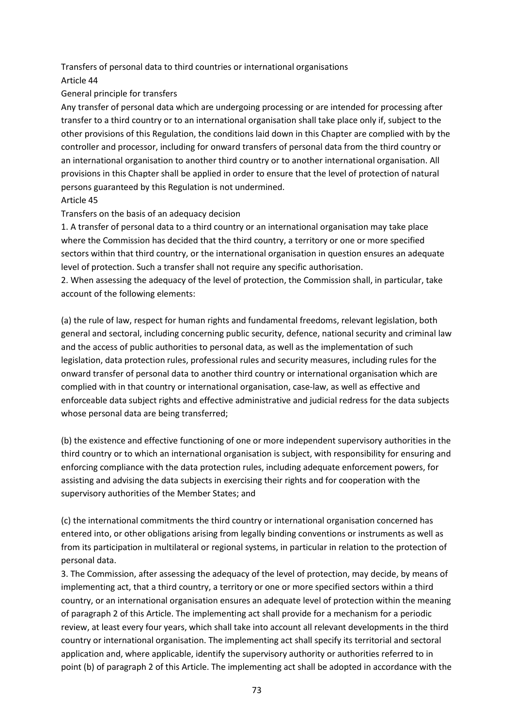Transfers of personal data to third countries or international organisations Article 44

General principle for transfers

Any transfer of personal data which are undergoing processing or are intended for processing after transfer to a third country or to an international organisation shall take place only if, subject to the other provisions of this Regulation, the conditions laid down in this Chapter are complied with by the controller and processor, including for onward transfers of personal data from the third country or an international organisation to another third country or to another international organisation. All provisions in this Chapter shall be applied in order to ensure that the level of protection of natural persons guaranteed by this Regulation is not undermined. Article 45

# Transfers on the basis of an adequacy decision

1. A transfer of personal data to a third country or an international organisation may take place where the Commission has decided that the third country, a territory or one or more specified sectors within that third country, or the international organisation in question ensures an adequate level of protection. Such a transfer shall not require any specific authorisation.

2. When assessing the adequacy of the level of protection, the Commission shall, in particular, take account of the following elements:

(a) the rule of law, respect for human rights and fundamental freedoms, relevant legislation, both general and sectoral, including concerning public security, defence, national security and criminal law and the access of public authorities to personal data, as well as the implementation of such legislation, data protection rules, professional rules and security measures, including rules for the onward transfer of personal data to another third country or international organisation which are complied with in that country or international organisation, case-law, as well as effective and enforceable data subject rights and effective administrative and judicial redress for the data subjects whose personal data are being transferred;

(b) the existence and effective functioning of one or more independent supervisory authorities in the third country or to which an international organisation is subject, with responsibility for ensuring and enforcing compliance with the data protection rules, including adequate enforcement powers, for assisting and advising the data subjects in exercising their rights and for cooperation with the supervisory authorities of the Member States; and

(c) the international commitments the third country or international organisation concerned has entered into, or other obligations arising from legally binding conventions or instruments as well as from its participation in multilateral or regional systems, in particular in relation to the protection of personal data.

3. The Commission, after assessing the adequacy of the level of protection, may decide, by means of implementing act, that a third country, a territory or one or more specified sectors within a third country, or an international organisation ensures an adequate level of protection within the meaning of paragraph 2 of this Article. The implementing act shall provide for a mechanism for a periodic review, at least every four years, which shall take into account all relevant developments in the third country or international organisation. The implementing act shall specify its territorial and sectoral application and, where applicable, identify the supervisory authority or authorities referred to in point (b) of paragraph 2 of this Article. The implementing act shall be adopted in accordance with the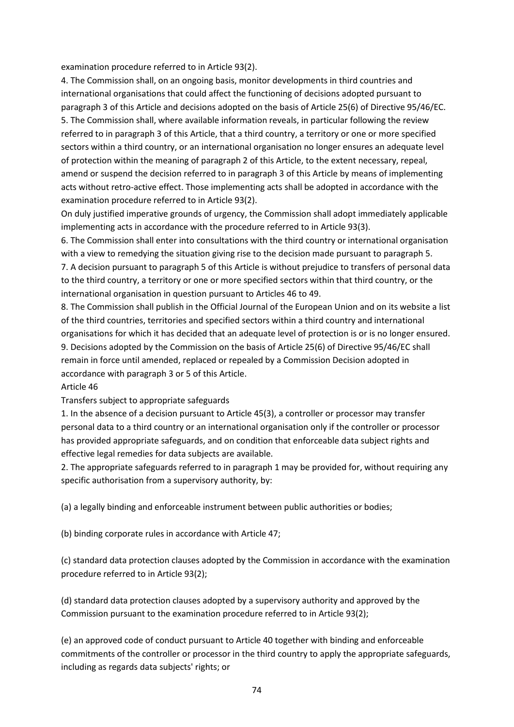examination procedure referred to in Article 93(2).

4. The Commission shall, on an ongoing basis, monitor developments in third countries and international organisations that could affect the functioning of decisions adopted pursuant to paragraph 3 of this Article and decisions adopted on the basis of Article 25(6) of Directive 95/46/EC. 5. The Commission shall, where available information reveals, in particular following the review referred to in paragraph 3 of this Article, that a third country, a territory or one or more specified sectors within a third country, or an international organisation no longer ensures an adequate level of protection within the meaning of paragraph 2 of this Article, to the extent necessary, repeal, amend or suspend the decision referred to in paragraph 3 of this Article by means of implementing acts without retro-active effect. Those implementing acts shall be adopted in accordance with the examination procedure referred to in Article 93(2).

On duly justified imperative grounds of urgency, the Commission shall adopt immediately applicable implementing acts in accordance with the procedure referred to in Article 93(3).

6. The Commission shall enter into consultations with the third country or international organisation with a view to remedying the situation giving rise to the decision made pursuant to paragraph 5. 7. A decision pursuant to paragraph 5 of this Article is without prejudice to transfers of personal data to the third country, a territory or one or more specified sectors within that third country, or the international organisation in question pursuant to Articles 46 to 49.

8. The Commission shall publish in the Official Journal of the European Union and on its website a list of the third countries, territories and specified sectors within a third country and international organisations for which it has decided that an adequate level of protection is or is no longer ensured. 9. Decisions adopted by the Commission on the basis of Article 25(6) of Directive 95/46/EC shall remain in force until amended, replaced or repealed by a Commission Decision adopted in accordance with paragraph 3 or 5 of this Article.

Article 46

Transfers subject to appropriate safeguards

1. In the absence of a decision pursuant to Article 45(3), a controller or processor may transfer personal data to a third country or an international organisation only if the controller or processor has provided appropriate safeguards, and on condition that enforceable data subject rights and effective legal remedies for data subjects are available.

2. The appropriate safeguards referred to in paragraph 1 may be provided for, without requiring any specific authorisation from a supervisory authority, by:

(a) a legally binding and enforceable instrument between public authorities or bodies;

(b) binding corporate rules in accordance with Article 47;

(c) standard data protection clauses adopted by the Commission in accordance with the examination procedure referred to in Article 93(2);

(d) standard data protection clauses adopted by a supervisory authority and approved by the Commission pursuant to the examination procedure referred to in Article 93(2);

(e) an approved code of conduct pursuant to Article 40 together with binding and enforceable commitments of the controller or processor in the third country to apply the appropriate safeguards, including as regards data subjects' rights; or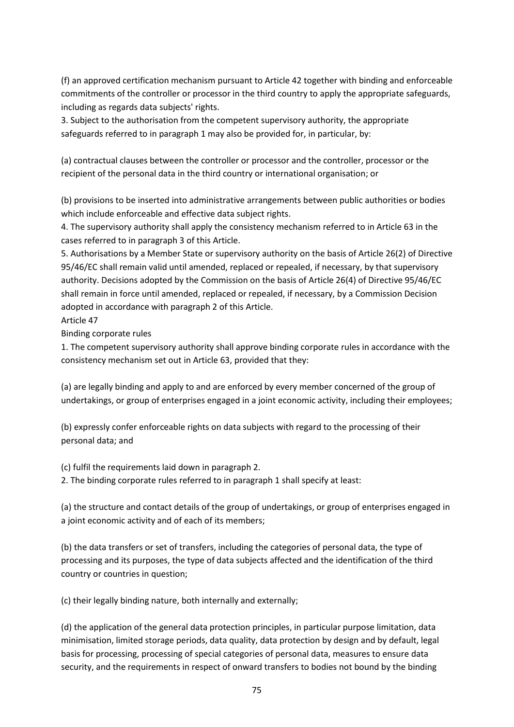(f) an approved certification mechanism pursuant to Article 42 together with binding and enforceable commitments of the controller or processor in the third country to apply the appropriate safeguards, including as regards data subjects' rights.

3. Subject to the authorisation from the competent supervisory authority, the appropriate safeguards referred to in paragraph 1 may also be provided for, in particular, by:

(a) contractual clauses between the controller or processor and the controller, processor or the recipient of the personal data in the third country or international organisation; or

(b) provisions to be inserted into administrative arrangements between public authorities or bodies which include enforceable and effective data subject rights.

4. The supervisory authority shall apply the consistency mechanism referred to in Article 63 in the cases referred to in paragraph 3 of this Article.

5. Authorisations by a Member State or supervisory authority on the basis of Article 26(2) of Directive 95/46/EC shall remain valid until amended, replaced or repealed, if necessary, by that supervisory authority. Decisions adopted by the Commission on the basis of Article 26(4) of Directive 95/46/EC shall remain in force until amended, replaced or repealed, if necessary, by a Commission Decision adopted in accordance with paragraph 2 of this Article.

## Article 47

Binding corporate rules

1. The competent supervisory authority shall approve binding corporate rules in accordance with the consistency mechanism set out in Article 63, provided that they:

(a) are legally binding and apply to and are enforced by every member concerned of the group of undertakings, or group of enterprises engaged in a joint economic activity, including their employees;

(b) expressly confer enforceable rights on data subjects with regard to the processing of their personal data; and

(c) fulfil the requirements laid down in paragraph 2.

2. The binding corporate rules referred to in paragraph 1 shall specify at least:

(a) the structure and contact details of the group of undertakings, or group of enterprises engaged in a joint economic activity and of each of its members;

(b) the data transfers or set of transfers, including the categories of personal data, the type of processing and its purposes, the type of data subjects affected and the identification of the third country or countries in question;

(c) their legally binding nature, both internally and externally;

(d) the application of the general data protection principles, in particular purpose limitation, data minimisation, limited storage periods, data quality, data protection by design and by default, legal basis for processing, processing of special categories of personal data, measures to ensure data security, and the requirements in respect of onward transfers to bodies not bound by the binding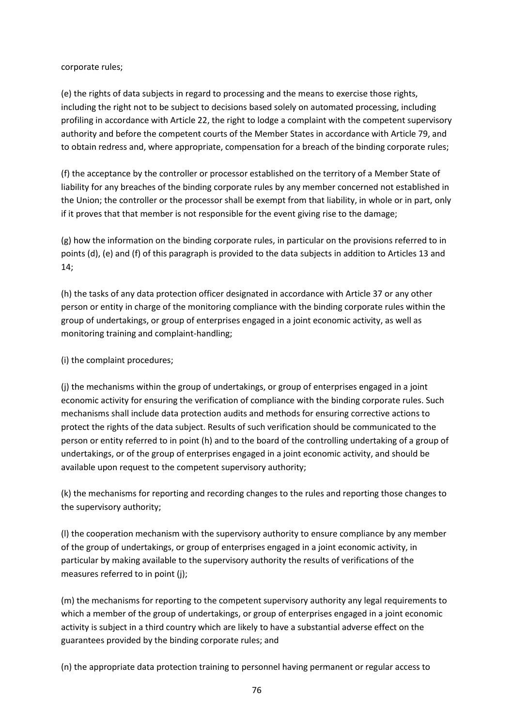## corporate rules;

(e) the rights of data subjects in regard to processing and the means to exercise those rights, including the right not to be subject to decisions based solely on automated processing, including profiling in accordance with Article 22, the right to lodge a complaint with the competent supervisory authority and before the competent courts of the Member States in accordance with Article 79, and to obtain redress and, where appropriate, compensation for a breach of the binding corporate rules;

(f) the acceptance by the controller or processor established on the territory of a Member State of liability for any breaches of the binding corporate rules by any member concerned not established in the Union; the controller or the processor shall be exempt from that liability, in whole or in part, only if it proves that that member is not responsible for the event giving rise to the damage;

(g) how the information on the binding corporate rules, in particular on the provisions referred to in points (d), (e) and (f) of this paragraph is provided to the data subjects in addition to Articles 13 and 14;

(h) the tasks of any data protection officer designated in accordance with Article 37 or any other person or entity in charge of the monitoring compliance with the binding corporate rules within the group of undertakings, or group of enterprises engaged in a joint economic activity, as well as monitoring training and complaint-handling;

(i) the complaint procedures;

(j) the mechanisms within the group of undertakings, or group of enterprises engaged in a joint economic activity for ensuring the verification of compliance with the binding corporate rules. Such mechanisms shall include data protection audits and methods for ensuring corrective actions to protect the rights of the data subject. Results of such verification should be communicated to the person or entity referred to in point (h) and to the board of the controlling undertaking of a group of undertakings, or of the group of enterprises engaged in a joint economic activity, and should be available upon request to the competent supervisory authority;

(k) the mechanisms for reporting and recording changes to the rules and reporting those changes to the supervisory authority;

(l) the cooperation mechanism with the supervisory authority to ensure compliance by any member of the group of undertakings, or group of enterprises engaged in a joint economic activity, in particular by making available to the supervisory authority the results of verifications of the measures referred to in point (j);

(m) the mechanisms for reporting to the competent supervisory authority any legal requirements to which a member of the group of undertakings, or group of enterprises engaged in a joint economic activity is subject in a third country which are likely to have a substantial adverse effect on the guarantees provided by the binding corporate rules; and

(n) the appropriate data protection training to personnel having permanent or regular access to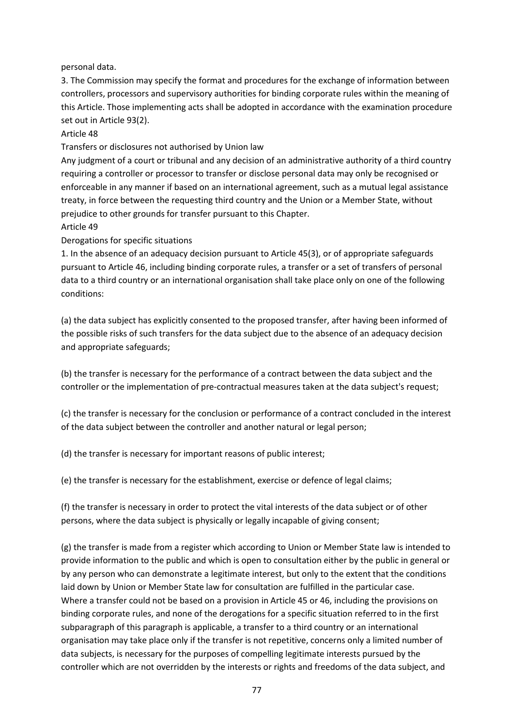## personal data.

3. The Commission may specify the format and procedures for the exchange of information between controllers, processors and supervisory authorities for binding corporate rules within the meaning of this Article. Those implementing acts shall be adopted in accordance with the examination procedure set out in Article 93(2).

#### Article 48

Transfers or disclosures not authorised by Union law

Any judgment of a court or tribunal and any decision of an administrative authority of a third country requiring a controller or processor to transfer or disclose personal data may only be recognised or enforceable in any manner if based on an international agreement, such as a mutual legal assistance treaty, in force between the requesting third country and the Union or a Member State, without prejudice to other grounds for transfer pursuant to this Chapter.

## Article 49

Derogations for specific situations

1. In the absence of an adequacy decision pursuant to Article 45(3), or of appropriate safeguards pursuant to Article 46, including binding corporate rules, a transfer or a set of transfers of personal data to a third country or an international organisation shall take place only on one of the following conditions:

(a) the data subject has explicitly consented to the proposed transfer, after having been informed of the possible risks of such transfers for the data subject due to the absence of an adequacy decision and appropriate safeguards;

(b) the transfer is necessary for the performance of a contract between the data subject and the controller or the implementation of pre-contractual measures taken at the data subject's request;

(c) the transfer is necessary for the conclusion or performance of a contract concluded in the interest of the data subject between the controller and another natural or legal person;

(d) the transfer is necessary for important reasons of public interest;

(e) the transfer is necessary for the establishment, exercise or defence of legal claims;

(f) the transfer is necessary in order to protect the vital interests of the data subject or of other persons, where the data subject is physically or legally incapable of giving consent;

(g) the transfer is made from a register which according to Union or Member State law is intended to provide information to the public and which is open to consultation either by the public in general or by any person who can demonstrate a legitimate interest, but only to the extent that the conditions laid down by Union or Member State law for consultation are fulfilled in the particular case. Where a transfer could not be based on a provision in Article 45 or 46, including the provisions on binding corporate rules, and none of the derogations for a specific situation referred to in the first subparagraph of this paragraph is applicable, a transfer to a third country or an international organisation may take place only if the transfer is not repetitive, concerns only a limited number of data subjects, is necessary for the purposes of compelling legitimate interests pursued by the controller which are not overridden by the interests or rights and freedoms of the data subject, and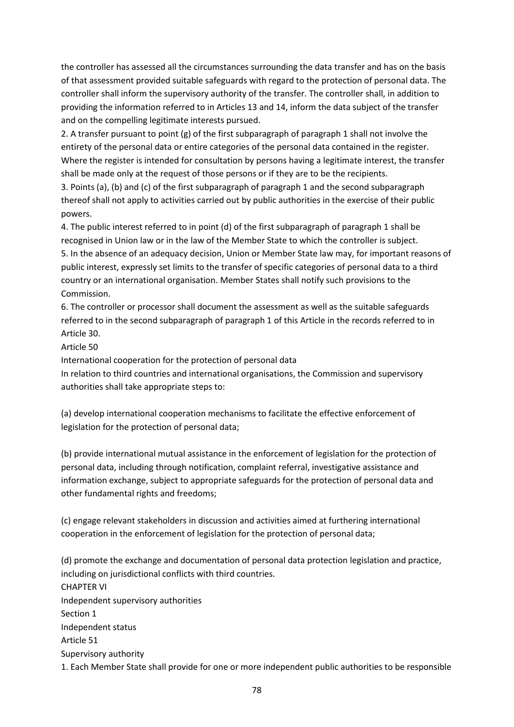the controller has assessed all the circumstances surrounding the data transfer and has on the basis of that assessment provided suitable safeguards with regard to the protection of personal data. The controller shall inform the supervisory authority of the transfer. The controller shall, in addition to providing the information referred to in Articles 13 and 14, inform the data subject of the transfer and on the compelling legitimate interests pursued.

2. A transfer pursuant to point (g) of the first subparagraph of paragraph 1 shall not involve the entirety of the personal data or entire categories of the personal data contained in the register. Where the register is intended for consultation by persons having a legitimate interest, the transfer shall be made only at the request of those persons or if they are to be the recipients.

3. Points (a), (b) and (c) of the first subparagraph of paragraph 1 and the second subparagraph thereof shall not apply to activities carried out by public authorities in the exercise of their public powers.

4. The public interest referred to in point (d) of the first subparagraph of paragraph 1 shall be recognised in Union law or in the law of the Member State to which the controller is subject. 5. In the absence of an adequacy decision, Union or Member State law may, for important reasons of public interest, expressly set limits to the transfer of specific categories of personal data to a third country or an international organisation. Member States shall notify such provisions to the Commission.

6. The controller or processor shall document the assessment as well as the suitable safeguards referred to in the second subparagraph of paragraph 1 of this Article in the records referred to in Article 30.

# Article 50

International cooperation for the protection of personal data

In relation to third countries and international organisations, the Commission and supervisory authorities shall take appropriate steps to:

(a) develop international cooperation mechanisms to facilitate the effective enforcement of legislation for the protection of personal data;

(b) provide international mutual assistance in the enforcement of legislation for the protection of personal data, including through notification, complaint referral, investigative assistance and information exchange, subject to appropriate safeguards for the protection of personal data and other fundamental rights and freedoms;

(c) engage relevant stakeholders in discussion and activities aimed at furthering international cooperation in the enforcement of legislation for the protection of personal data;

(d) promote the exchange and documentation of personal data protection legislation and practice, including on jurisdictional conflicts with third countries. CHAPTER VI Independent supervisory authorities Section 1 Independent status Article 51 Supervisory authority 1. Each Member State shall provide for one or more independent public authorities to be responsible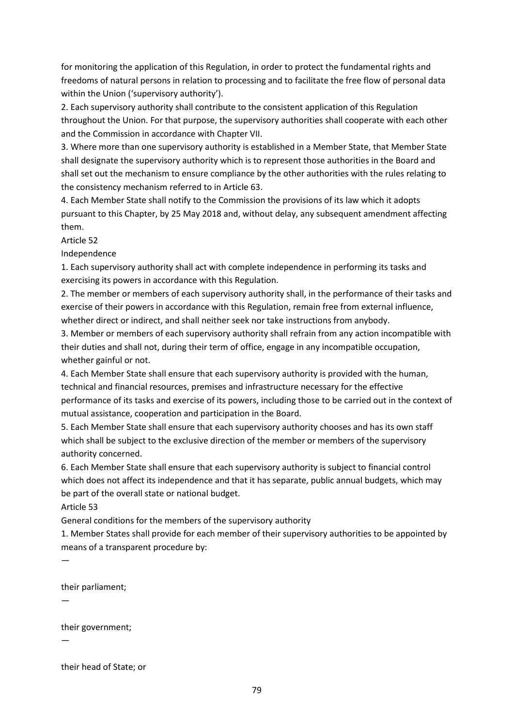for monitoring the application of this Regulation, in order to protect the fundamental rights and freedoms of natural persons in relation to processing and to facilitate the free flow of personal data within the Union ('supervisory authority').

2. Each supervisory authority shall contribute to the consistent application of this Regulation throughout the Union. For that purpose, the supervisory authorities shall cooperate with each other and the Commission in accordance with Chapter VII.

3. Where more than one supervisory authority is established in a Member State, that Member State shall designate the supervisory authority which is to represent those authorities in the Board and shall set out the mechanism to ensure compliance by the other authorities with the rules relating to the consistency mechanism referred to in Article 63.

4. Each Member State shall notify to the Commission the provisions of its law which it adopts pursuant to this Chapter, by 25 May 2018 and, without delay, any subsequent amendment affecting them.

Article 52

Independence

1. Each supervisory authority shall act with complete independence in performing its tasks and exercising its powers in accordance with this Regulation.

2. The member or members of each supervisory authority shall, in the performance of their tasks and exercise of their powers in accordance with this Regulation, remain free from external influence, whether direct or indirect, and shall neither seek nor take instructions from anybody.

3. Member or members of each supervisory authority shall refrain from any action incompatible with their duties and shall not, during their term of office, engage in any incompatible occupation, whether gainful or not.

4. Each Member State shall ensure that each supervisory authority is provided with the human, technical and financial resources, premises and infrastructure necessary for the effective performance of its tasks and exercise of its powers, including those to be carried out in the context of mutual assistance, cooperation and participation in the Board.

5. Each Member State shall ensure that each supervisory authority chooses and has its own staff which shall be subject to the exclusive direction of the member or members of the supervisory authority concerned.

6. Each Member State shall ensure that each supervisory authority is subject to financial control which does not affect its independence and that it has separate, public annual budgets, which may be part of the overall state or national budget.

Article 53

General conditions for the members of the supervisory authority

1. Member States shall provide for each member of their supervisory authorities to be appointed by means of a transparent procedure by:

—

their parliament;

—

their government;

—

their head of State; or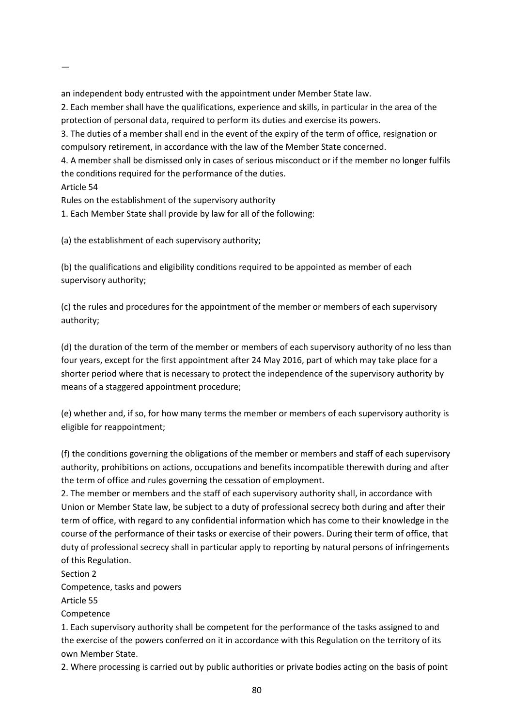an independent body entrusted with the appointment under Member State law. 2. Each member shall have the qualifications, experience and skills, in particular in the area of the protection of personal data, required to perform its duties and exercise its powers. 3. The duties of a member shall end in the event of the expiry of the term of office, resignation or compulsory retirement, in accordance with the law of the Member State concerned. 4. A member shall be dismissed only in cases of serious misconduct or if the member no longer fulfils the conditions required for the performance of the duties. Article 54 Rules on the establishment of the supervisory authority

1. Each Member State shall provide by law for all of the following:

(a) the establishment of each supervisory authority;

(b) the qualifications and eligibility conditions required to be appointed as member of each supervisory authority;

(c) the rules and procedures for the appointment of the member or members of each supervisory authority;

(d) the duration of the term of the member or members of each supervisory authority of no less than four years, except for the first appointment after 24 May 2016, part of which may take place for a shorter period where that is necessary to protect the independence of the supervisory authority by means of a staggered appointment procedure;

(e) whether and, if so, for how many terms the member or members of each supervisory authority is eligible for reappointment;

(f) the conditions governing the obligations of the member or members and staff of each supervisory authority, prohibitions on actions, occupations and benefits incompatible therewith during and after the term of office and rules governing the cessation of employment.

2. The member or members and the staff of each supervisory authority shall, in accordance with Union or Member State law, be subject to a duty of professional secrecy both during and after their term of office, with regard to any confidential information which has come to their knowledge in the course of the performance of their tasks or exercise of their powers. During their term of office, that duty of professional secrecy shall in particular apply to reporting by natural persons of infringements of this Regulation.

Section 2

—

Competence, tasks and powers

Article 55

Competence

1. Each supervisory authority shall be competent for the performance of the tasks assigned to and the exercise of the powers conferred on it in accordance with this Regulation on the territory of its own Member State.

2. Where processing is carried out by public authorities or private bodies acting on the basis of point

80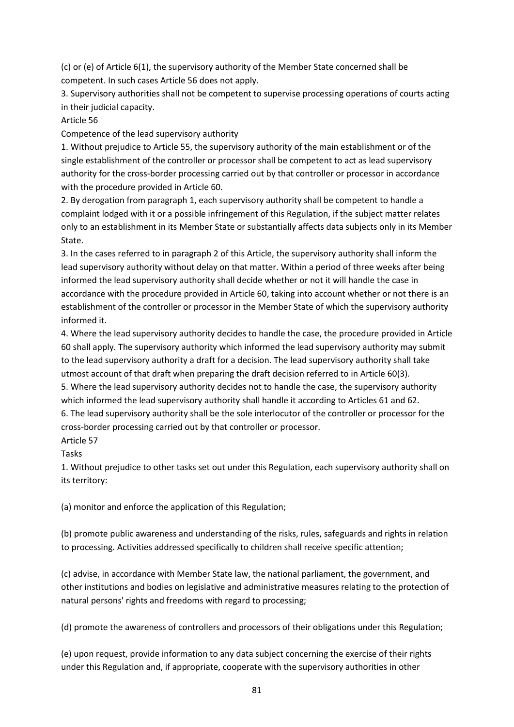(c) or (e) of Article 6(1), the supervisory authority of the Member State concerned shall be competent. In such cases Article 56 does not apply.

3. Supervisory authorities shall not be competent to supervise processing operations of courts acting in their judicial capacity.

## Article 56

Competence of the lead supervisory authority

1. Without prejudice to Article 55, the supervisory authority of the main establishment or of the single establishment of the controller or processor shall be competent to act as lead supervisory authority for the cross-border processing carried out by that controller or processor in accordance with the procedure provided in Article 60.

2. By derogation from paragraph 1, each supervisory authority shall be competent to handle a complaint lodged with it or a possible infringement of this Regulation, if the subject matter relates only to an establishment in its Member State or substantially affects data subjects only in its Member State.

3. In the cases referred to in paragraph 2 of this Article, the supervisory authority shall inform the lead supervisory authority without delay on that matter. Within a period of three weeks after being informed the lead supervisory authority shall decide whether or not it will handle the case in accordance with the procedure provided in Article 60, taking into account whether or not there is an establishment of the controller or processor in the Member State of which the supervisory authority informed it.

4. Where the lead supervisory authority decides to handle the case, the procedure provided in Article 60 shall apply. The supervisory authority which informed the lead supervisory authority may submit to the lead supervisory authority a draft for a decision. The lead supervisory authority shall take utmost account of that draft when preparing the draft decision referred to in Article 60(3).

5. Where the lead supervisory authority decides not to handle the case, the supervisory authority which informed the lead supervisory authority shall handle it according to Articles 61 and 62.

6. The lead supervisory authority shall be the sole interlocutor of the controller or processor for the cross-border processing carried out by that controller or processor.

# Article 57

Tasks

1. Without prejudice to other tasks set out under this Regulation, each supervisory authority shall on its territory:

(a) monitor and enforce the application of this Regulation;

(b) promote public awareness and understanding of the risks, rules, safeguards and rights in relation to processing. Activities addressed specifically to children shall receive specific attention;

(c) advise, in accordance with Member State law, the national parliament, the government, and other institutions and bodies on legislative and administrative measures relating to the protection of natural persons' rights and freedoms with regard to processing;

(d) promote the awareness of controllers and processors of their obligations under this Regulation;

(e) upon request, provide information to any data subject concerning the exercise of their rights under this Regulation and, if appropriate, cooperate with the supervisory authorities in other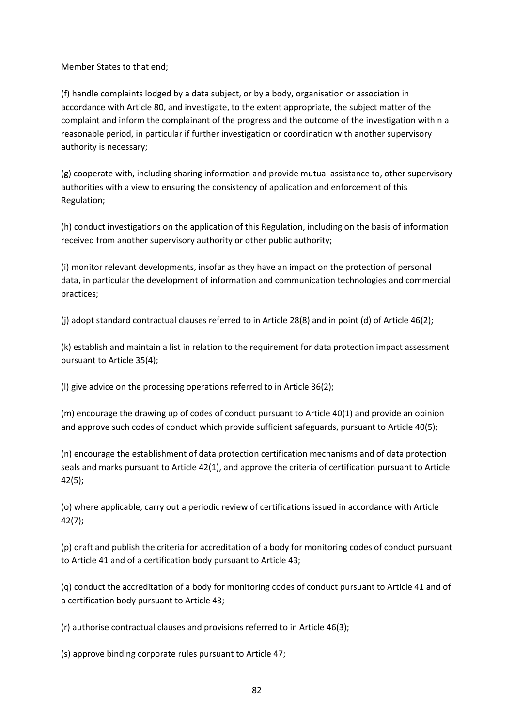Member States to that end;

(f) handle complaints lodged by a data subject, or by a body, organisation or association in accordance with Article 80, and investigate, to the extent appropriate, the subject matter of the complaint and inform the complainant of the progress and the outcome of the investigation within a reasonable period, in particular if further investigation or coordination with another supervisory authority is necessary;

(g) cooperate with, including sharing information and provide mutual assistance to, other supervisory authorities with a view to ensuring the consistency of application and enforcement of this Regulation;

(h) conduct investigations on the application of this Regulation, including on the basis of information received from another supervisory authority or other public authority;

(i) monitor relevant developments, insofar as they have an impact on the protection of personal data, in particular the development of information and communication technologies and commercial practices;

(j) adopt standard contractual clauses referred to in Article 28(8) and in point (d) of Article 46(2);

(k) establish and maintain a list in relation to the requirement for data protection impact assessment pursuant to Article 35(4);

(l) give advice on the processing operations referred to in Article 36(2);

(m) encourage the drawing up of codes of conduct pursuant to Article 40(1) and provide an opinion and approve such codes of conduct which provide sufficient safeguards, pursuant to Article 40(5);

(n) encourage the establishment of data protection certification mechanisms and of data protection seals and marks pursuant to Article 42(1), and approve the criteria of certification pursuant to Article 42(5);

(o) where applicable, carry out a periodic review of certifications issued in accordance with Article 42(7);

(p) draft and publish the criteria for accreditation of a body for monitoring codes of conduct pursuant to Article 41 and of a certification body pursuant to Article 43;

(q) conduct the accreditation of a body for monitoring codes of conduct pursuant to Article 41 and of a certification body pursuant to Article 43;

(r) authorise contractual clauses and provisions referred to in Article 46(3);

(s) approve binding corporate rules pursuant to Article 47;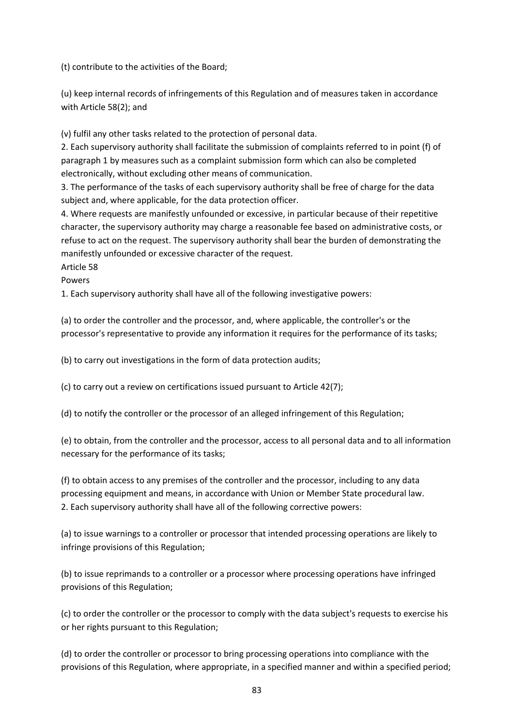(t) contribute to the activities of the Board;

(u) keep internal records of infringements of this Regulation and of measures taken in accordance with Article 58(2); and

(v) fulfil any other tasks related to the protection of personal data.

2. Each supervisory authority shall facilitate the submission of complaints referred to in point (f) of paragraph 1 by measures such as a complaint submission form which can also be completed electronically, without excluding other means of communication.

3. The performance of the tasks of each supervisory authority shall be free of charge for the data subject and, where applicable, for the data protection officer.

4. Where requests are manifestly unfounded or excessive, in particular because of their repetitive character, the supervisory authority may charge a reasonable fee based on administrative costs, or refuse to act on the request. The supervisory authority shall bear the burden of demonstrating the manifestly unfounded or excessive character of the request.

Article 58

Powers

1. Each supervisory authority shall have all of the following investigative powers:

(a) to order the controller and the processor, and, where applicable, the controller's or the processor's representative to provide any information it requires for the performance of its tasks;

(b) to carry out investigations in the form of data protection audits;

(c) to carry out a review on certifications issued pursuant to Article 42(7);

(d) to notify the controller or the processor of an alleged infringement of this Regulation;

(e) to obtain, from the controller and the processor, access to all personal data and to all information necessary for the performance of its tasks;

(f) to obtain access to any premises of the controller and the processor, including to any data processing equipment and means, in accordance with Union or Member State procedural law. 2. Each supervisory authority shall have all of the following corrective powers:

(a) to issue warnings to a controller or processor that intended processing operations are likely to infringe provisions of this Regulation;

(b) to issue reprimands to a controller or a processor where processing operations have infringed provisions of this Regulation;

(c) to order the controller or the processor to comply with the data subject's requests to exercise his or her rights pursuant to this Regulation;

(d) to order the controller or processor to bring processing operations into compliance with the provisions of this Regulation, where appropriate, in a specified manner and within a specified period;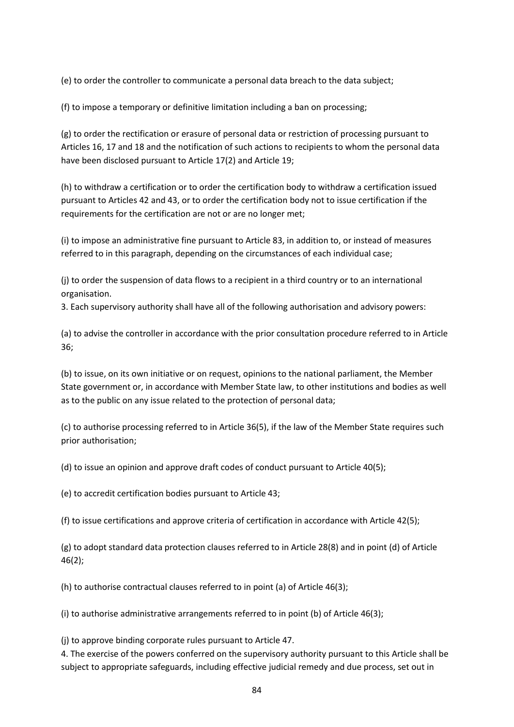(e) to order the controller to communicate a personal data breach to the data subject;

(f) to impose a temporary or definitive limitation including a ban on processing;

(g) to order the rectification or erasure of personal data or restriction of processing pursuant to Articles 16, 17 and 18 and the notification of such actions to recipients to whom the personal data have been disclosed pursuant to Article 17(2) and Article 19;

(h) to withdraw a certification or to order the certification body to withdraw a certification issued pursuant to Articles 42 and 43, or to order the certification body not to issue certification if the requirements for the certification are not or are no longer met;

(i) to impose an administrative fine pursuant to Article 83, in addition to, or instead of measures referred to in this paragraph, depending on the circumstances of each individual case;

(j) to order the suspension of data flows to a recipient in a third country or to an international organisation.

3. Each supervisory authority shall have all of the following authorisation and advisory powers:

(a) to advise the controller in accordance with the prior consultation procedure referred to in Article 36;

(b) to issue, on its own initiative or on request, opinions to the national parliament, the Member State government or, in accordance with Member State law, to other institutions and bodies as well as to the public on any issue related to the protection of personal data;

(c) to authorise processing referred to in Article 36(5), if the law of the Member State requires such prior authorisation;

(d) to issue an opinion and approve draft codes of conduct pursuant to Article 40(5);

(e) to accredit certification bodies pursuant to Article 43;

(f) to issue certifications and approve criteria of certification in accordance with Article 42(5);

(g) to adopt standard data protection clauses referred to in Article 28(8) and in point (d) of Article 46(2);

(h) to authorise contractual clauses referred to in point (a) of Article 46(3);

(i) to authorise administrative arrangements referred to in point (b) of Article 46(3);

(j) to approve binding corporate rules pursuant to Article 47.

4. The exercise of the powers conferred on the supervisory authority pursuant to this Article shall be subject to appropriate safeguards, including effective judicial remedy and due process, set out in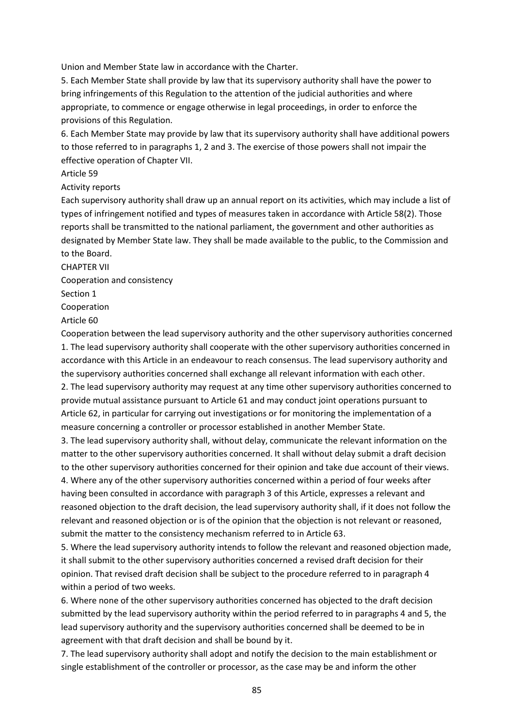Union and Member State law in accordance with the Charter.

5. Each Member State shall provide by law that its supervisory authority shall have the power to bring infringements of this Regulation to the attention of the judicial authorities and where appropriate, to commence or engage otherwise in legal proceedings, in order to enforce the provisions of this Regulation.

6. Each Member State may provide by law that its supervisory authority shall have additional powers to those referred to in paragraphs 1, 2 and 3. The exercise of those powers shall not impair the effective operation of Chapter VII.

Article 59

Activity reports

Each supervisory authority shall draw up an annual report on its activities, which may include a list of types of infringement notified and types of measures taken in accordance with Article 58(2). Those reports shall be transmitted to the national parliament, the government and other authorities as designated by Member State law. They shall be made available to the public, to the Commission and to the Board.

CHAPTER VII

Cooperation and consistency

Section 1

Cooperation

Article 60

Cooperation between the lead supervisory authority and the other supervisory authorities concerned 1. The lead supervisory authority shall cooperate with the other supervisory authorities concerned in accordance with this Article in an endeavour to reach consensus. The lead supervisory authority and the supervisory authorities concerned shall exchange all relevant information with each other.

2. The lead supervisory authority may request at any time other supervisory authorities concerned to provide mutual assistance pursuant to Article 61 and may conduct joint operations pursuant to Article 62, in particular for carrying out investigations or for monitoring the implementation of a measure concerning a controller or processor established in another Member State.

3. The lead supervisory authority shall, without delay, communicate the relevant information on the matter to the other supervisory authorities concerned. It shall without delay submit a draft decision to the other supervisory authorities concerned for their opinion and take due account of their views.

4. Where any of the other supervisory authorities concerned within a period of four weeks after having been consulted in accordance with paragraph 3 of this Article, expresses a relevant and reasoned objection to the draft decision, the lead supervisory authority shall, if it does not follow the relevant and reasoned objection or is of the opinion that the objection is not relevant or reasoned, submit the matter to the consistency mechanism referred to in Article 63.

5. Where the lead supervisory authority intends to follow the relevant and reasoned objection made, it shall submit to the other supervisory authorities concerned a revised draft decision for their opinion. That revised draft decision shall be subject to the procedure referred to in paragraph 4 within a period of two weeks.

6. Where none of the other supervisory authorities concerned has objected to the draft decision submitted by the lead supervisory authority within the period referred to in paragraphs 4 and 5, the lead supervisory authority and the supervisory authorities concerned shall be deemed to be in agreement with that draft decision and shall be bound by it.

7. The lead supervisory authority shall adopt and notify the decision to the main establishment or single establishment of the controller or processor, as the case may be and inform the other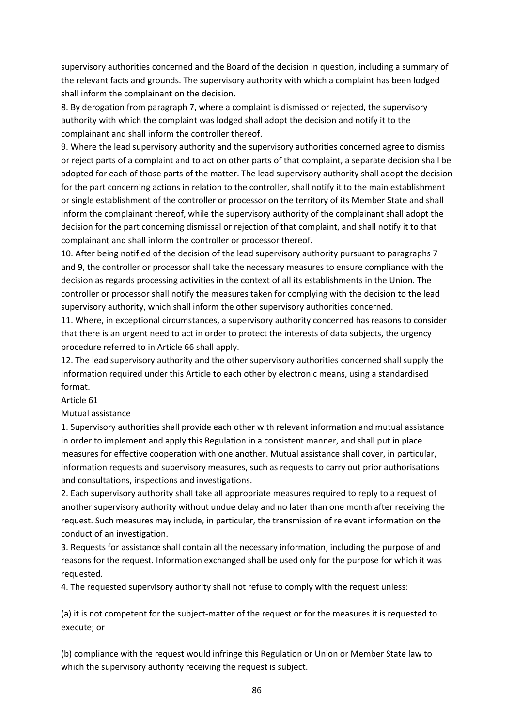supervisory authorities concerned and the Board of the decision in question, including a summary of the relevant facts and grounds. The supervisory authority with which a complaint has been lodged shall inform the complainant on the decision.

8. By derogation from paragraph 7, where a complaint is dismissed or rejected, the supervisory authority with which the complaint was lodged shall adopt the decision and notify it to the complainant and shall inform the controller thereof.

9. Where the lead supervisory authority and the supervisory authorities concerned agree to dismiss or reject parts of a complaint and to act on other parts of that complaint, a separate decision shall be adopted for each of those parts of the matter. The lead supervisory authority shall adopt the decision for the part concerning actions in relation to the controller, shall notify it to the main establishment or single establishment of the controller or processor on the territory of its Member State and shall inform the complainant thereof, while the supervisory authority of the complainant shall adopt the decision for the part concerning dismissal or rejection of that complaint, and shall notify it to that complainant and shall inform the controller or processor thereof.

10. After being notified of the decision of the lead supervisory authority pursuant to paragraphs 7 and 9, the controller or processor shall take the necessary measures to ensure compliance with the decision as regards processing activities in the context of all its establishments in the Union. The controller or processor shall notify the measures taken for complying with the decision to the lead supervisory authority, which shall inform the other supervisory authorities concerned.

11. Where, in exceptional circumstances, a supervisory authority concerned has reasons to consider that there is an urgent need to act in order to protect the interests of data subjects, the urgency procedure referred to in Article 66 shall apply.

12. The lead supervisory authority and the other supervisory authorities concerned shall supply the information required under this Article to each other by electronic means, using a standardised format.

Article 61

Mutual assistance

1. Supervisory authorities shall provide each other with relevant information and mutual assistance in order to implement and apply this Regulation in a consistent manner, and shall put in place measures for effective cooperation with one another. Mutual assistance shall cover, in particular, information requests and supervisory measures, such as requests to carry out prior authorisations and consultations, inspections and investigations.

2. Each supervisory authority shall take all appropriate measures required to reply to a request of another supervisory authority without undue delay and no later than one month after receiving the request. Such measures may include, in particular, the transmission of relevant information on the conduct of an investigation.

3. Requests for assistance shall contain all the necessary information, including the purpose of and reasons for the request. Information exchanged shall be used only for the purpose for which it was requested.

4. The requested supervisory authority shall not refuse to comply with the request unless:

(a) it is not competent for the subject-matter of the request or for the measures it is requested to execute; or

(b) compliance with the request would infringe this Regulation or Union or Member State law to which the supervisory authority receiving the request is subject.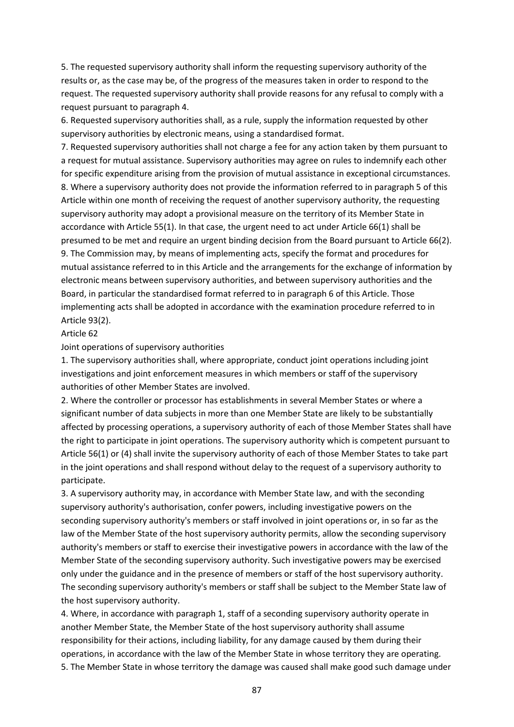5. The requested supervisory authority shall inform the requesting supervisory authority of the results or, as the case may be, of the progress of the measures taken in order to respond to the request. The requested supervisory authority shall provide reasons for any refusal to comply with a request pursuant to paragraph 4.

6. Requested supervisory authorities shall, as a rule, supply the information requested by other supervisory authorities by electronic means, using a standardised format.

7. Requested supervisory authorities shall not charge a fee for any action taken by them pursuant to a request for mutual assistance. Supervisory authorities may agree on rules to indemnify each other for specific expenditure arising from the provision of mutual assistance in exceptional circumstances. 8. Where a supervisory authority does not provide the information referred to in paragraph 5 of this Article within one month of receiving the request of another supervisory authority, the requesting supervisory authority may adopt a provisional measure on the territory of its Member State in accordance with Article 55(1). In that case, the urgent need to act under Article 66(1) shall be presumed to be met and require an urgent binding decision from the Board pursuant to Article 66(2). 9. The Commission may, by means of implementing acts, specify the format and procedures for mutual assistance referred to in this Article and the arrangements for the exchange of information by electronic means between supervisory authorities, and between supervisory authorities and the Board, in particular the standardised format referred to in paragraph 6 of this Article. Those implementing acts shall be adopted in accordance with the examination procedure referred to in Article 93(2).

#### Article 62

Joint operations of supervisory authorities

1. The supervisory authorities shall, where appropriate, conduct joint operations including joint investigations and joint enforcement measures in which members or staff of the supervisory authorities of other Member States are involved.

2. Where the controller or processor has establishments in several Member States or where a significant number of data subjects in more than one Member State are likely to be substantially affected by processing operations, a supervisory authority of each of those Member States shall have the right to participate in joint operations. The supervisory authority which is competent pursuant to Article 56(1) or (4) shall invite the supervisory authority of each of those Member States to take part in the joint operations and shall respond without delay to the request of a supervisory authority to participate.

3. A supervisory authority may, in accordance with Member State law, and with the seconding supervisory authority's authorisation, confer powers, including investigative powers on the seconding supervisory authority's members or staff involved in joint operations or, in so far as the law of the Member State of the host supervisory authority permits, allow the seconding supervisory authority's members or staff to exercise their investigative powers in accordance with the law of the Member State of the seconding supervisory authority. Such investigative powers may be exercised only under the guidance and in the presence of members or staff of the host supervisory authority. The seconding supervisory authority's members or staff shall be subject to the Member State law of the host supervisory authority.

4. Where, in accordance with paragraph 1, staff of a seconding supervisory authority operate in another Member State, the Member State of the host supervisory authority shall assume responsibility for their actions, including liability, for any damage caused by them during their operations, in accordance with the law of the Member State in whose territory they are operating. 5. The Member State in whose territory the damage was caused shall make good such damage under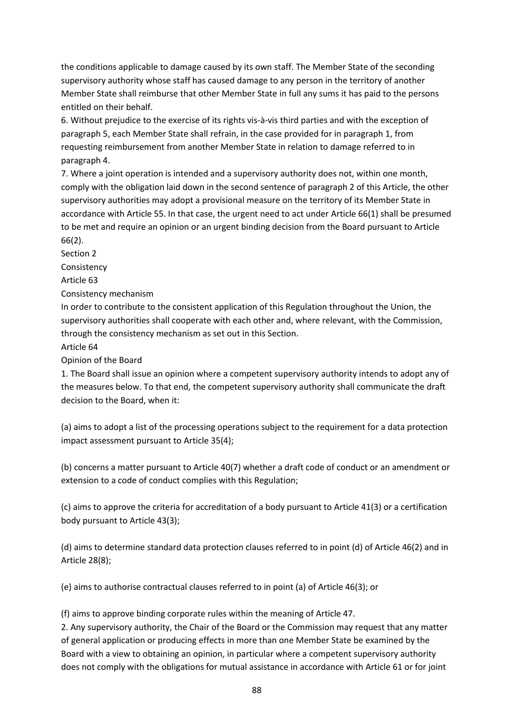the conditions applicable to damage caused by its own staff. The Member State of the seconding supervisory authority whose staff has caused damage to any person in the territory of another Member State shall reimburse that other Member State in full any sums it has paid to the persons entitled on their behalf.

6. Without prejudice to the exercise of its rights vis-à-vis third parties and with the exception of paragraph 5, each Member State shall refrain, in the case provided for in paragraph 1, from requesting reimbursement from another Member State in relation to damage referred to in paragraph 4.

7. Where a joint operation is intended and a supervisory authority does not, within one month, comply with the obligation laid down in the second sentence of paragraph 2 of this Article, the other supervisory authorities may adopt a provisional measure on the territory of its Member State in accordance with Article 55. In that case, the urgent need to act under Article 66(1) shall be presumed to be met and require an opinion or an urgent binding decision from the Board pursuant to Article 66(2).

Section 2

Consistency

Article 63

Consistency mechanism

In order to contribute to the consistent application of this Regulation throughout the Union, the supervisory authorities shall cooperate with each other and, where relevant, with the Commission, through the consistency mechanism as set out in this Section.

Article 64

Opinion of the Board

1. The Board shall issue an opinion where a competent supervisory authority intends to adopt any of the measures below. To that end, the competent supervisory authority shall communicate the draft decision to the Board, when it:

(a) aims to adopt a list of the processing operations subject to the requirement for a data protection impact assessment pursuant to Article 35(4);

(b) concerns a matter pursuant to Article 40(7) whether a draft code of conduct or an amendment or extension to a code of conduct complies with this Regulation;

(c) aims to approve the criteria for accreditation of a body pursuant to Article 41(3) or a certification body pursuant to Article 43(3);

(d) aims to determine standard data protection clauses referred to in point (d) of Article 46(2) and in Article 28(8);

(e) aims to authorise contractual clauses referred to in point (a) of Article 46(3); or

(f) aims to approve binding corporate rules within the meaning of Article 47.

2. Any supervisory authority, the Chair of the Board or the Commission may request that any matter of general application or producing effects in more than one Member State be examined by the Board with a view to obtaining an opinion, in particular where a competent supervisory authority does not comply with the obligations for mutual assistance in accordance with Article 61 or for joint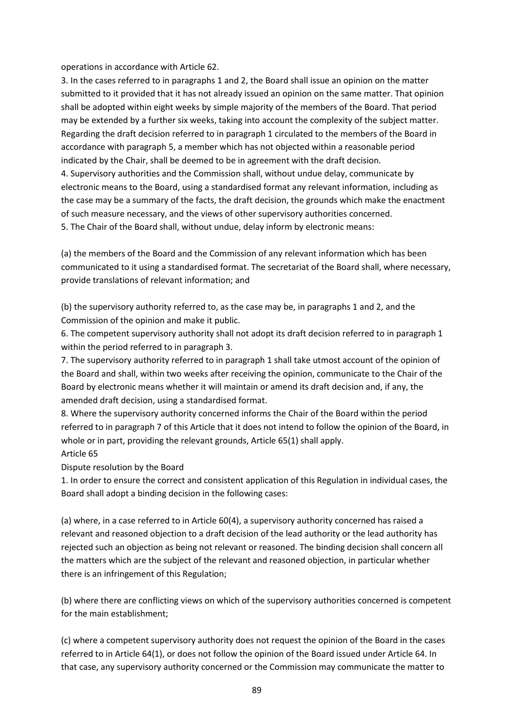operations in accordance with Article 62.

3. In the cases referred to in paragraphs 1 and 2, the Board shall issue an opinion on the matter submitted to it provided that it has not already issued an opinion on the same matter. That opinion shall be adopted within eight weeks by simple majority of the members of the Board. That period may be extended by a further six weeks, taking into account the complexity of the subject matter. Regarding the draft decision referred to in paragraph 1 circulated to the members of the Board in accordance with paragraph 5, a member which has not objected within a reasonable period indicated by the Chair, shall be deemed to be in agreement with the draft decision. 4. Supervisory authorities and the Commission shall, without undue delay, communicate by electronic means to the Board, using a standardised format any relevant information, including as

the case may be a summary of the facts, the draft decision, the grounds which make the enactment of such measure necessary, and the views of other supervisory authorities concerned.

5. The Chair of the Board shall, without undue, delay inform by electronic means:

(a) the members of the Board and the Commission of any relevant information which has been communicated to it using a standardised format. The secretariat of the Board shall, where necessary, provide translations of relevant information; and

(b) the supervisory authority referred to, as the case may be, in paragraphs 1 and 2, and the Commission of the opinion and make it public.

6. The competent supervisory authority shall not adopt its draft decision referred to in paragraph 1 within the period referred to in paragraph 3.

7. The supervisory authority referred to in paragraph 1 shall take utmost account of the opinion of the Board and shall, within two weeks after receiving the opinion, communicate to the Chair of the Board by electronic means whether it will maintain or amend its draft decision and, if any, the amended draft decision, using a standardised format.

8. Where the supervisory authority concerned informs the Chair of the Board within the period referred to in paragraph 7 of this Article that it does not intend to follow the opinion of the Board, in whole or in part, providing the relevant grounds, Article 65(1) shall apply. Article 65

Dispute resolution by the Board

1. In order to ensure the correct and consistent application of this Regulation in individual cases, the Board shall adopt a binding decision in the following cases:

(a) where, in a case referred to in Article 60(4), a supervisory authority concerned has raised a relevant and reasoned objection to a draft decision of the lead authority or the lead authority has rejected such an objection as being not relevant or reasoned. The binding decision shall concern all the matters which are the subject of the relevant and reasoned objection, in particular whether there is an infringement of this Regulation;

(b) where there are conflicting views on which of the supervisory authorities concerned is competent for the main establishment;

(c) where a competent supervisory authority does not request the opinion of the Board in the cases referred to in Article 64(1), or does not follow the opinion of the Board issued under Article 64. In that case, any supervisory authority concerned or the Commission may communicate the matter to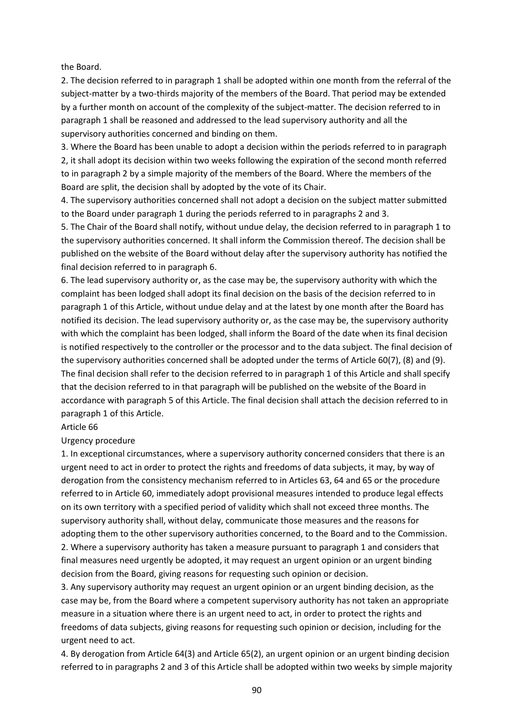the Board.

2. The decision referred to in paragraph 1 shall be adopted within one month from the referral of the subject-matter by a two-thirds majority of the members of the Board. That period may be extended by a further month on account of the complexity of the subject-matter. The decision referred to in paragraph 1 shall be reasoned and addressed to the lead supervisory authority and all the supervisory authorities concerned and binding on them.

3. Where the Board has been unable to adopt a decision within the periods referred to in paragraph 2, it shall adopt its decision within two weeks following the expiration of the second month referred to in paragraph 2 by a simple majority of the members of the Board. Where the members of the Board are split, the decision shall by adopted by the vote of its Chair.

4. The supervisory authorities concerned shall not adopt a decision on the subject matter submitted to the Board under paragraph 1 during the periods referred to in paragraphs 2 and 3.

5. The Chair of the Board shall notify, without undue delay, the decision referred to in paragraph 1 to the supervisory authorities concerned. It shall inform the Commission thereof. The decision shall be published on the website of the Board without delay after the supervisory authority has notified the final decision referred to in paragraph 6.

6. The lead supervisory authority or, as the case may be, the supervisory authority with which the complaint has been lodged shall adopt its final decision on the basis of the decision referred to in paragraph 1 of this Article, without undue delay and at the latest by one month after the Board has notified its decision. The lead supervisory authority or, as the case may be, the supervisory authority with which the complaint has been lodged, shall inform the Board of the date when its final decision is notified respectively to the controller or the processor and to the data subject. The final decision of the supervisory authorities concerned shall be adopted under the terms of Article 60(7), (8) and (9). The final decision shall refer to the decision referred to in paragraph 1 of this Article and shall specify that the decision referred to in that paragraph will be published on the website of the Board in accordance with paragraph 5 of this Article. The final decision shall attach the decision referred to in paragraph 1 of this Article.

#### Article 66

#### Urgency procedure

1. In exceptional circumstances, where a supervisory authority concerned considers that there is an urgent need to act in order to protect the rights and freedoms of data subjects, it may, by way of derogation from the consistency mechanism referred to in Articles 63, 64 and 65 or the procedure referred to in Article 60, immediately adopt provisional measures intended to produce legal effects on its own territory with a specified period of validity which shall not exceed three months. The supervisory authority shall, without delay, communicate those measures and the reasons for adopting them to the other supervisory authorities concerned, to the Board and to the Commission. 2. Where a supervisory authority has taken a measure pursuant to paragraph 1 and considers that final measures need urgently be adopted, it may request an urgent opinion or an urgent binding decision from the Board, giving reasons for requesting such opinion or decision.

3. Any supervisory authority may request an urgent opinion or an urgent binding decision, as the case may be, from the Board where a competent supervisory authority has not taken an appropriate measure in a situation where there is an urgent need to act, in order to protect the rights and freedoms of data subjects, giving reasons for requesting such opinion or decision, including for the urgent need to act.

4. By derogation from Article 64(3) and Article 65(2), an urgent opinion or an urgent binding decision referred to in paragraphs 2 and 3 of this Article shall be adopted within two weeks by simple majority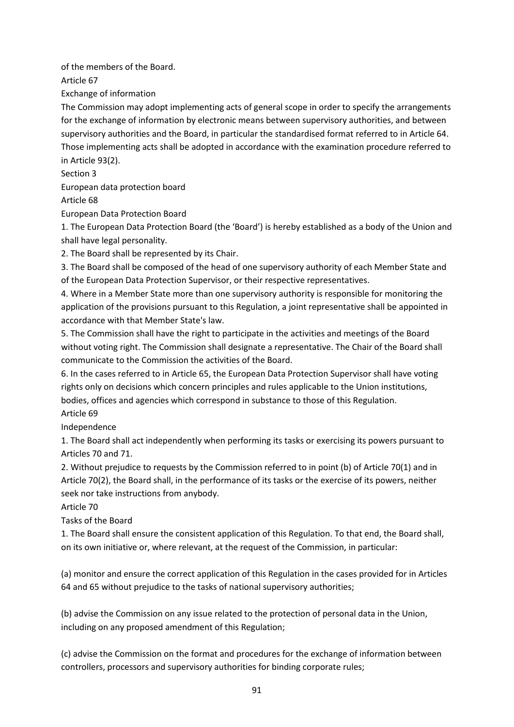of the members of the Board.

Article 67

Exchange of information

The Commission may adopt implementing acts of general scope in order to specify the arrangements for the exchange of information by electronic means between supervisory authorities, and between supervisory authorities and the Board, in particular the standardised format referred to in Article 64. Those implementing acts shall be adopted in accordance with the examination procedure referred to in Article 93(2).

Section 3

European data protection board

Article 68

European Data Protection Board

1. The European Data Protection Board (the 'Board') is hereby established as a body of the Union and shall have legal personality.

2. The Board shall be represented by its Chair.

3. The Board shall be composed of the head of one supervisory authority of each Member State and of the European Data Protection Supervisor, or their respective representatives.

4. Where in a Member State more than one supervisory authority is responsible for monitoring the application of the provisions pursuant to this Regulation, a joint representative shall be appointed in accordance with that Member State's law.

5. The Commission shall have the right to participate in the activities and meetings of the Board without voting right. The Commission shall designate a representative. The Chair of the Board shall communicate to the Commission the activities of the Board.

6. In the cases referred to in Article 65, the European Data Protection Supervisor shall have voting rights only on decisions which concern principles and rules applicable to the Union institutions, bodies, offices and agencies which correspond in substance to those of this Regulation.

Article 69

Independence

1. The Board shall act independently when performing its tasks or exercising its powers pursuant to Articles 70 and 71.

2. Without prejudice to requests by the Commission referred to in point (b) of Article 70(1) and in Article 70(2), the Board shall, in the performance of its tasks or the exercise of its powers, neither seek nor take instructions from anybody.

Article 70

Tasks of the Board

1. The Board shall ensure the consistent application of this Regulation. To that end, the Board shall, on its own initiative or, where relevant, at the request of the Commission, in particular:

(a) monitor and ensure the correct application of this Regulation in the cases provided for in Articles 64 and 65 without prejudice to the tasks of national supervisory authorities;

(b) advise the Commission on any issue related to the protection of personal data in the Union, including on any proposed amendment of this Regulation;

(c) advise the Commission on the format and procedures for the exchange of information between controllers, processors and supervisory authorities for binding corporate rules;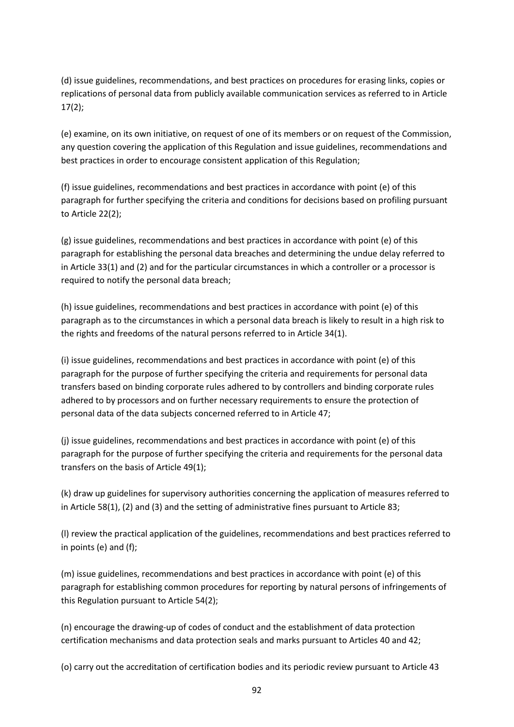(d) issue guidelines, recommendations, and best practices on procedures for erasing links, copies or replications of personal data from publicly available communication services as referred to in Article  $17(2);$ 

(e) examine, on its own initiative, on request of one of its members or on request of the Commission, any question covering the application of this Regulation and issue guidelines, recommendations and best practices in order to encourage consistent application of this Regulation;

(f) issue guidelines, recommendations and best practices in accordance with point (e) of this paragraph for further specifying the criteria and conditions for decisions based on profiling pursuant to Article 22(2);

(g) issue guidelines, recommendations and best practices in accordance with point (e) of this paragraph for establishing the personal data breaches and determining the undue delay referred to in Article 33(1) and (2) and for the particular circumstances in which a controller or a processor is required to notify the personal data breach;

(h) issue guidelines, recommendations and best practices in accordance with point (e) of this paragraph as to the circumstances in which a personal data breach is likely to result in a high risk to the rights and freedoms of the natural persons referred to in Article 34(1).

(i) issue guidelines, recommendations and best practices in accordance with point (e) of this paragraph for the purpose of further specifying the criteria and requirements for personal data transfers based on binding corporate rules adhered to by controllers and binding corporate rules adhered to by processors and on further necessary requirements to ensure the protection of personal data of the data subjects concerned referred to in Article 47;

(j) issue guidelines, recommendations and best practices in accordance with point (e) of this paragraph for the purpose of further specifying the criteria and requirements for the personal data transfers on the basis of Article 49(1);

(k) draw up guidelines for supervisory authorities concerning the application of measures referred to in Article 58(1), (2) and (3) and the setting of administrative fines pursuant to Article 83;

(l) review the practical application of the guidelines, recommendations and best practices referred to in points (e) and (f);

(m) issue guidelines, recommendations and best practices in accordance with point (e) of this paragraph for establishing common procedures for reporting by natural persons of infringements of this Regulation pursuant to Article 54(2);

(n) encourage the drawing-up of codes of conduct and the establishment of data protection certification mechanisms and data protection seals and marks pursuant to Articles 40 and 42;

(o) carry out the accreditation of certification bodies and its periodic review pursuant to Article 43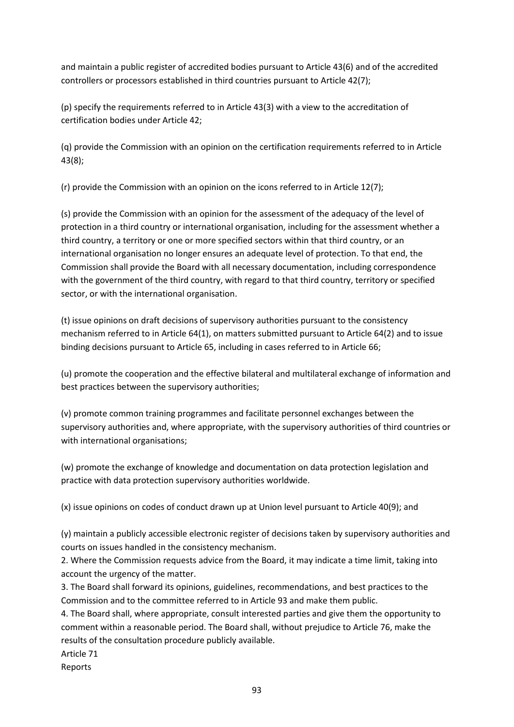and maintain a public register of accredited bodies pursuant to Article 43(6) and of the accredited controllers or processors established in third countries pursuant to Article 42(7);

(p) specify the requirements referred to in Article 43(3) with a view to the accreditation of certification bodies under Article 42;

(q) provide the Commission with an opinion on the certification requirements referred to in Article 43(8);

(r) provide the Commission with an opinion on the icons referred to in Article 12(7);

(s) provide the Commission with an opinion for the assessment of the adequacy of the level of protection in a third country or international organisation, including for the assessment whether a third country, a territory or one or more specified sectors within that third country, or an international organisation no longer ensures an adequate level of protection. To that end, the Commission shall provide the Board with all necessary documentation, including correspondence with the government of the third country, with regard to that third country, territory or specified sector, or with the international organisation.

(t) issue opinions on draft decisions of supervisory authorities pursuant to the consistency mechanism referred to in Article 64(1), on matters submitted pursuant to Article 64(2) and to issue binding decisions pursuant to Article 65, including in cases referred to in Article 66;

(u) promote the cooperation and the effective bilateral and multilateral exchange of information and best practices between the supervisory authorities;

(v) promote common training programmes and facilitate personnel exchanges between the supervisory authorities and, where appropriate, with the supervisory authorities of third countries or with international organisations;

(w) promote the exchange of knowledge and documentation on data protection legislation and practice with data protection supervisory authorities worldwide.

(x) issue opinions on codes of conduct drawn up at Union level pursuant to Article 40(9); and

(y) maintain a publicly accessible electronic register of decisions taken by supervisory authorities and courts on issues handled in the consistency mechanism.

2. Where the Commission requests advice from the Board, it may indicate a time limit, taking into account the urgency of the matter.

3. The Board shall forward its opinions, guidelines, recommendations, and best practices to the Commission and to the committee referred to in Article 93 and make them public.

4. The Board shall, where appropriate, consult interested parties and give them the opportunity to comment within a reasonable period. The Board shall, without prejudice to Article 76, make the results of the consultation procedure publicly available.

Article 71

Reports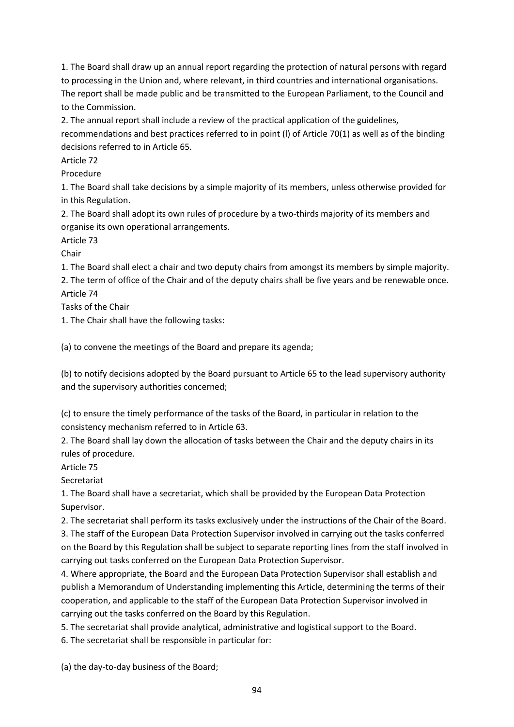1. The Board shall draw up an annual report regarding the protection of natural persons with regard to processing in the Union and, where relevant, in third countries and international organisations. The report shall be made public and be transmitted to the European Parliament, to the Council and to the Commission.

2. The annual report shall include a review of the practical application of the guidelines, recommendations and best practices referred to in point (l) of Article 70(1) as well as of the binding decisions referred to in Article 65.

Article 72

Procedure

1. The Board shall take decisions by a simple majority of its members, unless otherwise provided for in this Regulation.

2. The Board shall adopt its own rules of procedure by a two-thirds majority of its members and organise its own operational arrangements.

Article 73

Chair

1. The Board shall elect a chair and two deputy chairs from amongst its members by simple majority.

2. The term of office of the Chair and of the deputy chairs shall be five years and be renewable once. Article 74

Tasks of the Chair

1. The Chair shall have the following tasks:

(a) to convene the meetings of the Board and prepare its agenda;

(b) to notify decisions adopted by the Board pursuant to Article 65 to the lead supervisory authority and the supervisory authorities concerned;

(c) to ensure the timely performance of the tasks of the Board, in particular in relation to the consistency mechanism referred to in Article 63.

2. The Board shall lay down the allocation of tasks between the Chair and the deputy chairs in its rules of procedure.

Article 75

Secretariat

1. The Board shall have a secretariat, which shall be provided by the European Data Protection Supervisor.

2. The secretariat shall perform its tasks exclusively under the instructions of the Chair of the Board.

3. The staff of the European Data Protection Supervisor involved in carrying out the tasks conferred on the Board by this Regulation shall be subject to separate reporting lines from the staff involved in carrying out tasks conferred on the European Data Protection Supervisor.

4. Where appropriate, the Board and the European Data Protection Supervisor shall establish and publish a Memorandum of Understanding implementing this Article, determining the terms of their cooperation, and applicable to the staff of the European Data Protection Supervisor involved in carrying out the tasks conferred on the Board by this Regulation.

5. The secretariat shall provide analytical, administrative and logistical support to the Board.

6. The secretariat shall be responsible in particular for:

(a) the day-to-day business of the Board;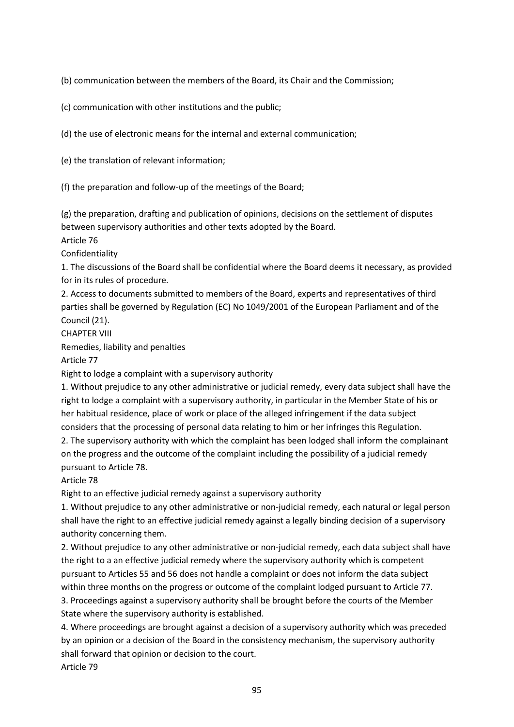(b) communication between the members of the Board, its Chair and the Commission;

(c) communication with other institutions and the public;

(d) the use of electronic means for the internal and external communication;

(e) the translation of relevant information;

(f) the preparation and follow-up of the meetings of the Board;

(g) the preparation, drafting and publication of opinions, decisions on the settlement of disputes between supervisory authorities and other texts adopted by the Board.

Article 76

Confidentiality

1. The discussions of the Board shall be confidential where the Board deems it necessary, as provided for in its rules of procedure.

2. Access to documents submitted to members of the Board, experts and representatives of third parties shall be governed by Regulation (EC) No 1049/2001 of the European Parliament and of the Council (21).

CHAPTER VIII

Remedies, liability and penalties

Article 77

Right to lodge a complaint with a supervisory authority

1. Without prejudice to any other administrative or judicial remedy, every data subject shall have the right to lodge a complaint with a supervisory authority, in particular in the Member State of his or her habitual residence, place of work or place of the alleged infringement if the data subject considers that the processing of personal data relating to him or her infringes this Regulation.

2. The supervisory authority with which the complaint has been lodged shall inform the complainant on the progress and the outcome of the complaint including the possibility of a judicial remedy pursuant to Article 78.

Article 78

Right to an effective judicial remedy against a supervisory authority

1. Without prejudice to any other administrative or non-judicial remedy, each natural or legal person shall have the right to an effective judicial remedy against a legally binding decision of a supervisory authority concerning them.

2. Without prejudice to any other administrative or non-judicial remedy, each data subject shall have the right to a an effective judicial remedy where the supervisory authority which is competent pursuant to Articles 55 and 56 does not handle a complaint or does not inform the data subject within three months on the progress or outcome of the complaint lodged pursuant to Article 77. 3. Proceedings against a supervisory authority shall be brought before the courts of the Member

State where the supervisory authority is established.

4. Where proceedings are brought against a decision of a supervisory authority which was preceded by an opinion or a decision of the Board in the consistency mechanism, the supervisory authority shall forward that opinion or decision to the court. Article 79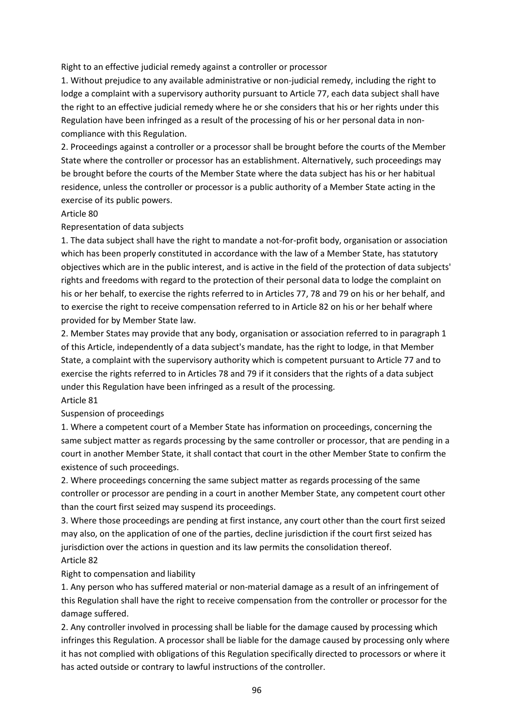Right to an effective judicial remedy against a controller or processor

1. Without prejudice to any available administrative or non-judicial remedy, including the right to lodge a complaint with a supervisory authority pursuant to Article 77, each data subject shall have the right to an effective judicial remedy where he or she considers that his or her rights under this Regulation have been infringed as a result of the processing of his or her personal data in noncompliance with this Regulation.

2. Proceedings against a controller or a processor shall be brought before the courts of the Member State where the controller or processor has an establishment. Alternatively, such proceedings may be brought before the courts of the Member State where the data subject has his or her habitual residence, unless the controller or processor is a public authority of a Member State acting in the exercise of its public powers.

## Article 80

## Representation of data subjects

1. The data subject shall have the right to mandate a not-for-profit body, organisation or association which has been properly constituted in accordance with the law of a Member State, has statutory objectives which are in the public interest, and is active in the field of the protection of data subjects' rights and freedoms with regard to the protection of their personal data to lodge the complaint on his or her behalf, to exercise the rights referred to in Articles 77, 78 and 79 on his or her behalf, and to exercise the right to receive compensation referred to in Article 82 on his or her behalf where provided for by Member State law.

2. Member States may provide that any body, organisation or association referred to in paragraph 1 of this Article, independently of a data subject's mandate, has the right to lodge, in that Member State, a complaint with the supervisory authority which is competent pursuant to Article 77 and to exercise the rights referred to in Articles 78 and 79 if it considers that the rights of a data subject under this Regulation have been infringed as a result of the processing. Article 81

#### Suspension of proceedings

1. Where a competent court of a Member State has information on proceedings, concerning the same subject matter as regards processing by the same controller or processor, that are pending in a court in another Member State, it shall contact that court in the other Member State to confirm the existence of such proceedings.

2. Where proceedings concerning the same subject matter as regards processing of the same controller or processor are pending in a court in another Member State, any competent court other than the court first seized may suspend its proceedings.

3. Where those proceedings are pending at first instance, any court other than the court first seized may also, on the application of one of the parties, decline jurisdiction if the court first seized has jurisdiction over the actions in question and its law permits the consolidation thereof. Article 82

#### Right to compensation and liability

1. Any person who has suffered material or non-material damage as a result of an infringement of this Regulation shall have the right to receive compensation from the controller or processor for the damage suffered.

2. Any controller involved in processing shall be liable for the damage caused by processing which infringes this Regulation. A processor shall be liable for the damage caused by processing only where it has not complied with obligations of this Regulation specifically directed to processors or where it has acted outside or contrary to lawful instructions of the controller.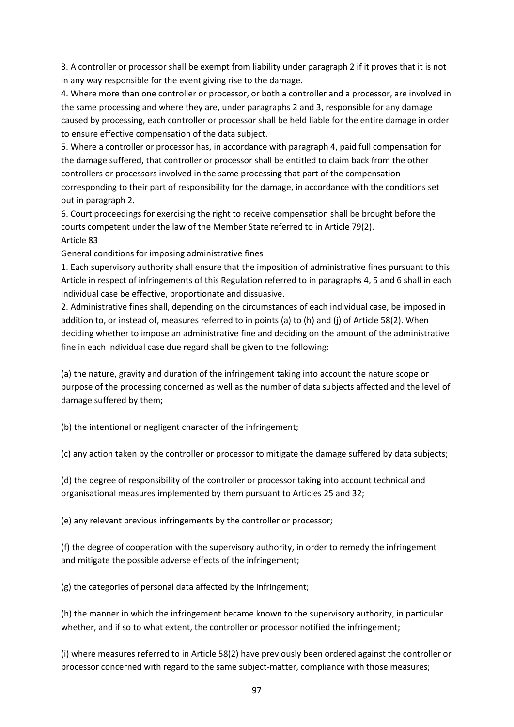3. A controller or processor shall be exempt from liability under paragraph 2 if it proves that it is not in any way responsible for the event giving rise to the damage.

4. Where more than one controller or processor, or both a controller and a processor, are involved in the same processing and where they are, under paragraphs 2 and 3, responsible for any damage caused by processing, each controller or processor shall be held liable for the entire damage in order to ensure effective compensation of the data subject.

5. Where a controller or processor has, in accordance with paragraph 4, paid full compensation for the damage suffered, that controller or processor shall be entitled to claim back from the other controllers or processors involved in the same processing that part of the compensation corresponding to their part of responsibility for the damage, in accordance with the conditions set out in paragraph 2.

6. Court proceedings for exercising the right to receive compensation shall be brought before the courts competent under the law of the Member State referred to in Article 79(2). Article 83

General conditions for imposing administrative fines

1. Each supervisory authority shall ensure that the imposition of administrative fines pursuant to this Article in respect of infringements of this Regulation referred to in paragraphs 4, 5 and 6 shall in each individual case be effective, proportionate and dissuasive.

2. Administrative fines shall, depending on the circumstances of each individual case, be imposed in addition to, or instead of, measures referred to in points (a) to (h) and (j) of Article 58(2). When deciding whether to impose an administrative fine and deciding on the amount of the administrative fine in each individual case due regard shall be given to the following:

(a) the nature, gravity and duration of the infringement taking into account the nature scope or purpose of the processing concerned as well as the number of data subjects affected and the level of damage suffered by them;

(b) the intentional or negligent character of the infringement;

(c) any action taken by the controller or processor to mitigate the damage suffered by data subjects;

(d) the degree of responsibility of the controller or processor taking into account technical and organisational measures implemented by them pursuant to Articles 25 and 32;

(e) any relevant previous infringements by the controller or processor;

(f) the degree of cooperation with the supervisory authority, in order to remedy the infringement and mitigate the possible adverse effects of the infringement;

(g) the categories of personal data affected by the infringement;

(h) the manner in which the infringement became known to the supervisory authority, in particular whether, and if so to what extent, the controller or processor notified the infringement;

(i) where measures referred to in Article 58(2) have previously been ordered against the controller or processor concerned with regard to the same subject-matter, compliance with those measures;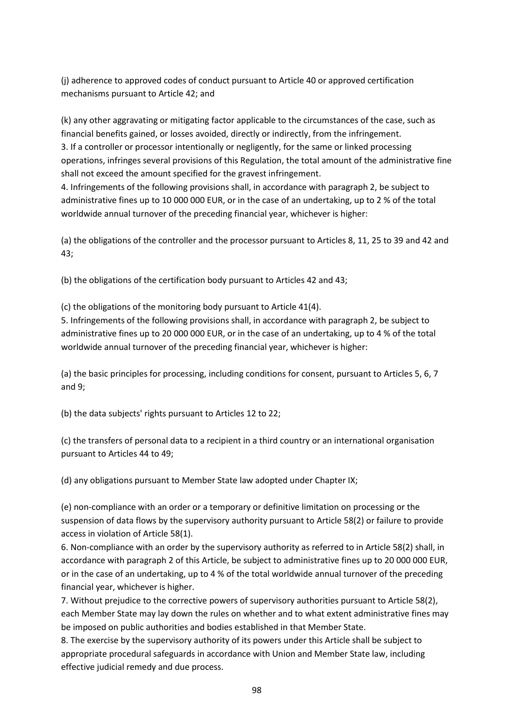(j) adherence to approved codes of conduct pursuant to Article 40 or approved certification mechanisms pursuant to Article 42; and

(k) any other aggravating or mitigating factor applicable to the circumstances of the case, such as financial benefits gained, or losses avoided, directly or indirectly, from the infringement. 3. If a controller or processor intentionally or negligently, for the same or linked processing operations, infringes several provisions of this Regulation, the total amount of the administrative fine shall not exceed the amount specified for the gravest infringement.

4. Infringements of the following provisions shall, in accordance with paragraph 2, be subject to administrative fines up to 10 000 000 EUR, or in the case of an undertaking, up to 2 % of the total worldwide annual turnover of the preceding financial year, whichever is higher:

(a) the obligations of the controller and the processor pursuant to Articles 8, 11, 25 to 39 and 42 and 43;

(b) the obligations of the certification body pursuant to Articles 42 and 43;

(c) the obligations of the monitoring body pursuant to Article 41(4).

5. Infringements of the following provisions shall, in accordance with paragraph 2, be subject to administrative fines up to 20 000 000 EUR, or in the case of an undertaking, up to 4 % of the total worldwide annual turnover of the preceding financial year, whichever is higher:

(a) the basic principles for processing, including conditions for consent, pursuant to Articles 5, 6, 7 and 9;

(b) the data subjects' rights pursuant to Articles 12 to 22;

(c) the transfers of personal data to a recipient in a third country or an international organisation pursuant to Articles 44 to 49;

(d) any obligations pursuant to Member State law adopted under Chapter IX;

(e) non-compliance with an order or a temporary or definitive limitation on processing or the suspension of data flows by the supervisory authority pursuant to Article 58(2) or failure to provide access in violation of Article 58(1).

6. Non-compliance with an order by the supervisory authority as referred to in Article 58(2) shall, in accordance with paragraph 2 of this Article, be subject to administrative fines up to 20 000 000 EUR, or in the case of an undertaking, up to 4 % of the total worldwide annual turnover of the preceding financial year, whichever is higher.

7. Without prejudice to the corrective powers of supervisory authorities pursuant to Article 58(2), each Member State may lay down the rules on whether and to what extent administrative fines may be imposed on public authorities and bodies established in that Member State.

8. The exercise by the supervisory authority of its powers under this Article shall be subject to appropriate procedural safeguards in accordance with Union and Member State law, including effective judicial remedy and due process.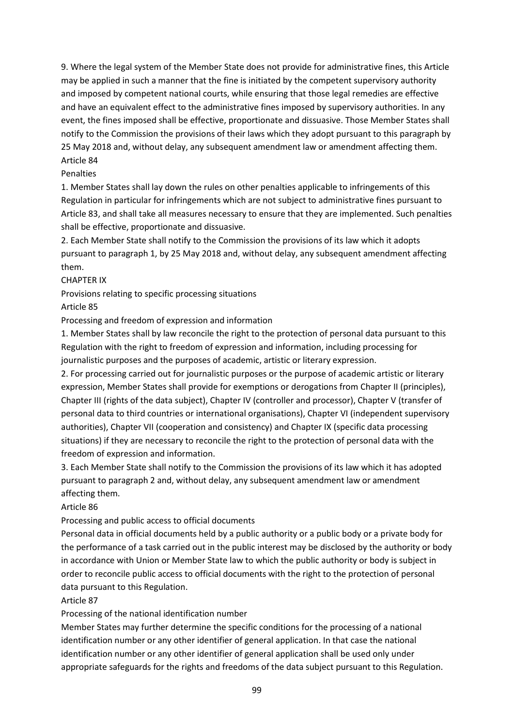9. Where the legal system of the Member State does not provide for administrative fines, this Article may be applied in such a manner that the fine is initiated by the competent supervisory authority and imposed by competent national courts, while ensuring that those legal remedies are effective and have an equivalent effect to the administrative fines imposed by supervisory authorities. In any event, the fines imposed shall be effective, proportionate and dissuasive. Those Member States shall notify to the Commission the provisions of their laws which they adopt pursuant to this paragraph by 25 May 2018 and, without delay, any subsequent amendment law or amendment affecting them. Article 84

## **Penalties**

1. Member States shall lay down the rules on other penalties applicable to infringements of this Regulation in particular for infringements which are not subject to administrative fines pursuant to Article 83, and shall take all measures necessary to ensure that they are implemented. Such penalties shall be effective, proportionate and dissuasive.

2. Each Member State shall notify to the Commission the provisions of its law which it adopts pursuant to paragraph 1, by 25 May 2018 and, without delay, any subsequent amendment affecting them.

#### CHAPTER IX

Provisions relating to specific processing situations

## Article 85

Processing and freedom of expression and information

1. Member States shall by law reconcile the right to the protection of personal data pursuant to this Regulation with the right to freedom of expression and information, including processing for journalistic purposes and the purposes of academic, artistic or literary expression.

2. For processing carried out for journalistic purposes or the purpose of academic artistic or literary expression, Member States shall provide for exemptions or derogations from Chapter II (principles), Chapter III (rights of the data subject), Chapter IV (controller and processor), Chapter V (transfer of personal data to third countries or international organisations), Chapter VI (independent supervisory authorities), Chapter VII (cooperation and consistency) and Chapter IX (specific data processing situations) if they are necessary to reconcile the right to the protection of personal data with the freedom of expression and information.

3. Each Member State shall notify to the Commission the provisions of its law which it has adopted pursuant to paragraph 2 and, without delay, any subsequent amendment law or amendment affecting them.

## Article 86

## Processing and public access to official documents

Personal data in official documents held by a public authority or a public body or a private body for the performance of a task carried out in the public interest may be disclosed by the authority or body in accordance with Union or Member State law to which the public authority or body is subject in order to reconcile public access to official documents with the right to the protection of personal data pursuant to this Regulation.

#### Article 87

## Processing of the national identification number

Member States may further determine the specific conditions for the processing of a national identification number or any other identifier of general application. In that case the national identification number or any other identifier of general application shall be used only under appropriate safeguards for the rights and freedoms of the data subject pursuant to this Regulation.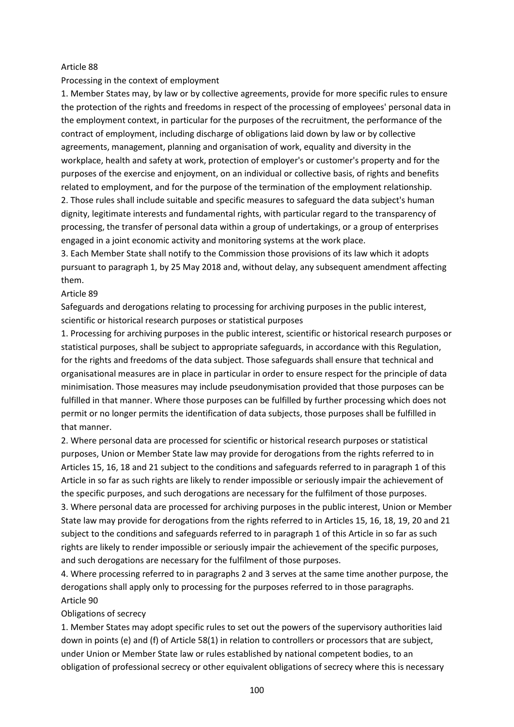## Article 88

## Processing in the context of employment

1. Member States may, by law or by collective agreements, provide for more specific rules to ensure the protection of the rights and freedoms in respect of the processing of employees' personal data in the employment context, in particular for the purposes of the recruitment, the performance of the contract of employment, including discharge of obligations laid down by law or by collective agreements, management, planning and organisation of work, equality and diversity in the workplace, health and safety at work, protection of employer's or customer's property and for the purposes of the exercise and enjoyment, on an individual or collective basis, of rights and benefits related to employment, and for the purpose of the termination of the employment relationship. 2. Those rules shall include suitable and specific measures to safeguard the data subject's human

dignity, legitimate interests and fundamental rights, with particular regard to the transparency of processing, the transfer of personal data within a group of undertakings, or a group of enterprises engaged in a joint economic activity and monitoring systems at the work place.

3. Each Member State shall notify to the Commission those provisions of its law which it adopts pursuant to paragraph 1, by 25 May 2018 and, without delay, any subsequent amendment affecting them.

#### Article 89

Safeguards and derogations relating to processing for archiving purposes in the public interest, scientific or historical research purposes or statistical purposes

1. Processing for archiving purposes in the public interest, scientific or historical research purposes or statistical purposes, shall be subject to appropriate safeguards, in accordance with this Regulation, for the rights and freedoms of the data subject. Those safeguards shall ensure that technical and organisational measures are in place in particular in order to ensure respect for the principle of data minimisation. Those measures may include pseudonymisation provided that those purposes can be fulfilled in that manner. Where those purposes can be fulfilled by further processing which does not permit or no longer permits the identification of data subjects, those purposes shall be fulfilled in that manner.

2. Where personal data are processed for scientific or historical research purposes or statistical purposes, Union or Member State law may provide for derogations from the rights referred to in Articles 15, 16, 18 and 21 subject to the conditions and safeguards referred to in paragraph 1 of this Article in so far as such rights are likely to render impossible or seriously impair the achievement of the specific purposes, and such derogations are necessary for the fulfilment of those purposes.

3. Where personal data are processed for archiving purposes in the public interest, Union or Member State law may provide for derogations from the rights referred to in Articles 15, 16, 18, 19, 20 and 21 subject to the conditions and safeguards referred to in paragraph 1 of this Article in so far as such rights are likely to render impossible or seriously impair the achievement of the specific purposes, and such derogations are necessary for the fulfilment of those purposes.

4. Where processing referred to in paragraphs 2 and 3 serves at the same time another purpose, the derogations shall apply only to processing for the purposes referred to in those paragraphs. Article 90

## Obligations of secrecy

1. Member States may adopt specific rules to set out the powers of the supervisory authorities laid down in points (e) and (f) of Article 58(1) in relation to controllers or processors that are subject, under Union or Member State law or rules established by national competent bodies, to an obligation of professional secrecy or other equivalent obligations of secrecy where this is necessary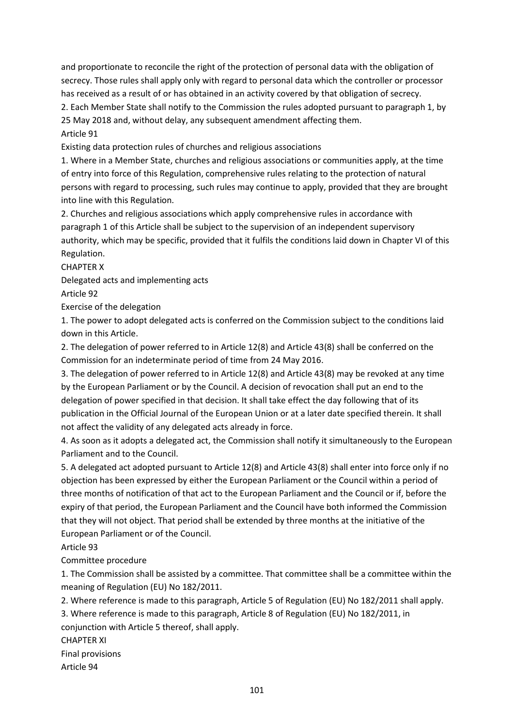and proportionate to reconcile the right of the protection of personal data with the obligation of secrecy. Those rules shall apply only with regard to personal data which the controller or processor has received as a result of or has obtained in an activity covered by that obligation of secrecy. 2. Each Member State shall notify to the Commission the rules adopted pursuant to paragraph 1, by 25 May 2018 and, without delay, any subsequent amendment affecting them. Article 91

Existing data protection rules of churches and religious associations

1. Where in a Member State, churches and religious associations or communities apply, at the time of entry into force of this Regulation, comprehensive rules relating to the protection of natural persons with regard to processing, such rules may continue to apply, provided that they are brought into line with this Regulation.

2. Churches and religious associations which apply comprehensive rules in accordance with paragraph 1 of this Article shall be subject to the supervision of an independent supervisory authority, which may be specific, provided that it fulfils the conditions laid down in Chapter VI of this Regulation.

CHAPTER X

Delegated acts and implementing acts

Article 92

Exercise of the delegation

1. The power to adopt delegated acts is conferred on the Commission subject to the conditions laid down in this Article.

2. The delegation of power referred to in Article 12(8) and Article 43(8) shall be conferred on the Commission for an indeterminate period of time from 24 May 2016.

3. The delegation of power referred to in Article 12(8) and Article 43(8) may be revoked at any time by the European Parliament or by the Council. A decision of revocation shall put an end to the delegation of power specified in that decision. It shall take effect the day following that of its publication in the Official Journal of the European Union or at a later date specified therein. It shall not affect the validity of any delegated acts already in force.

4. As soon as it adopts a delegated act, the Commission shall notify it simultaneously to the European Parliament and to the Council.

5. A delegated act adopted pursuant to Article 12(8) and Article 43(8) shall enter into force only if no objection has been expressed by either the European Parliament or the Council within a period of three months of notification of that act to the European Parliament and the Council or if, before the expiry of that period, the European Parliament and the Council have both informed the Commission that they will not object. That period shall be extended by three months at the initiative of the European Parliament or of the Council.

Article 93

Committee procedure

1. The Commission shall be assisted by a committee. That committee shall be a committee within the meaning of Regulation (EU) No 182/2011.

2. Where reference is made to this paragraph, Article 5 of Regulation (EU) No 182/2011 shall apply.

3. Where reference is made to this paragraph, Article 8 of Regulation (EU) No 182/2011, in conjunction with Article 5 thereof, shall apply.

CHAPTER XI

Final provisions

Article 94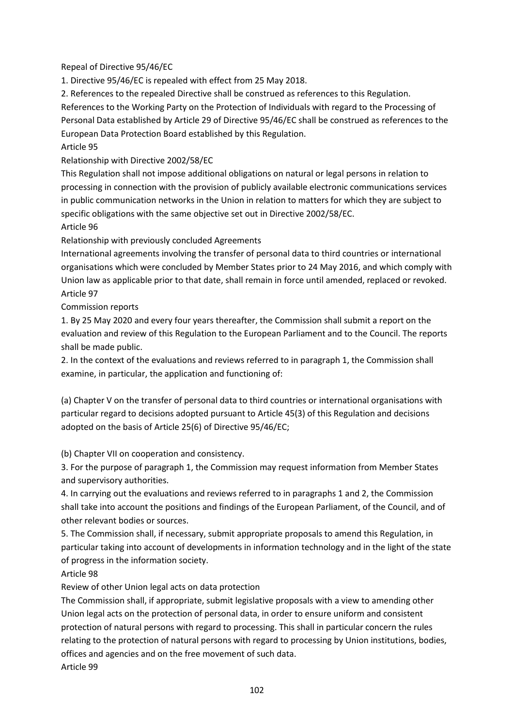Repeal of Directive 95/46/EC

1. Directive 95/46/EC is repealed with effect from 25 May 2018.

2. References to the repealed Directive shall be construed as references to this Regulation. References to the Working Party on the Protection of Individuals with regard to the Processing of Personal Data established by Article 29 of Directive 95/46/EC shall be construed as references to the European Data Protection Board established by this Regulation.

Article 95

Relationship with Directive 2002/58/EC

This Regulation shall not impose additional obligations on natural or legal persons in relation to processing in connection with the provision of publicly available electronic communications services in public communication networks in the Union in relation to matters for which they are subject to specific obligations with the same objective set out in Directive 2002/58/EC.

Article 96

Relationship with previously concluded Agreements

International agreements involving the transfer of personal data to third countries or international organisations which were concluded by Member States prior to 24 May 2016, and which comply with Union law as applicable prior to that date, shall remain in force until amended, replaced or revoked. Article 97

Commission reports

1. By 25 May 2020 and every four years thereafter, the Commission shall submit a report on the evaluation and review of this Regulation to the European Parliament and to the Council. The reports shall be made public.

2. In the context of the evaluations and reviews referred to in paragraph 1, the Commission shall examine, in particular, the application and functioning of:

(a) Chapter V on the transfer of personal data to third countries or international organisations with particular regard to decisions adopted pursuant to Article 45(3) of this Regulation and decisions adopted on the basis of Article 25(6) of Directive 95/46/EC;

(b) Chapter VII on cooperation and consistency.

3. For the purpose of paragraph 1, the Commission may request information from Member States and supervisory authorities.

4. In carrying out the evaluations and reviews referred to in paragraphs 1 and 2, the Commission shall take into account the positions and findings of the European Parliament, of the Council, and of other relevant bodies or sources.

5. The Commission shall, if necessary, submit appropriate proposals to amend this Regulation, in particular taking into account of developments in information technology and in the light of the state of progress in the information society.

Article 98

Review of other Union legal acts on data protection

The Commission shall, if appropriate, submit legislative proposals with a view to amending other Union legal acts on the protection of personal data, in order to ensure uniform and consistent protection of natural persons with regard to processing. This shall in particular concern the rules relating to the protection of natural persons with regard to processing by Union institutions, bodies, offices and agencies and on the free movement of such data. Article 99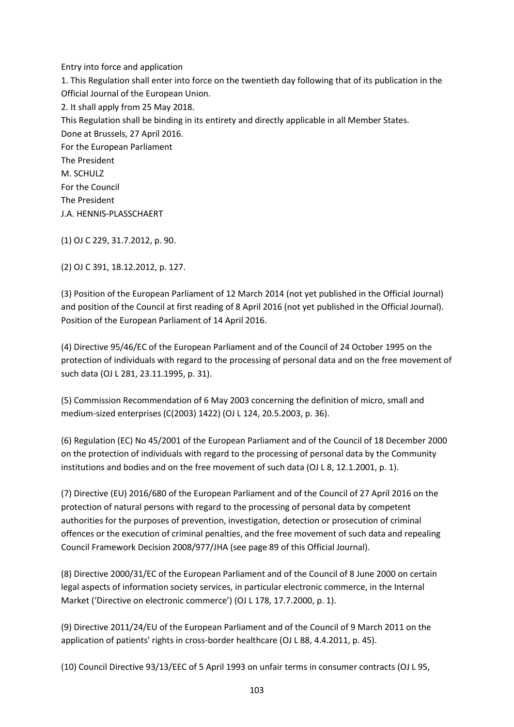Entry into force and application 1. This Regulation shall enter into force on the twentieth day following that of its publication in the Official Journal of the European Union. 2. It shall apply from 25 May 2018. This Regulation shall be binding in its entirety and directly applicable in all Member States. Done at Brussels, 27 April 2016. For the European Parliament The President M. SCHULZ For the Council The President J.A. HENNIS-PLASSCHAERT

(1) OJ C 229, 31.7.2012, p. 90.

(2) OJ C 391, 18.12.2012, p. 127.

(3) Position of the European Parliament of 12 March 2014 (not yet published in the Official Journal) and position of the Council at first reading of 8 April 2016 (not yet published in the Official Journal). Position of the European Parliament of 14 April 2016.

(4) Directive 95/46/EC of the European Parliament and of the Council of 24 October 1995 on the protection of individuals with regard to the processing of personal data and on the free movement of such data (OJ L 281, 23.11.1995, p. 31).

(5) Commission Recommendation of 6 May 2003 concerning the definition of micro, small and medium-sized enterprises (C(2003) 1422) (OJ L 124, 20.5.2003, p. 36).

(6) Regulation (EC) No 45/2001 of the European Parliament and of the Council of 18 December 2000 on the protection of individuals with regard to the processing of personal data by the Community institutions and bodies and on the free movement of such data (OJ L 8, 12.1.2001, p. 1).

(7) Directive (EU) 2016/680 of the European Parliament and of the Council of 27 April 2016 on the protection of natural persons with regard to the processing of personal data by competent authorities for the purposes of prevention, investigation, detection or prosecution of criminal offences or the execution of criminal penalties, and the free movement of such data and repealing Council Framework Decision 2008/977/JHA (see page 89 of this Official Journal).

(8) Directive 2000/31/EC of the European Parliament and of the Council of 8 June 2000 on certain legal aspects of information society services, in particular electronic commerce, in the Internal Market ('Directive on electronic commerce') (OJ L 178, 17.7.2000, p. 1).

(9) Directive 2011/24/EU of the European Parliament and of the Council of 9 March 2011 on the application of patients' rights in cross-border healthcare (OJ L 88, 4.4.2011, p. 45).

(10) Council Directive 93/13/EEC of 5 April 1993 on unfair terms in consumer contracts (OJ L 95,